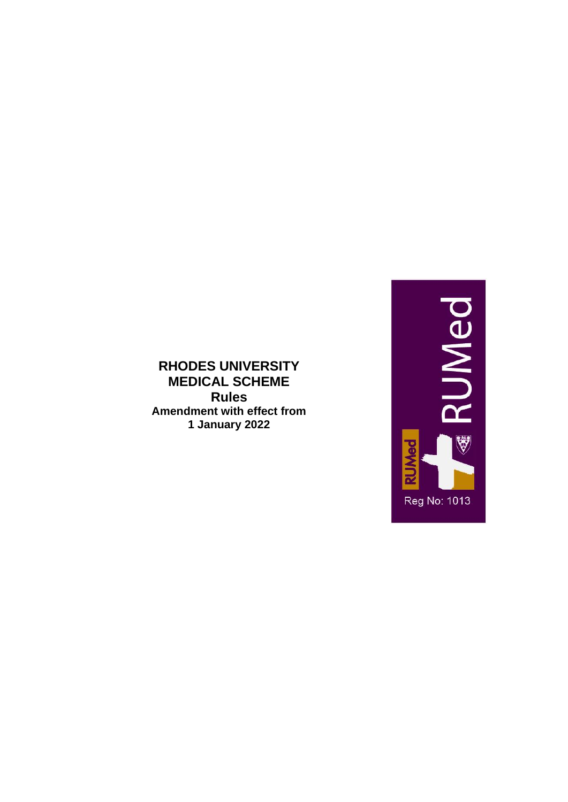

# **RHODES UNIVERSITY MEDICAL SCHEME Rules Amendment with effect from 1 January 2022**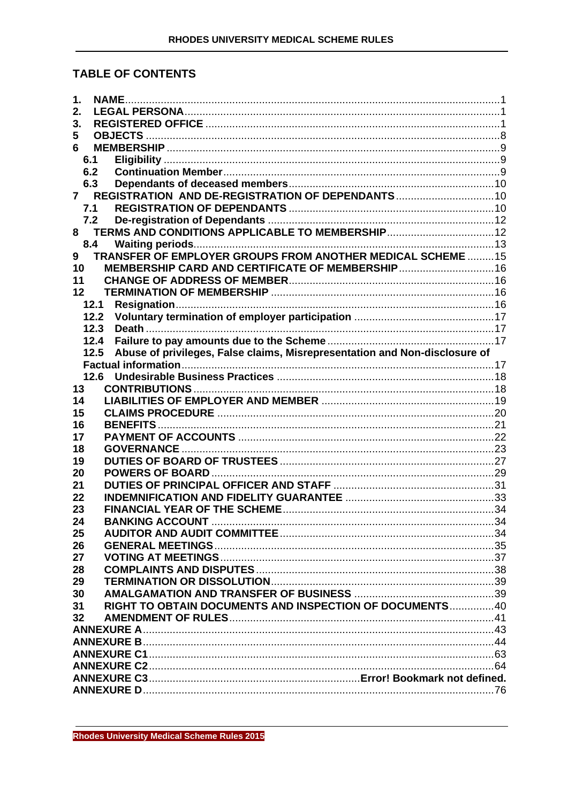# **TABLE OF CONTENTS**

| 1.                                                                                 |  |
|------------------------------------------------------------------------------------|--|
| 2.                                                                                 |  |
| 3.                                                                                 |  |
| 5                                                                                  |  |
| 6                                                                                  |  |
| 6.1                                                                                |  |
| 6.2                                                                                |  |
| 6.3                                                                                |  |
| $\mathbf{7}$                                                                       |  |
| 7.1                                                                                |  |
| 7.2                                                                                |  |
| 8                                                                                  |  |
| 8.4                                                                                |  |
| TRANSFER OF EMPLOYER GROUPS FROM ANOTHER MEDICAL SCHEME 15<br>9                    |  |
| MEMBERSHIP CARD AND CERTIFICATE OF MEMBERSHIP 16<br>10                             |  |
| 11                                                                                 |  |
|                                                                                    |  |
| 12                                                                                 |  |
| 12.1                                                                               |  |
| 12.2                                                                               |  |
| 12.3                                                                               |  |
| 12.4                                                                               |  |
| Abuse of privileges, False claims, Misrepresentation and Non-disclosure of<br>12.5 |  |
|                                                                                    |  |
| 12.6                                                                               |  |
| 13                                                                                 |  |
| 14                                                                                 |  |
| 15                                                                                 |  |
| 16                                                                                 |  |
| 17                                                                                 |  |
| 18                                                                                 |  |
| 19                                                                                 |  |
| 20                                                                                 |  |
| 21                                                                                 |  |
| 22                                                                                 |  |
| 23                                                                                 |  |
| 24                                                                                 |  |
| 25                                                                                 |  |
| 26                                                                                 |  |
| 27                                                                                 |  |
|                                                                                    |  |
| 28                                                                                 |  |
| 29                                                                                 |  |
| 30                                                                                 |  |
| RIGHT TO OBTAIN DOCUMENTS AND INSPECTION OF DOCUMENTS40<br>31                      |  |
| 32                                                                                 |  |
|                                                                                    |  |
|                                                                                    |  |
|                                                                                    |  |
|                                                                                    |  |
|                                                                                    |  |
|                                                                                    |  |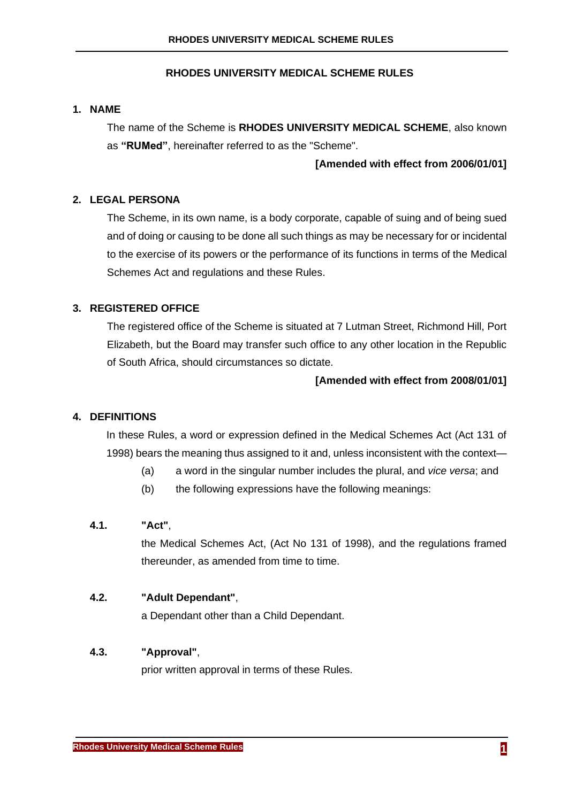# **RHODES UNIVERSITY MEDICAL SCHEME RULES**

### <span id="page-2-0"></span>**1. NAME**

The name of the Scheme is **RHODES UNIVERSITY MEDICAL SCHEME**, also known as **"RUMed"**, hereinafter referred to as the "Scheme".

### **[Amended with effect from 2006/01/01]**

## <span id="page-2-1"></span>**2. LEGAL PERSONA**

The Scheme, in its own name, is a body corporate, capable of suing and of being sued and of doing or causing to be done all such things as may be necessary for or incidental to the exercise of its powers or the performance of its functions in terms of the Medical Schemes Act and regulations and these Rules.

# <span id="page-2-2"></span>**3. REGISTERED OFFICE**

The registered office of the Scheme is situated at 7 Lutman Street, Richmond Hill, Port Elizabeth, but the Board may transfer such office to any other location in the Republic of South Africa, should circumstances so dictate.

#### **[Amended with effect from 2008/01/01]**

#### **4. DEFINITIONS**

In these Rules, a word or expression defined in the Medical Schemes Act (Act 131 of 1998) bears the meaning thus assigned to it and, unless inconsistent with the context—

- (a) a word in the singular number includes the plural, and *vice versa*; and
- (b) the following expressions have the following meanings:

### **4.1. "Act"**,

the Medical Schemes Act, (Act No 131 of 1998), and the regulations framed thereunder, as amended from time to time.

#### **4.2. "Adult Dependant"**,

a Dependant other than a Child Dependant.

### **4.3. "Approval"**,

prior written approval in terms of these Rules.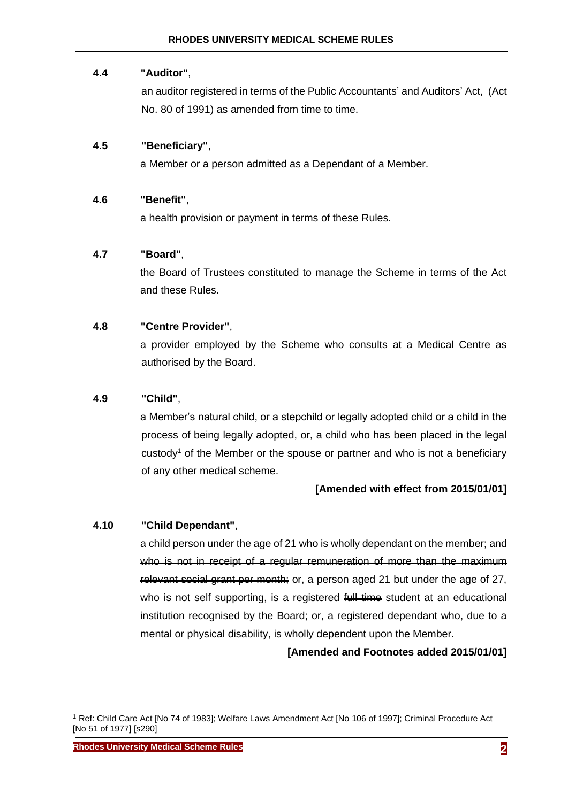# **4.4 "Auditor"**,

an auditor registered in terms of the Public Accountants' and Auditors' Act, (Act No. 80 of 1991) as amended from time to time.

# **4.5 "Beneficiary"**,

a Member or a person admitted as a Dependant of a Member.

# **4.6 "Benefit"**,

a health provision or payment in terms of these Rules.

# **4.7 "Board"**,

the Board of Trustees constituted to manage the Scheme in terms of the Act and these Rules.

# **4.8 "Centre Provider"**,

a provider employed by the Scheme who consults at a Medical Centre as authorised by the Board.

# **4.9 "Child"**,

a Member's natural child, or a stepchild or legally adopted child or a child in the process of being legally adopted, or, a child who has been placed in the legal custody<sup>1</sup> of the Member or the spouse or partner and who is not a beneficiary of any other medical scheme.

# **[Amended with effect from 2015/01/01]**

# **4.10 "Child Dependant"**,

a child person under the age of 21 who is wholly dependant on the member; and who is not in receipt of a reqular remuneration of more than the maximum relevant social grant per month; or, a person aged 21 but under the age of 27, who is not self supporting, is a registered full time student at an educational institution recognised by the Board; or, a registered dependant who, due to a mental or physical disability, is wholly dependent upon the Member.

**[Amended and Footnotes added 2015/01/01]**

<sup>1</sup> Ref: Child Care Act [No 74 of 1983]; Welfare Laws Amendment Act [No 106 of 1997]; Criminal Procedure Act [No 51 of 1977] [s290]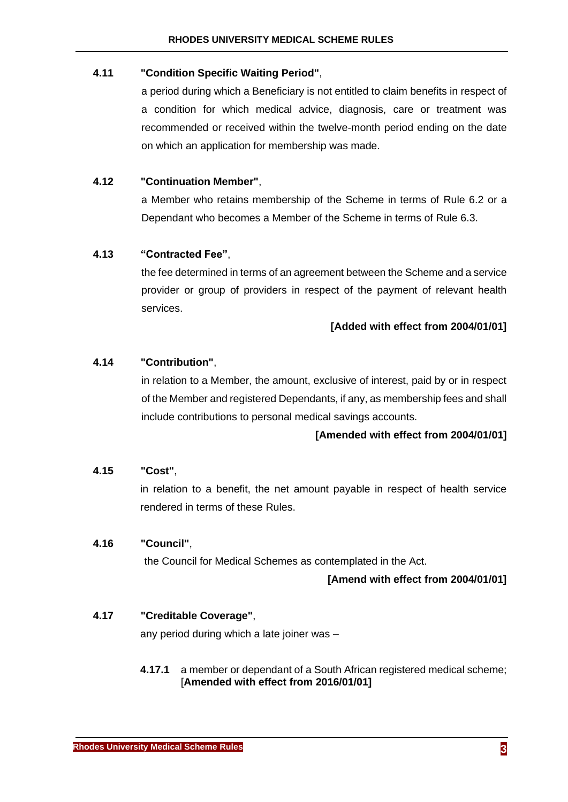# **4.11 "Condition Specific Waiting Period"**,

a period during which a Beneficiary is not entitled to claim benefits in respect of a condition for which medical advice, diagnosis, care or treatment was recommended or received within the twelve-month period ending on the date on which an application for membership was made.

# **4.12 "Continuation Member"**,

a Member who retains membership of the Scheme in terms of Rule [6.2](#page-10-2) or a Dependant who becomes a Member of the Scheme in terms of Rule [6.3.](#page-11-0)

# **4.13 "Contracted Fee"**,

the fee determined in terms of an agreement between the Scheme and a service provider or group of providers in respect of the payment of relevant health services.

# **[Added with effect from 2004/01/01]**

# **4.14 "Contribution"**,

in relation to a Member, the amount, exclusive of interest, paid by or in respect of the Member and registered Dependants, if any, as membership fees and shall include contributions to personal medical savings accounts.

### **[Amended with effect from 2004/01/01]**

### **4.15 "Cost"**,

in relation to a benefit, the net amount payable in respect of health service rendered in terms of these Rules.

### **4.16 "Council"**,

the Council for Medical Schemes as contemplated in the Act.

# **[Amend with effect from 2004/01/01]**

### **4.17 "Creditable Coverage"**,

any period during which a late joiner was –

# **4.17.1** a member or dependant of a South African registered medical scheme; [**Amended with effect from 2016/01/01]**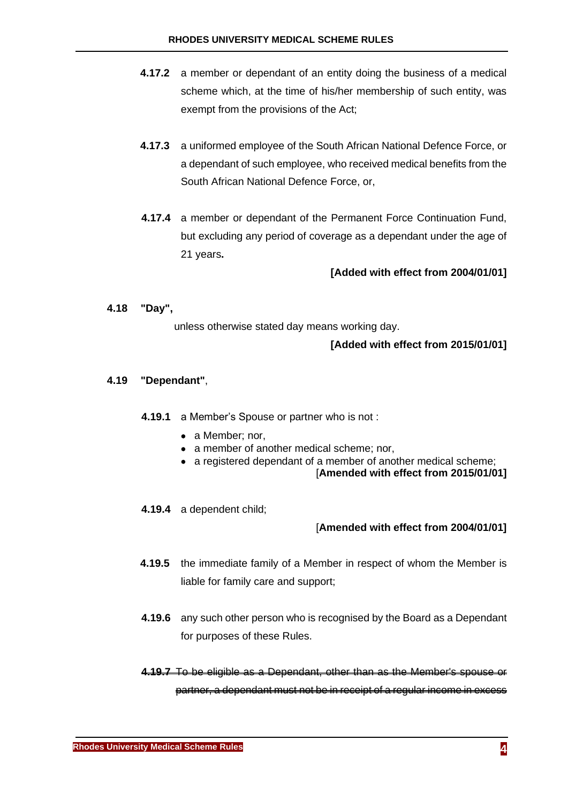- **4.17.2** a member or dependant of an entity doing the business of a medical scheme which, at the time of his/her membership of such entity, was exempt from the provisions of the Act;
- **4.17.3** a uniformed employee of the South African National Defence Force, or a dependant of such employee, who received medical benefits from the South African National Defence Force, or,
- **4.17.4** a member or dependant of the Permanent Force Continuation Fund, but excluding any period of coverage as a dependant under the age of 21 years**.**

### **[Added with effect from 2004/01/01]**

### **4.18 "Day",**

unless otherwise stated day means working day.

### **[Added with effect from 2015/01/01]**

### **4.19 "Dependant"**,

- **4.19.1** a Member's Spouse or partner who is not :
	- a Member: nor,
	- a member of another medical scheme; nor,
	- a registered dependant of a member of another medical scheme;

[**Amended with effect from 2015/01/01]**

**4.19.4** a dependent child;

- **4.19.5** the immediate family of a Member in respect of whom the Member is liable for family care and support;
- **4.19.6** any such other person who is recognised by the Board as a Dependant for purposes of these Rules.
- **4.19.7** To be eligible as a Dependant, other than as the Member's spouse or partner, a dependant must not be in receipt of a regular income in excess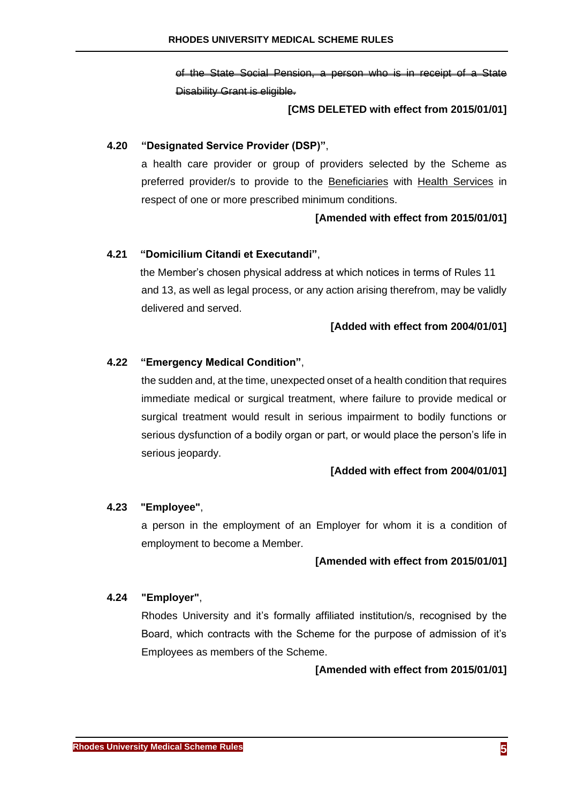of the State Social Pension, a person who is in receipt of a State Disability Grant is eligible.

### **[CMS DELETED with effect from 2015/01/01]**

### **4.20 "Designated Service Provider (DSP)"**,

a health care provider or group of providers selected by the Scheme as preferred provider/s to provide to the Beneficiaries with Health Services in respect of one or more prescribed minimum conditions.

### **[Amended with effect from 2015/01/01]**

### **4.21 "Domicilium Citandi et Executandi"**,

the Member's chosen physical address at which notices in terms of Rules [11](#page-17-1) and [13,](#page-19-1) as well as legal process, or any action arising therefrom, may be validly delivered and served.

#### **[Added with effect from 2004/01/01]**

### <span id="page-6-0"></span>**4.22 "Emergency Medical Condition"**,

the sudden and, at the time, unexpected onset of a health condition that requires immediate medical or surgical treatment, where failure to provide medical or surgical treatment would result in serious impairment to bodily functions or serious dysfunction of a bodily organ or part, or would place the person's life in serious jeopardy.

#### **[Added with effect from 2004/01/01]**

### **4.23 "Employee"**,

a person in the employment of an Employer for whom it is a condition of employment to become a Member.

#### **[Amended with effect from 2015/01/01]**

#### **4.24 "Employer"**,

Rhodes University and it's formally affiliated institution/s, recognised by the Board, which contracts with the Scheme for the purpose of admission of it's Employees as members of the Scheme.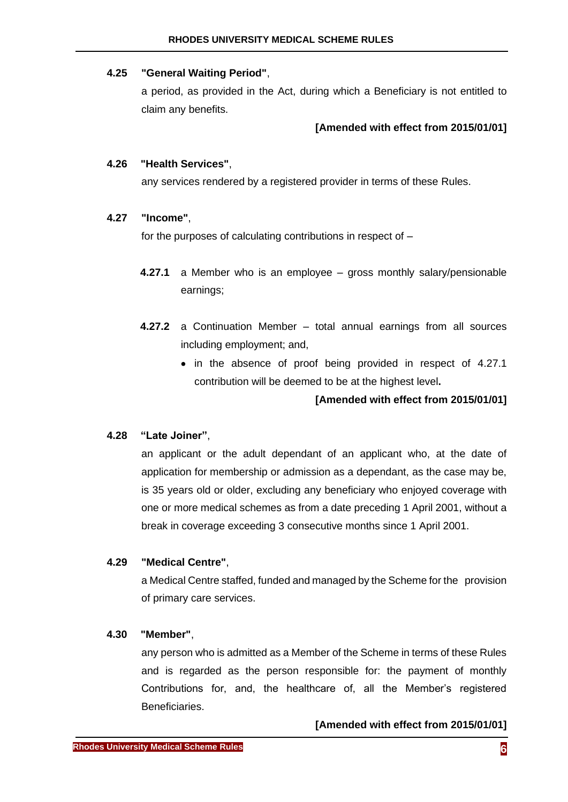# **4.25 "General Waiting Period"**,

a period, as provided in the Act, during which a Beneficiary is not entitled to claim any benefits.

# **[Amended with effect from 2015/01/01]**

# **4.26 "Health Services"**,

any services rendered by a registered provider in terms of these Rules.

# <span id="page-7-0"></span>**4.27 "Income"**,

for the purposes of calculating contributions in respect of –

- **4.27.1** a Member who is an employee gross monthly salary/pensionable earnings;
- **4.27.2** a Continuation Member total annual earnings from all sources including employment; and,
	- in the absence of proof being provided in respect of [4.27.1](#page-7-0) contribution will be deemed to be at the highest level**.**

**[Amended with effect from 2015/01/01]**

# **4.28 "Late Joiner"**,

an applicant or the adult dependant of an applicant who, at the date of application for membership or admission as a dependant, as the case may be, is 35 years old or older, excluding any beneficiary who enjoyed coverage with one or more medical schemes as from a date preceding 1 April 2001, without a break in coverage exceeding 3 consecutive months since 1 April 2001.

# **4.29 "Medical Centre"**,

a Medical Centre staffed, funded and managed by the Scheme for the provision of primary care services.

# **4.30 "Member"**,

any person who is admitted as a Member of the Scheme in terms of these Rules and is regarded as the person responsible for: the payment of monthly Contributions for, and, the healthcare of, all the Member's registered Beneficiaries.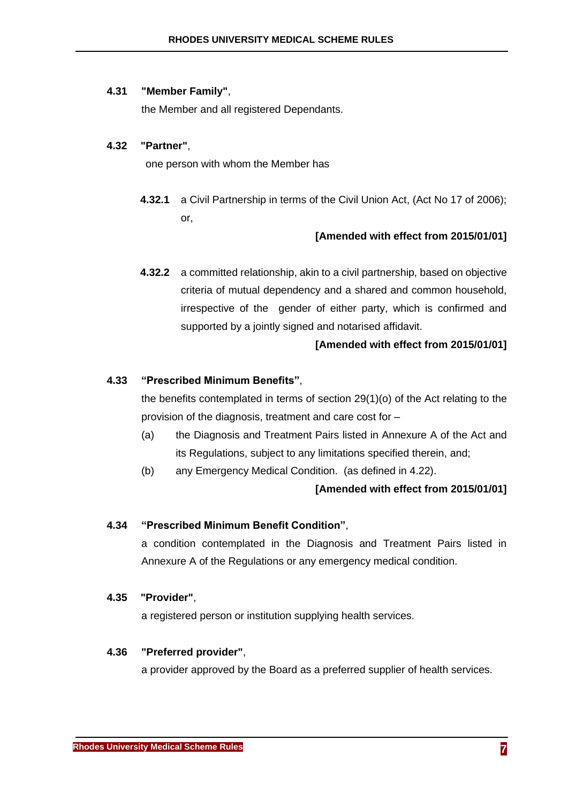### **4.31 "Member Family"**,

the Member and all registered Dependants.

### **4.32 "Partner"**,

<span id="page-8-0"></span>one person with whom the Member has

**4.32.1** a Civil Partnership in terms of the Civil Union Act, (Act No 17 of 2006); or,

### **[Amended with effect from 2015/01/01]**

**4.32.2** a committed relationship, akin to a civil partnership, based on objective criteria of mutual dependency and a shared and common household, irrespective of the gender of either party, which is confirmed and supported by a jointly signed and notarised affidavit.

### **[Amended with effect from 2015/01/01]**

### **4.33 "Prescribed Minimum Benefits"**,

the benefits contemplated in terms of section  $29(1)(o)$  of the Act relating to the provision of the diagnosis, treatment and care cost for –

- (a) the Diagnosis and Treatment Pairs listed in Annexure A of the Act and its Regulations, subject to any limitations specified therein, and;
- (b) any Emergency Medical Condition. (as defined in [4.22\)](#page-6-0).

#### **[Amended with effect from 2015/01/01]**

### **4.34 "Prescribed Minimum Benefit Condition"**,

a condition contemplated in the Diagnosis and Treatment Pairs listed in Annexure A of the Regulations or any emergency medical condition.

#### **4.35 "Provider"**,

a registered person or institution supplying health services.

### **4.36 "Preferred provider"**,

a provider approved by the Board as a preferred supplier of health services.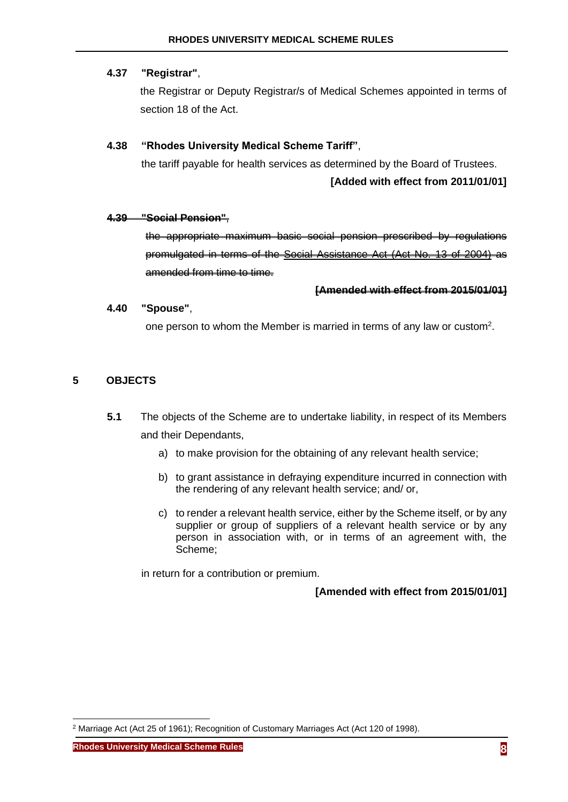# **4.37 "Registrar"**,

the Registrar or Deputy Registrar/s of Medical Schemes appointed in terms of section 18 of the Act.

# **4.38 "Rhodes University Medical Scheme Tariff"**,

the tariff payable for health services as determined by the Board of Trustees.

# **[Added with effect from 2011/01/01]**

### **4.39 "Social Pension"**,

the appropriate maximum basic social pension prescribed by regulations promulgated in terms of the Social Assistance Act (Act No. 13 of 2004) as amended from time to time.

### **[Amended with effect from 2015/01/01]**

### **4.40 "Spouse"**,

one person to whom the Member is married in terms of any law or custom<sup>2</sup>.

# <span id="page-9-0"></span>**5 OBJECTS**

- **5.1** The objects of the Scheme are to undertake liability, in respect of its Members and their Dependants,
	- a) to make provision for the obtaining of any relevant health service;
	- b) to grant assistance in defraying expenditure incurred in connection with the rendering of any relevant health service; and/ or,
	- c) to render a relevant health service, either by the Scheme itself, or by any supplier or group of suppliers of a relevant health service or by any person in association with, or in terms of an agreement with, the Scheme;

in return for a contribution or premium.

<sup>2</sup> Marriage Act (Act 25 of 1961); Recognition of Customary Marriages Act (Act 120 of 1998).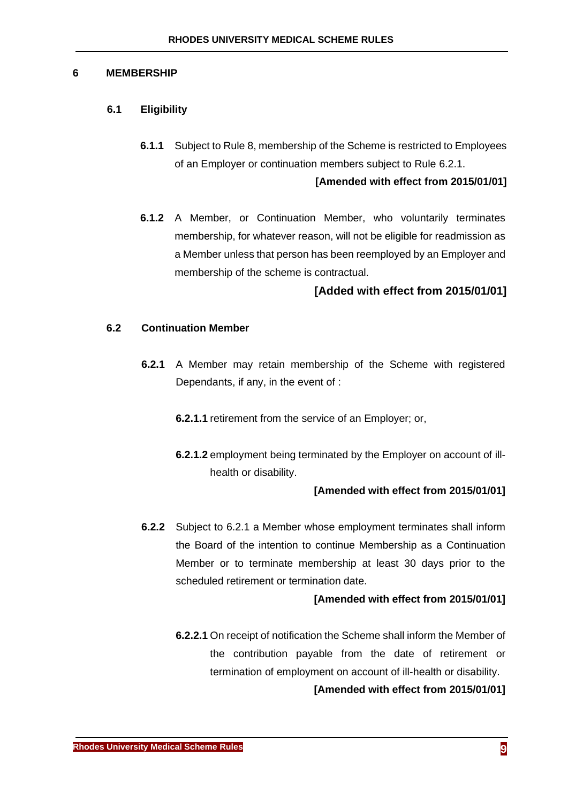### <span id="page-10-0"></span>**6 MEMBERSHIP**

### <span id="page-10-1"></span>**6.1 Eligibility**

**6.1.1** Subject to Rule [8,](#page-13-1) membership of the Scheme is restricted to Employees of an Employer or continuation members subject to Rule [6.2.1.](#page-10-3)

### **[Amended with effect from 2015/01/01]**

**6.1.2** A Member, or Continuation Member, who voluntarily terminates membership, for whatever reason, will not be eligible for readmission as a Member unless that person has been reemployed by an Employer and membership of the scheme is contractual.

# **[Added with effect from 2015/01/01]**

### <span id="page-10-3"></span><span id="page-10-2"></span>**6.2 Continuation Member**

- **6.2.1** A Member may retain membership of the Scheme with registered Dependants, if any, in the event of :
	- **6.2.1.1** retirement from the service of an Employer; or,
	- **6.2.1.2** employment being terminated by the Employer on account of illhealth or disability.

### **[Amended with effect from 2015/01/01]**

**6.2.2** Subject to [6.2.1](#page-10-3) a Member whose employment terminates shall inform the Board of the intention to continue Membership as a Continuation Member or to terminate membership at least 30 days prior to the scheduled retirement or termination date.

#### **[Amended with effect from 2015/01/01]**

**6.2.2.1** On receipt of notification the Scheme shall inform the Member of the contribution payable from the date of retirement or termination of employment on account of ill-health or disability.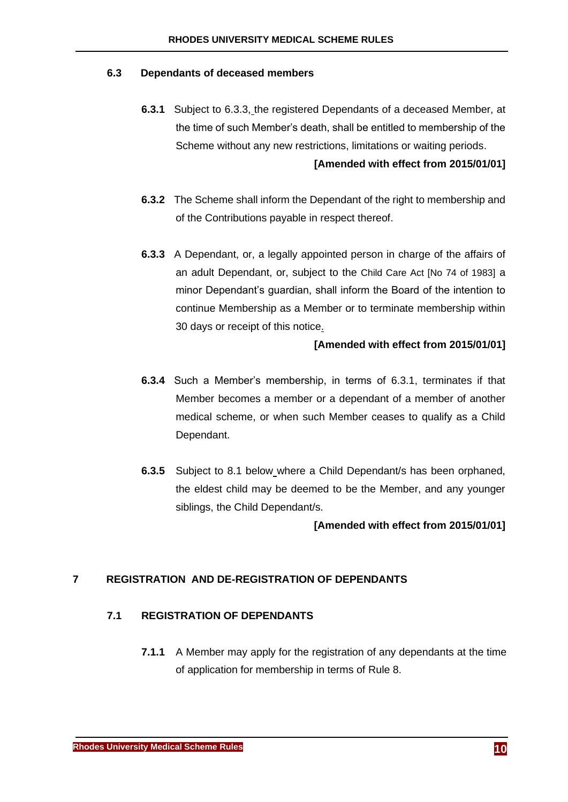### <span id="page-11-4"></span><span id="page-11-0"></span>**6.3 Dependants of deceased members**

- **6.3.1** Subject to [6.3.3,](#page-11-3) the registered Dependants of a deceased Member, at the time of such Member's death, shall be entitled to membership of the Scheme without any new restrictions, limitations or waiting periods. **[Amended with effect from 2015/01/01]**
- **6.3.2** The Scheme shall inform the Dependant of the right to membership and of the Contributions payable in respect thereof.
- <span id="page-11-3"></span>**6.3.3** A Dependant, or, a legally appointed person in charge of the affairs of an adult Dependant, or, subject to the Child Care Act [No 74 of 1983] a minor Dependant's guardian, shall inform the Board of the intention to continue Membership as a Member or to terminate membership within 30 days or receipt of this notice.

### **[Amended with effect from 2015/01/01]**

- **6.3.4** Such a Member's membership, in terms of [6.3.1,](#page-11-4) terminates if that Member becomes a member or a dependant of a member of another medical scheme, or when such Member ceases to qualify as a Child Dependant.
- **6.3.5** Subject to [8.1 below](#page-13-2) where a Child Dependant/s has been orphaned, the eldest child may be deemed to be the Member, and any younger siblings, the Child Dependant/s.

**[Amended with effect from 2015/01/01]**

# <span id="page-11-1"></span>**7 REGISTRATION AND DE-REGISTRATION OF DEPENDANTS**

### <span id="page-11-2"></span>**7.1 REGISTRATION OF DEPENDANTS**

**7.1.1** A Member may apply for the registration of any dependants at the time of application for membership in terms of Rule [8.](#page-13-1)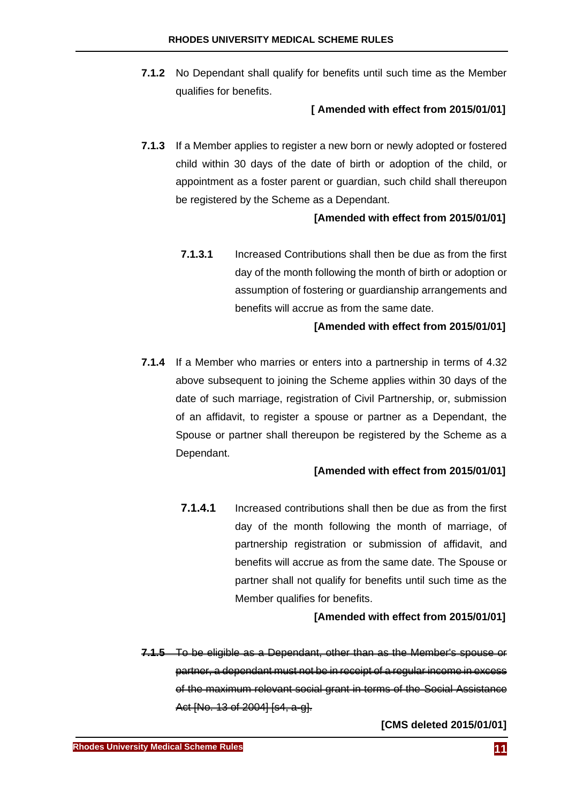**7.1.2** No Dependant shall qualify for benefits until such time as the Member qualifies for benefits.

# **[ Amended with effect from 2015/01/01]**

**7.1.3** If a Member applies to register a new born or newly adopted or fostered child within 30 days of the date of birth or adoption of the child, or appointment as a foster parent or guardian, such child shall thereupon be registered by the Scheme as a Dependant.

# **[Amended with effect from 2015/01/01]**

**7.1.3.1** Increased Contributions shall then be due as from the first day of the month following the month of birth or adoption or assumption of fostering or guardianship arrangements and benefits will accrue as from the same date.

### **[Amended with effect from 2015/01/01]**

**7.1.4** If a Member who marries or enters into a partnership in terms of [4.32](#page-8-0) above subsequent to joining the Scheme applies within 30 days of the date of such marriage, registration of Civil Partnership, or, submission of an affidavit, to register a spouse or partner as a Dependant, the Spouse or partner shall thereupon be registered by the Scheme as a Dependant.

### **[Amended with effect from 2015/01/01]**

**7.1.4.1** Increased contributions shall then be due as from the first day of the month following the month of marriage, of partnership registration or submission of affidavit, and benefits will accrue as from the same date. The Spouse or partner shall not qualify for benefits until such time as the Member qualifies for benefits.

### **[Amended with effect from 2015/01/01]**

**7.1.5** To be eligible as a Dependant, other than as the Member's spouse or partner, a dependant must not be in receipt of a regular income in excess of the maximum relevant social grant in terms of the Social Assistance Act [No. 13 of 2004] [s4, a-g].

**[CMS deleted 2015/01/01]**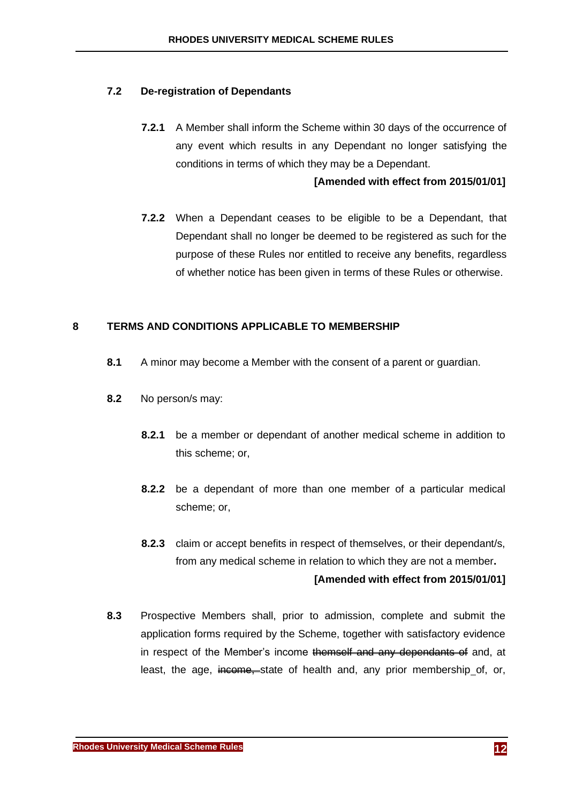### <span id="page-13-0"></span>**7.2 De-registration of Dependants**

**7.2.1** A Member shall inform the Scheme within 30 days of the occurrence of any event which results in any Dependant no longer satisfying the conditions in terms of which they may be a Dependant.

#### **[Amended with effect from 2015/01/01]**

**7.2.2** When a Dependant ceases to be eligible to be a Dependant, that Dependant shall no longer be deemed to be registered as such for the purpose of these Rules nor entitled to receive any benefits, regardless of whether notice has been given in terms of these Rules or otherwise.

### <span id="page-13-1"></span>**8 TERMS AND CONDITIONS APPLICABLE TO MEMBERSHIP**

- <span id="page-13-2"></span>**8.1** A minor may become a Member with the consent of a parent or guardian.
- **8.2** No person/s may:
	- **8.2.1** be a member or dependant of another medical scheme in addition to this scheme; or,
	- **8.2.2** be a dependant of more than one member of a particular medical scheme; or,
	- **8.2.3** claim or accept benefits in respect of themselves, or their dependant/s, from any medical scheme in relation to which they are not a member**. [Amended with effect from 2015/01/01]**
- **8.3** Prospective Members shall, prior to admission, complete and submit the application forms required by the Scheme, together with satisfactory evidence in respect of the Member's income themself and any dependants of and, at least, the age, income, state of health and, any prior membership of, or,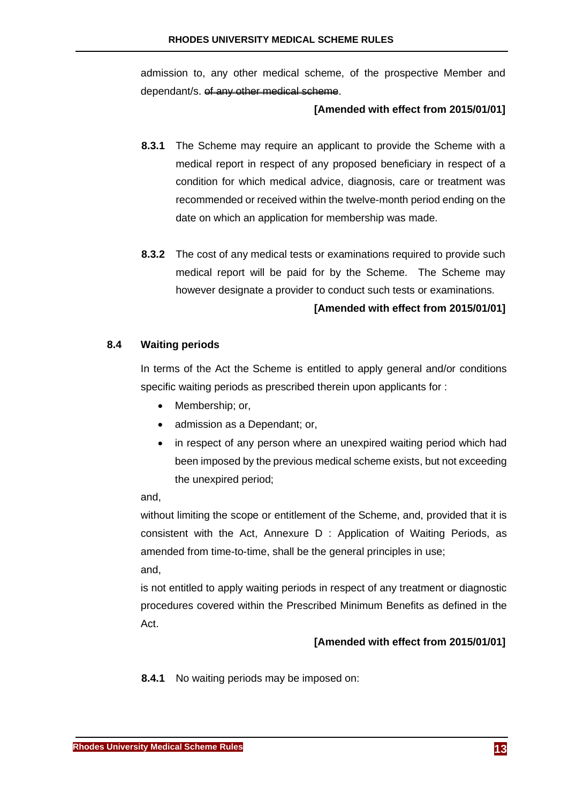admission to, any other medical scheme, of the prospective Member and dependant/s. of any other medical scheme.

### **[Amended with effect from 2015/01/01]**

- **8.3.1** The Scheme may require an applicant to provide the Scheme with a medical report in respect of any proposed beneficiary in respect of a condition for which medical advice, diagnosis, care or treatment was recommended or received within the twelve-month period ending on the date on which an application for membership was made.
- **8.3.2** The cost of any medical tests or examinations required to provide such medical report will be paid for by the Scheme. The Scheme may however designate a provider to conduct such tests or examinations.

# **[Amended with effect from 2015/01/01]**

### <span id="page-14-0"></span>**8.4 Waiting periods**

In terms of the Act the Scheme is entitled to apply general and/or conditions specific waiting periods as prescribed therein upon applicants for :

- Membership; or,
- admission as a Dependant; or,
- in respect of any person where an unexpired waiting period which had been imposed by the previous medical scheme exists, but not exceeding the unexpired period;

and,

without limiting the scope or entitlement of the Scheme, and, provided that it is consistent with the Act, Annexure D : Application of Waiting Periods, as amended from time-to-time, shall be the general principles in use; and,

is not entitled to apply waiting periods in respect of any treatment or diagnostic procedures covered within the Prescribed Minimum Benefits as defined in the Act.

### **[Amended with effect from 2015/01/01]**

**8.4.1** No waiting periods may be imposed on: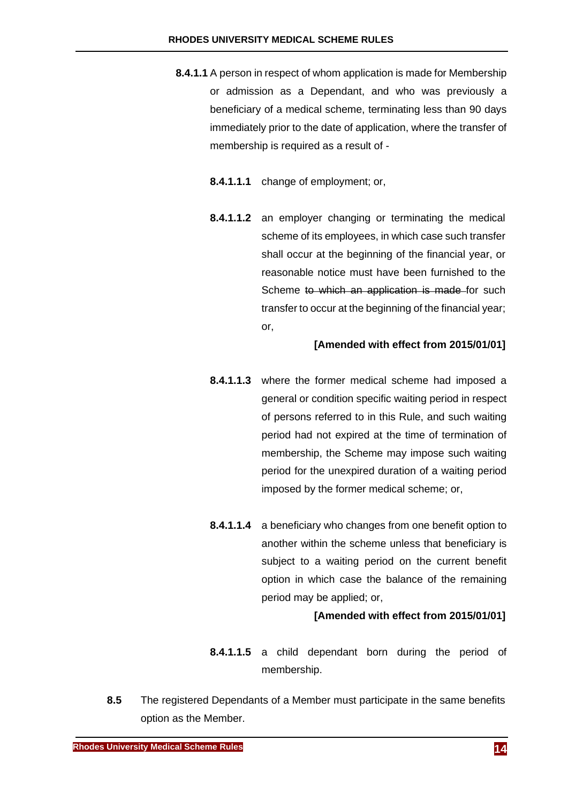- **8.4.1.1** A person in respect of whom application is made for Membership or admission as a Dependant, and who was previously a beneficiary of a medical scheme, terminating less than 90 days immediately prior to the date of application, where the transfer of membership is required as a result of -
	- **8.4.1.1.1** change of employment; or,
	- **8.4.1.1.2** an employer changing or terminating the medical scheme of its employees, in which case such transfer shall occur at the beginning of the financial year, or reasonable notice must have been furnished to the Scheme to which an application is made for such transfer to occur at the beginning of the financial year; or,

### **[Amended with effect from 2015/01/01]**

- **8.4.1.1.3** where the former medical scheme had imposed a general or condition specific waiting period in respect of persons referred to in this Rule, and such waiting period had not expired at the time of termination of membership, the Scheme may impose such waiting period for the unexpired duration of a waiting period imposed by the former medical scheme; or,
- **8.4.1.1.4** a beneficiary who changes from one benefit option to another within the scheme unless that beneficiary is subject to a waiting period on the current benefit option in which case the balance of the remaining period may be applied; or,

- **8.4.1.1.5** a child dependant born during the period of membership.
- **8.5** The registered Dependants of a Member must participate in the same benefits option as the Member.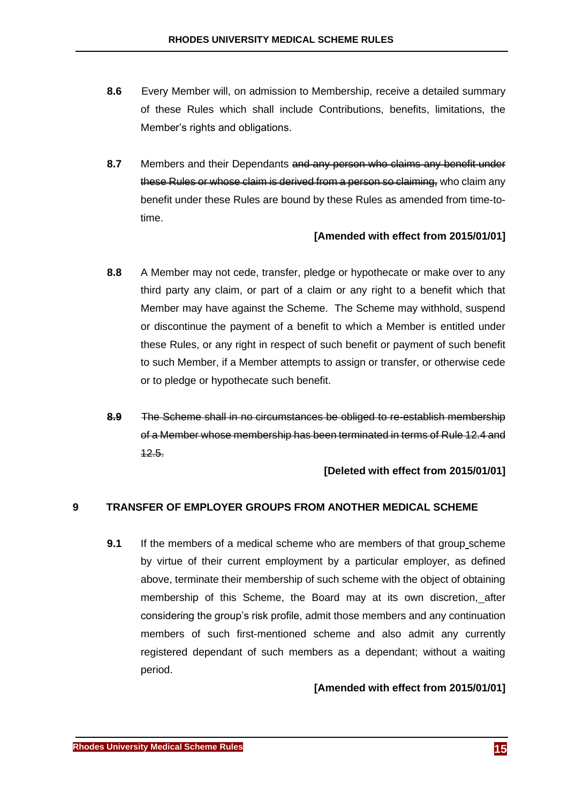- **8.6** Every Member will, on admission to Membership, receive a detailed summary of these Rules which shall include Contributions, benefits, limitations, the Member's rights and obligations.
- **8.7** Members and their Dependants and any person who claims any benefit under these Rules or whose claim is derived from a person so claiming, who claim any benefit under these Rules are bound by these Rules as amended from time-totime.

### **[Amended with effect from 2015/01/01]**

- **8.8** A Member may not cede, transfer, pledge or hypothecate or make over to any third party any claim, or part of a claim or any right to a benefit which that Member may have against the Scheme. The Scheme may withhold, suspend or discontinue the payment of a benefit to which a Member is entitled under these Rules, or any right in respect of such benefit or payment of such benefit to such Member, if a Member attempts to assign or transfer, or otherwise cede or to pledge or hypothecate such benefit.
- **8.9** The Scheme shall in no circumstances be obliged to re-establish membership of a Member whose membership has been terminated in terms of Rul[e 12.4](#page-18-2) and [12.5.](#page-18-3)

### **[Deleted with effect from 2015/01/01]**

### <span id="page-16-0"></span>**9 TRANSFER OF EMPLOYER GROUPS FROM ANOTHER MEDICAL SCHEME**

**9.1** If the members of a medical scheme who are members of that group scheme by virtue of their current employment by a particular employer, as defined above, terminate their membership of such scheme with the object of obtaining membership of this Scheme, the Board may at its own discretion, after considering the group's risk profile, admit those members and any continuation members of such first-mentioned scheme and also admit any currently registered dependant of such members as a dependant; without a waiting period.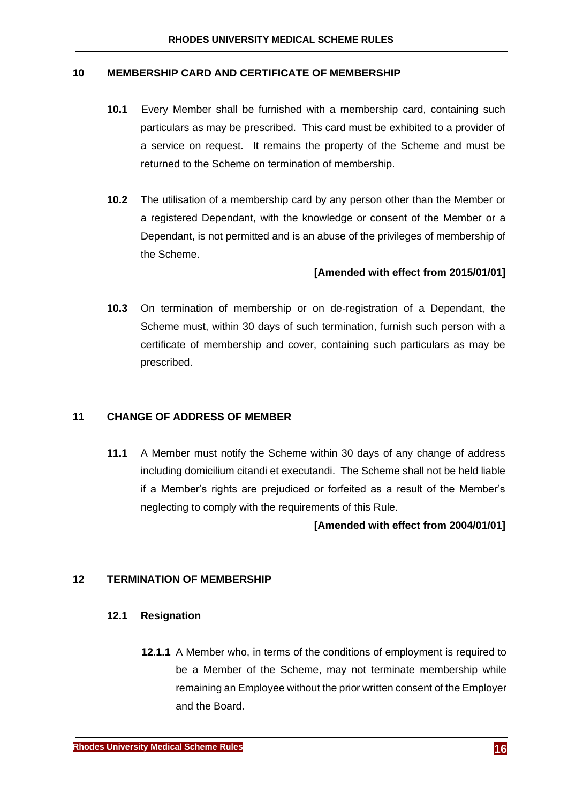#### <span id="page-17-0"></span>**10 MEMBERSHIP CARD AND CERTIFICATE OF MEMBERSHIP**

- **10.1** Every Member shall be furnished with a membership card, containing such particulars as may be prescribed. This card must be exhibited to a provider of a service on request. It remains the property of the Scheme and must be returned to the Scheme on termination of membership.
- **10.2** The utilisation of a membership card by any person other than the Member or a registered Dependant, with the knowledge or consent of the Member or a Dependant, is not permitted and is an abuse of the privileges of membership of the Scheme.

### **[Amended with effect from 2015/01/01]**

**10.3** On termination of membership or on de-registration of a Dependant, the Scheme must, within 30 days of such termination, furnish such person with a certificate of membership and cover, containing such particulars as may be prescribed.

# <span id="page-17-1"></span>**11 CHANGE OF ADDRESS OF MEMBER**

**11.1** A Member must notify the Scheme within 30 days of any change of address including domicilium citandi et executandi. The Scheme shall not be held liable if a Member's rights are prejudiced or forfeited as a result of the Member's neglecting to comply with the requirements of this Rule.

### **[Amended with effect from 2004/01/01]**

### <span id="page-17-2"></span>**12 TERMINATION OF MEMBERSHIP**

### <span id="page-17-3"></span>**12.1 Resignation**

**12.1.1** A Member who, in terms of the conditions of employment is required to be a Member of the Scheme, may not terminate membership while remaining an Employee without the prior written consent of the Employer and the Board.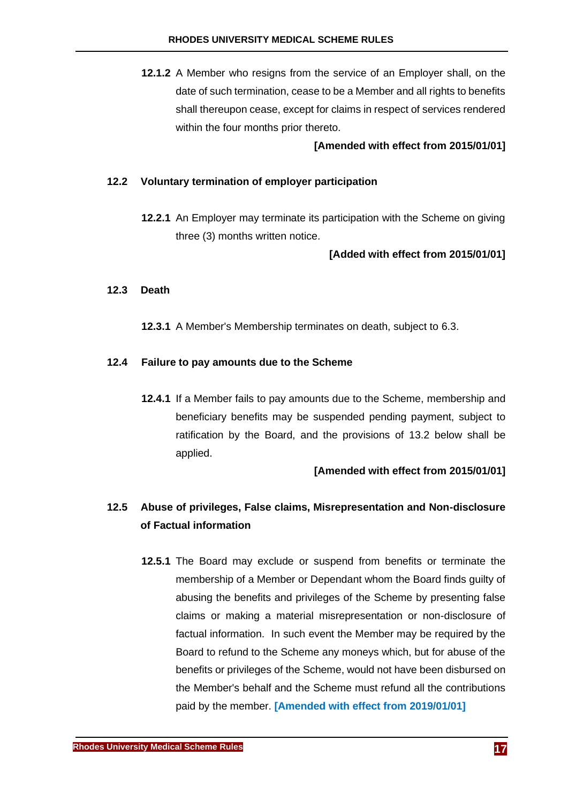**12.1.2** A Member who resigns from the service of an Employer shall, on the date of such termination, cease to be a Member and all rights to benefits shall thereupon cease, except for claims in respect of services rendered within the four months prior thereto.

### **[Amended with effect from 2015/01/01]**

#### <span id="page-18-0"></span>**12.2 Voluntary termination of employer participation**

**12.2.1** An Employer may terminate its participation with the Scheme on giving three (3) months written notice.

### **[Added with effect from 2015/01/01]**

#### <span id="page-18-1"></span>**12.3 Death**

**12.3.1** A Member's Membership terminates on death, subject to [6.3.](#page-11-0)

#### <span id="page-18-2"></span>**12.4 Failure to pay amounts due to the Scheme**

**12.4.1** If a Member fails to pay amounts due to the Scheme, membership and beneficiary benefits may be suspended pending payment, subject to ratification by the Board, and the provisions of [13.2 below](#page-20-1) shall be applied.

### **[Amended with effect from 2015/01/01]**

# <span id="page-18-3"></span>**12.5 Abuse of privileges, False claims, Misrepresentation and Non-disclosure of Factual information**

**12.5.1** The Board may exclude or suspend from benefits or terminate the membership of a Member or Dependant whom the Board finds guilty of abusing the benefits and privileges of the Scheme by presenting false claims or making a material misrepresentation or non-disclosure of factual information. In such event the Member may be required by the Board to refund to the Scheme any moneys which, but for abuse of the benefits or privileges of the Scheme, would not have been disbursed on the Member's behalf and the Scheme must refund all the contributions paid by the member. **[Amended with effect from 2019/01/01]**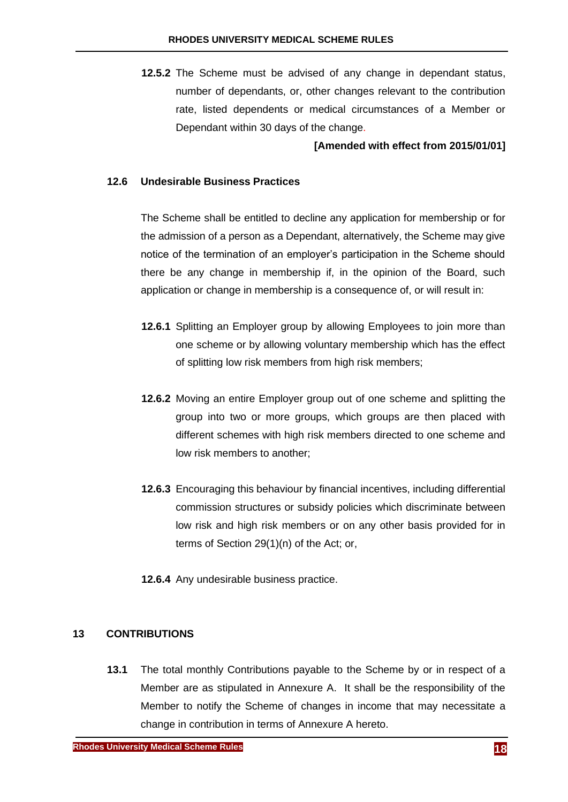**12.5.2** The Scheme must be advised of any change in dependant status, number of dependants, or, other changes relevant to the contribution rate, listed dependents or medical circumstances of a Member or Dependant within 30 days of the change.

### **[Amended with effect from 2015/01/01]**

### <span id="page-19-0"></span>**12.6 Undesirable Business Practices**

The Scheme shall be entitled to decline any application for membership or for the admission of a person as a Dependant, alternatively, the Scheme may give notice of the termination of an employer's participation in the Scheme should there be any change in membership if, in the opinion of the Board, such application or change in membership is a consequence of, or will result in:

- **12.6.1** Splitting an Employer group by allowing Employees to join more than one scheme or by allowing voluntary membership which has the effect of splitting low risk members from high risk members;
- **12.6.2** Moving an entire Employer group out of one scheme and splitting the group into two or more groups, which groups are then placed with different schemes with high risk members directed to one scheme and low risk members to another;
- **12.6.3** Encouraging this behaviour by financial incentives, including differential commission structures or subsidy policies which discriminate between low risk and high risk members or on any other basis provided for in terms of Section 29(1)(n) of the Act; or,
- **12.6.4** Any undesirable business practice.

### <span id="page-19-1"></span>**13 CONTRIBUTIONS**

**13.1** The total monthly Contributions payable to the Scheme by or in respect of a Member are as stipulated in Annexure A. It shall be the responsibility of the Member to notify the Scheme of changes in income that may necessitate a change in contribution in terms of Annexure A hereto.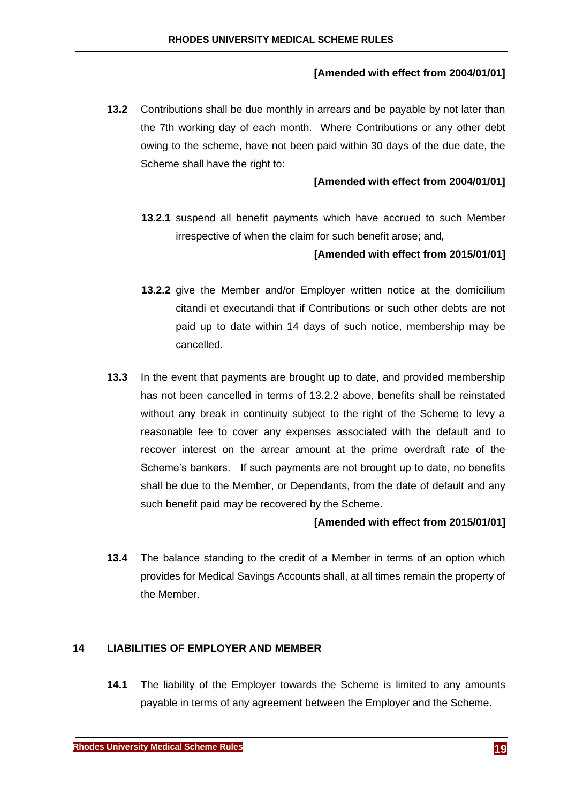# **[Amended with effect from 2004/01/01]**

<span id="page-20-1"></span>**13.2** Contributions shall be due monthly in arrears and be payable by not later than the 7th working day of each month. Where Contributions or any other debt owing to the scheme, have not been paid within 30 days of the due date, the Scheme shall have the right to:

# **[Amended with effect from 2004/01/01]**

**13.2.1** suspend all benefit payments which have accrued to such Member irrespective of when the claim for such benefit arose; and,

# **[Amended with effect from 2015/01/01]**

- <span id="page-20-2"></span>**13.2.2** give the Member and/or Employer written notice at the domicilium citandi et executandi that if Contributions or such other debts are not paid up to date within 14 days of such notice, membership may be cancelled.
- **13.3** In the event that payments are brought up to date, and provided membership has not been cancelled in terms of [13.2.2 above,](#page-20-2) benefits shall be reinstated without any break in continuity subject to the right of the Scheme to levy a reasonable fee to cover any expenses associated with the default and to recover interest on the arrear amount at the prime overdraft rate of the Scheme's bankers. If such payments are not brought up to date, no benefits shall be due to the Member, or Dependants, from the date of default and any such benefit paid may be recovered by the Scheme.

### **[Amended with effect from 2015/01/01]**

**13.4** The balance standing to the credit of a Member in terms of an option which provides for Medical Savings Accounts shall, at all times remain the property of the Member.

### <span id="page-20-0"></span>**14 LIABILITIES OF EMPLOYER AND MEMBER**

**14.1** The liability of the Employer towards the Scheme is limited to any amounts payable in terms of any agreement between the Employer and the Scheme.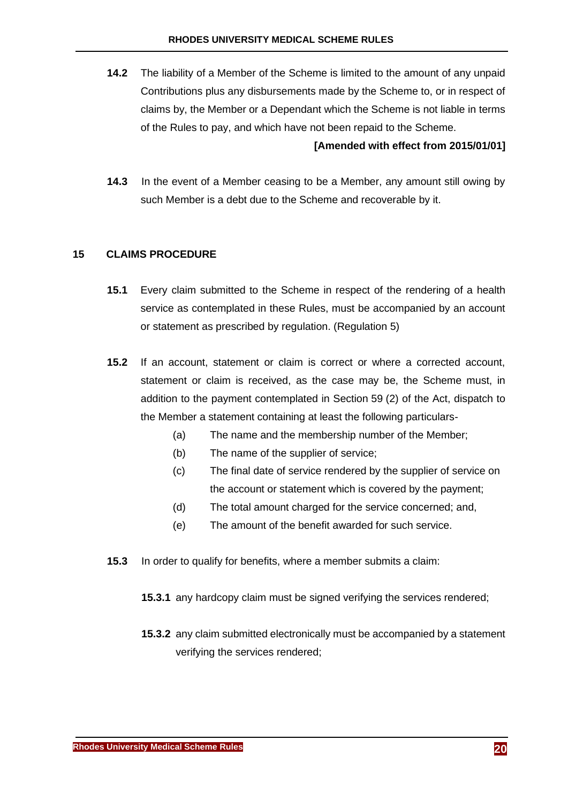**14.2** The liability of a Member of the Scheme is limited to the amount of any unpaid Contributions plus any disbursements made by the Scheme to, or in respect of claims by, the Member or a Dependant which the Scheme is not liable in terms of the Rules to pay, and which have not been repaid to the Scheme.

### **[Amended with effect from 2015/01/01]**

**14.3** In the event of a Member ceasing to be a Member, any amount still owing by such Member is a debt due to the Scheme and recoverable by it.

### <span id="page-21-0"></span>**15 CLAIMS PROCEDURE**

- **15.1** Every claim submitted to the Scheme in respect of the rendering of a health service as contemplated in these Rules, must be accompanied by an account or statement as prescribed by regulation. (Regulation 5)
- **15.2** If an account, statement or claim is correct or where a corrected account, statement or claim is received, as the case may be, the Scheme must, in addition to the payment contemplated in Section 59 (2) of the Act, dispatch to the Member a statement containing at least the following particulars-
	- (a) The name and the membership number of the Member;
	- (b) The name of the supplier of service;
	- (c) The final date of service rendered by the supplier of service on the account or statement which is covered by the payment;
	- (d) The total amount charged for the service concerned; and,
	- (e) The amount of the benefit awarded for such service.
- **15.3** In order to qualify for benefits, where a member submits a claim:
	- **15.3.1** any hardcopy claim must be signed verifying the services rendered;
	- **15.3.2** any claim submitted electronically must be accompanied by a statement verifying the services rendered;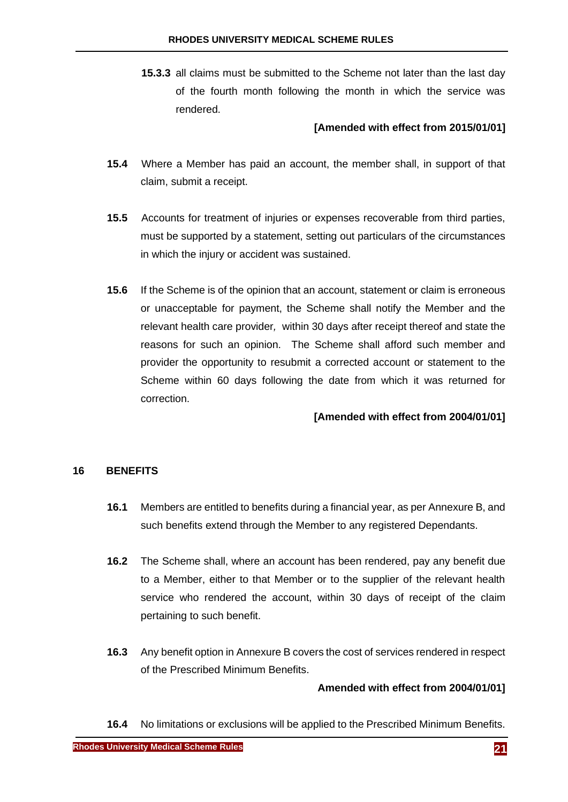**15.3.3** all claims must be submitted to the Scheme not later than the last day of the fourth month following the month in which the service was rendered.

### **[Amended with effect from 2015/01/01]**

- **15.4** Where a Member has paid an account, the member shall, in support of that claim, submit a receipt.
- **15.5** Accounts for treatment of injuries or expenses recoverable from third parties, must be supported by a statement, setting out particulars of the circumstances in which the injury or accident was sustained.
- **15.6** If the Scheme is of the opinion that an account, statement or claim is erroneous or unacceptable for payment, the Scheme shall notify the Member and the relevant health care provider*,* within 30 days after receipt thereof and state the reasons for such an opinion. The Scheme shall afford such member and provider the opportunity to resubmit a corrected account or statement to the Scheme within 60 days following the date from which it was returned for correction.

### **[Amended with effect from 2004/01/01]**

#### <span id="page-22-0"></span>**16 BENEFITS**

- **16.1** Members are entitled to benefits during a financial year, as per Annexure B, and such benefits extend through the Member to any registered Dependants.
- **16.2** The Scheme shall, where an account has been rendered, pay any benefit due to a Member, either to that Member or to the supplier of the relevant health service who rendered the account, within 30 days of receipt of the claim pertaining to such benefit.
- **16.3** Any benefit option in Annexure B covers the cost of services rendered in respect of the Prescribed Minimum Benefits.

### **Amended with effect from 2004/01/01]**

**16.4** No limitations or exclusions will be applied to the Prescribed Minimum Benefits.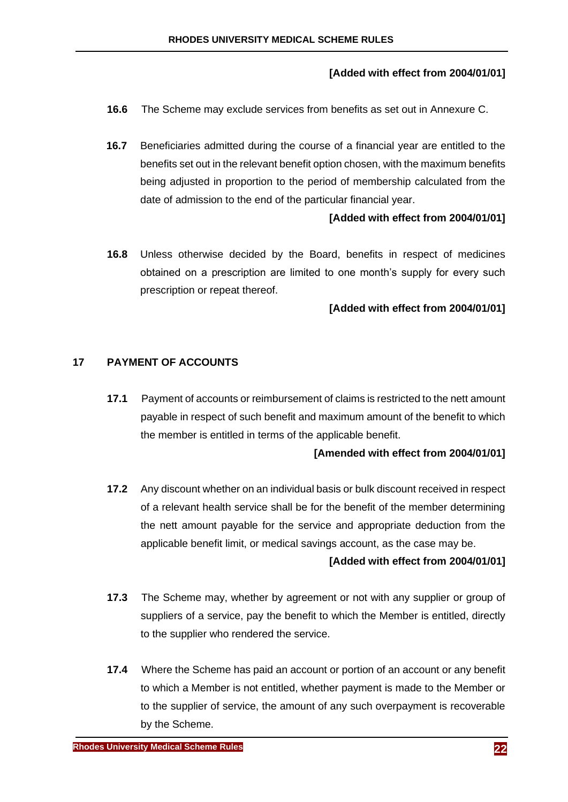# **[Added with effect from 2004/01/01]**

- **16.6** The Scheme may exclude services from benefits as set out in Annexure C.
- **16.7** Beneficiaries admitted during the course of a financial year are entitled to the benefits set out in the relevant benefit option chosen, with the maximum benefits being adjusted in proportion to the period of membership calculated from the date of admission to the end of the particular financial year.

# **[Added with effect from 2004/01/01]**

**16.8** Unless otherwise decided by the Board, benefits in respect of medicines obtained on a prescription are limited to one month's supply for every such prescription or repeat thereof.

# **[Added with effect from 2004/01/01]**

# <span id="page-23-0"></span>**17 PAYMENT OF ACCOUNTS**

**17.1** Payment of accounts or reimbursement of claims is restricted to the nett amount payable in respect of such benefit and maximum amount of the benefit to which the member is entitled in terms of the applicable benefit.

### **[Amended with effect from 2004/01/01]**

**17.2** Any discount whether on an individual basis or bulk discount received in respect of a relevant health service shall be for the benefit of the member determining the nett amount payable for the service and appropriate deduction from the applicable benefit limit, or medical savings account, as the case may be.

### **[Added with effect from 2004/01/01]**

- **17.3** The Scheme may, whether by agreement or not with any supplier or group of suppliers of a service, pay the benefit to which the Member is entitled, directly to the supplier who rendered the service.
- **17.4** Where the Scheme has paid an account or portion of an account or any benefit to which a Member is not entitled, whether payment is made to the Member or to the supplier of service, the amount of any such overpayment is recoverable by the Scheme.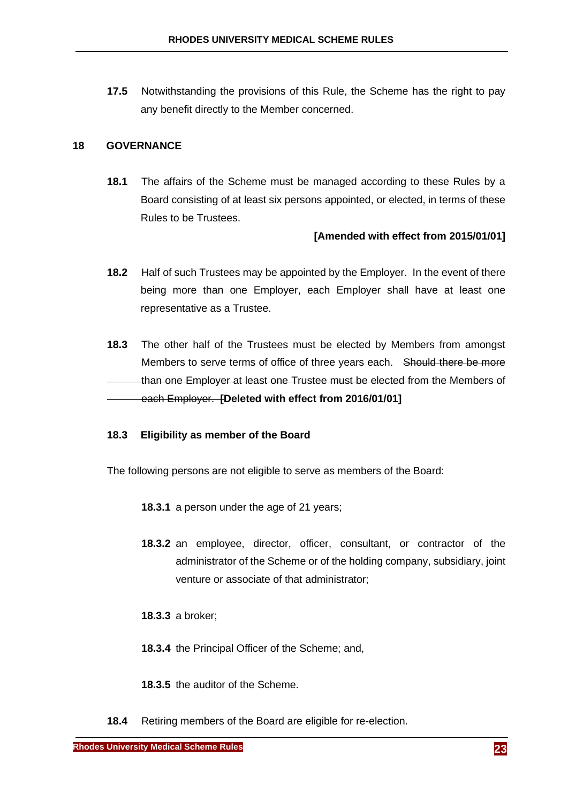**17.5** Notwithstanding the provisions of this Rule, the Scheme has the right to pay any benefit directly to the Member concerned.

### <span id="page-24-0"></span>**18 GOVERNANCE**

**18.1** The affairs of the Scheme must be managed according to these Rules by a Board consisting of at least six persons appointed, or elected, in terms of these Rules to be Trustees.

### **[Amended with effect from 2015/01/01]**

- **18.2** Half of such Trustees may be appointed by the Employer. In the event of there being more than one Employer, each Employer shall have at least one representative as a Trustee.
- **18.3** The other half of the Trustees must be elected by Members from amongst Members to serve terms of office of three years each. Should there be more than one Employer at least one Trustee must be elected from the Members of each Employer. **[Deleted with effect from 2016/01/01]**

### **18.3 Eligibility as member of the Board**

The following persons are not eligible to serve as members of the Board:

- **18.3.1** a person under the age of 21 years;
- **18.3.2** an employee, director, officer, consultant, or contractor of the administrator of the Scheme or of the holding company, subsidiary, joint venture or associate of that administrator;
- **18.3.3** a broker;
- **18.3.4** the Principal Officer of the Scheme; and,
- **18.3.5** the auditor of the Scheme.
- **18.4** Retiring members of the Board are eligible for re-election.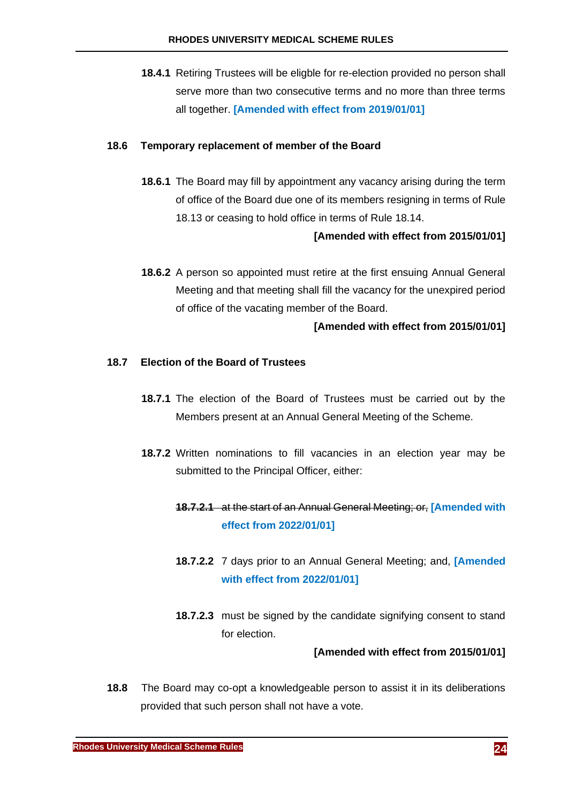**18.4.1** Retiring Trustees will be eligble for re-election provided no person shall serve more than two consecutive terms and no more than three terms all together. **[Amended with effect from 2019/01/01]**

### **18.6 Temporary replacement of member of the Board**

**18.6.1** The Board may fill by appointment any vacancy arising during the term of office of the Board due one of its members resigning in terms of Rule [18.13](#page-26-0) or ceasing to hold office in terms of Rule [18.14.](#page-26-1)

### **[Amended with effect from 2015/01/01]**

**18.6.2** A person so appointed must retire at the first ensuing Annual General Meeting and that meeting shall fill the vacancy for the unexpired period of office of the vacating member of the Board.

### **[Amended with effect from 2015/01/01]**

### **18.7 Election of the Board of Trustees**

- **18.7.1** The election of the Board of Trustees must be carried out by the Members present at an Annual General Meeting of the Scheme.
- **18.7.2** Written nominations to fill vacancies in an election year may be submitted to the Principal Officer, either:

# **18.7.2.1** at the start of an Annual General Meeting; or, **[Amended with effect from 2022/01/01]**

- **18.7.2.2** 7 days prior to an Annual General Meeting; and, **[Amended with effect from 2022/01/01]**
- **18.7.2.3** must be signed by the candidate signifying consent to stand for election.

#### **[Amended with effect from 2015/01/01]**

**18.8** The Board may co-opt a knowledgeable person to assist it in its deliberations provided that such person shall not have a vote.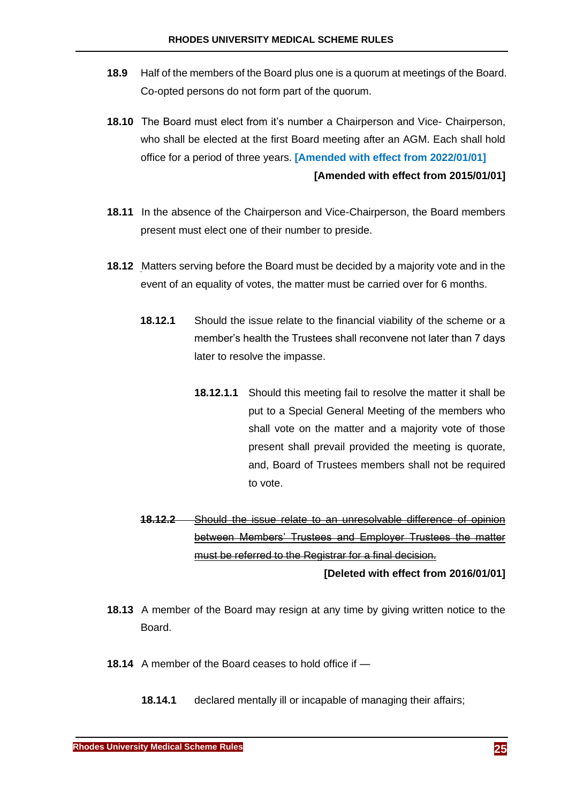- **18.9** Half of the members of the Board plus one is a quorum at meetings of the Board. Co-opted persons do not form part of the quorum.
- **18.10** The Board must elect from it's number a Chairperson and Vice- Chairperson, who shall be elected at the first Board meeting after an AGM. Each shall hold office for a period of three years. **[Amended with effect from 2022/01/01] [Amended with effect from 2015/01/01]**
- **18.11** In the absence of the Chairperson and Vice-Chairperson, the Board members present must elect one of their number to preside.
- **18.12** Matters serving before the Board must be decided by a majority vote and in the event of an equality of votes, the matter must be carried over for 6 months.
	- **18.12.1** Should the issue relate to the financial viability of the scheme or a member's health the Trustees shall reconvene not later than 7 days later to resolve the impasse.
		- **18.12.1.1** Should this meeting fail to resolve the matter it shall be put to a Special General Meeting of the members who shall vote on the matter and a majority vote of those present shall prevail provided the meeting is quorate, and, Board of Trustees members shall not be required to vote.
	- **18.12.2** Should the issue relate to an unresolvable difference of opinion between Members' Trustees and Employer Trustees the matter must be referred to the Registrar for a final decision.

**[Deleted with effect from 2016/01/01]**

- <span id="page-26-0"></span>**18.13** A member of the Board may resign at any time by giving written notice to the Board.
- <span id="page-26-2"></span><span id="page-26-1"></span>**18.14** A member of the Board ceases to hold office if —
	- **18.14.1** declared mentally ill or incapable of managing their affairs;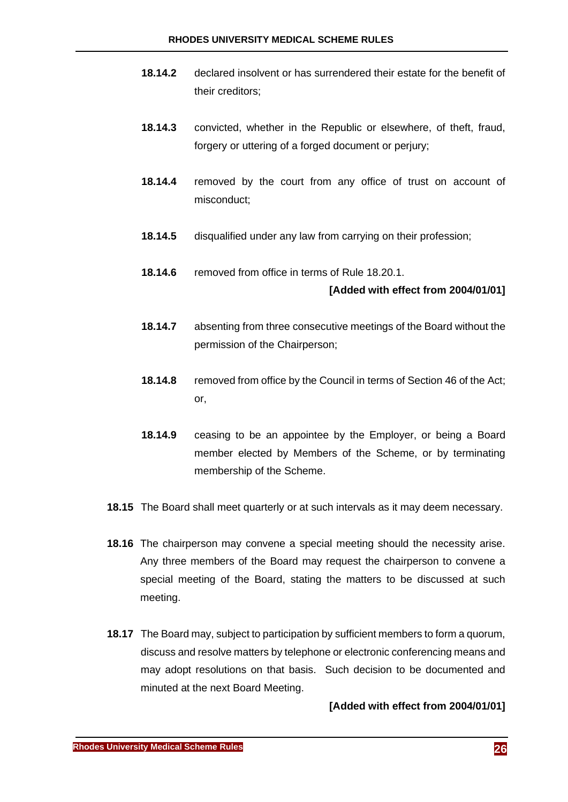- **18.14.2** declared insolvent or has surrendered their estate for the benefit of their creditors;
- **18.14.3** convicted, whether in the Republic or elsewhere, of theft, fraud, forgery or uttering of a forged document or perjury;
- **18.14.4** removed by the court from any office of trust on account of misconduct;
- **18.14.5** disqualified under any law from carrying on their profession;
- **18.14.6** removed from office in terms of Rule [18.20.1.](#page-28-1)

### **[Added with effect from 2004/01/01]**

- **18.14.7** absenting from three consecutive meetings of the Board without the permission of the Chairperson;
- <span id="page-27-0"></span>**18.14.8** removed from office by the Council in terms of Section 46 of the Act; or,
- **18.14.9** ceasing to be an appointee by the Employer, or being a Board member elected by Members of the Scheme, or by terminating membership of the Scheme.
- **18.15** The Board shall meet quarterly or at such intervals as it may deem necessary.
- **18.16** The chairperson may convene a special meeting should the necessity arise. Any three members of the Board may request the chairperson to convene a special meeting of the Board, stating the matters to be discussed at such meeting.
- **18.17** The Board may, subject to participation by sufficient members to form a quorum, discuss and resolve matters by telephone or electronic conferencing means and may adopt resolutions on that basis. Such decision to be documented and minuted at the next Board Meeting.

### **[Added with effect from 2004/01/01]**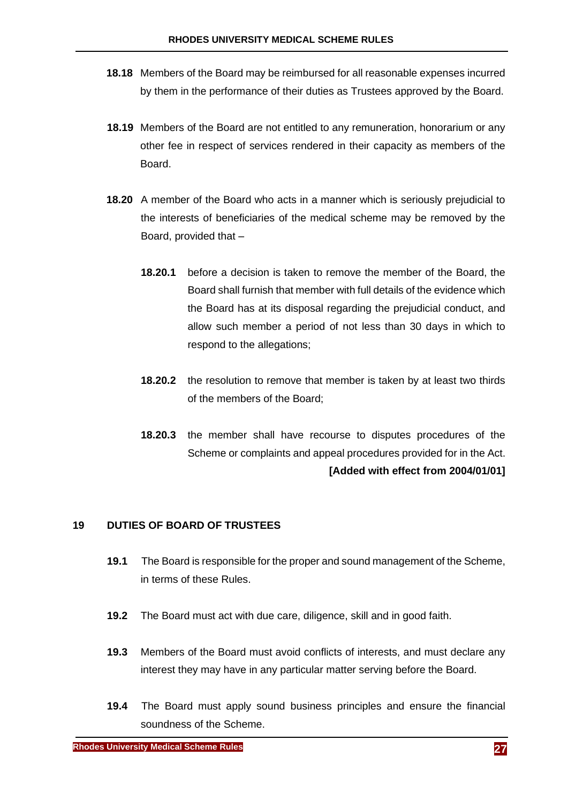- **18.18** Members of the Board may be reimbursed for all reasonable expenses incurred by them in the performance of their duties as Trustees approved by the Board.
- **18.19** Members of the Board are not entitled to any remuneration, honorarium or any other fee in respect of services rendered in their capacity as members of the **Board**
- <span id="page-28-1"></span>**18.20** A member of the Board who acts in a manner which is seriously prejudicial to the interests of beneficiaries of the medical scheme may be removed by the Board, provided that –
	- **18.20.1** before a decision is taken to remove the member of the Board, the Board shall furnish that member with full details of the evidence which the Board has at its disposal regarding the prejudicial conduct, and allow such member a period of not less than 30 days in which to respond to the allegations;
	- **18.20.2** the resolution to remove that member is taken by at least two thirds of the members of the Board;
	- **18.20.3** the member shall have recourse to disputes procedures of the Scheme or complaints and appeal procedures provided for in the Act.  **[Added with effect from 2004/01/01]**

### <span id="page-28-0"></span>**19 DUTIES OF BOARD OF TRUSTEES**

- **19.1** The Board is responsible for the proper and sound management of the Scheme, in terms of these Rules.
- **19.2** The Board must act with due care, diligence, skill and in good faith.
- **19.3** Members of the Board must avoid conflicts of interests, and must declare any interest they may have in any particular matter serving before the Board.
- **19.4** The Board must apply sound business principles and ensure the financial soundness of the Scheme.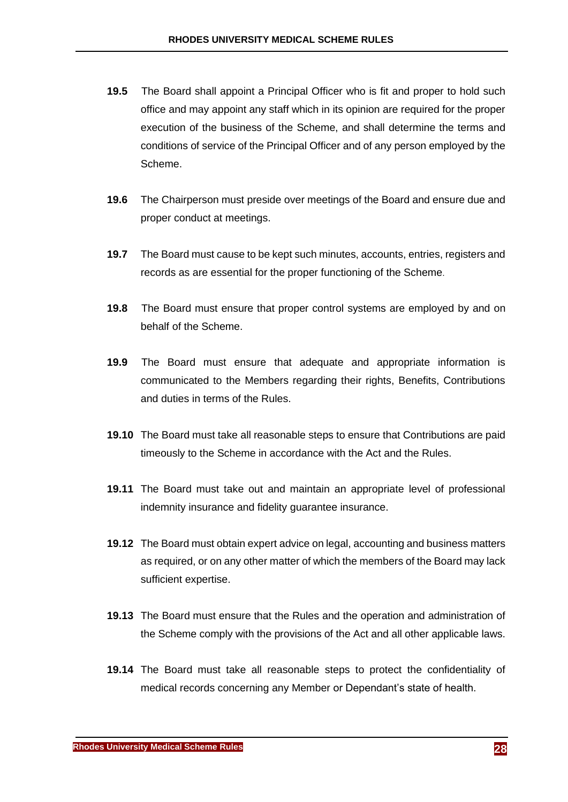- **19.5** The Board shall appoint a Principal Officer who is fit and proper to hold such office and may appoint any staff which in its opinion are required for the proper execution of the business of the Scheme, and shall determine the terms and conditions of service of the Principal Officer and of any person employed by the Scheme.
- **19.6** The Chairperson must preside over meetings of the Board and ensure due and proper conduct at meetings.
- **19.7** The Board must cause to be kept such minutes, accounts, entries, registers and records as are essential for the proper functioning of the Scheme.
- **19.8** The Board must ensure that proper control systems are employed by and on behalf of the Scheme.
- **19.9** The Board must ensure that adequate and appropriate information is communicated to the Members regarding their rights, Benefits, Contributions and duties in terms of the Rules.
- **19.10** The Board must take all reasonable steps to ensure that Contributions are paid timeously to the Scheme in accordance with the Act and the Rules.
- **19.11** The Board must take out and maintain an appropriate level of professional indemnity insurance and fidelity guarantee insurance.
- **19.12** The Board must obtain expert advice on legal, accounting and business matters as required, or on any other matter of which the members of the Board may lack sufficient expertise.
- **19.13** The Board must ensure that the Rules and the operation and administration of the Scheme comply with the provisions of the Act and all other applicable laws.
- **19.14** The Board must take all reasonable steps to protect the confidentiality of medical records concerning any Member or Dependant's state of health.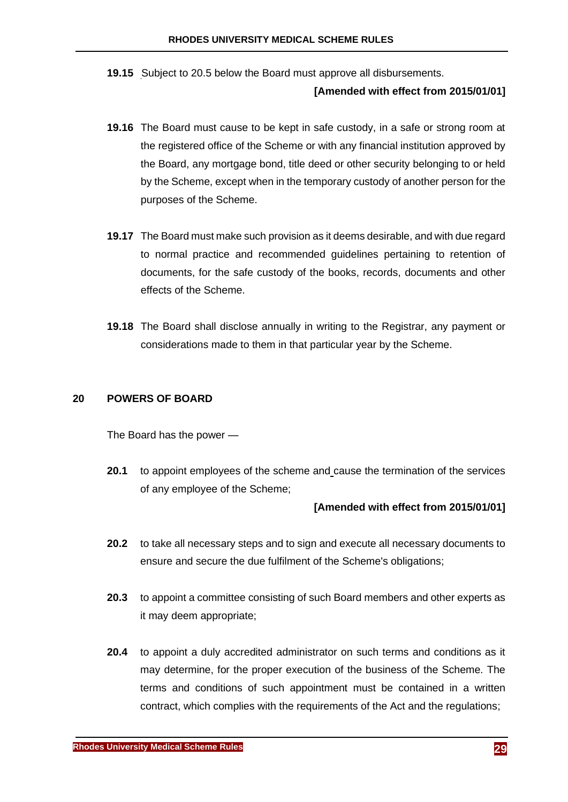**19.15** Subject to [20.5 below](#page-31-0) the Board must approve all disbursements.

### **[Amended with effect from 2015/01/01]**

- **19.16** The Board must cause to be kept in safe custody, in a safe or strong room at the registered office of the Scheme or with any financial institution approved by the Board, any mortgage bond, title deed or other security belonging to or held by the Scheme, except when in the temporary custody of another person for the purposes of the Scheme.
- **19.17** The Board must make such provision as it deems desirable, and with due regard to normal practice and recommended guidelines pertaining to retention of documents, for the safe custody of the books, records, documents and other effects of the Scheme.
- **19.18** The Board shall disclose annually in writing to the Registrar, any payment or considerations made to them in that particular year by the Scheme.

### <span id="page-30-0"></span>**20 POWERS OF BOARD**

The Board has the power —

**20.1** to appoint employees of the scheme and cause the termination of the services of any employee of the Scheme;

- **20.2** to take all necessary steps and to sign and execute all necessary documents to ensure and secure the due fulfilment of the Scheme's obligations;
- **20.3** to appoint a committee consisting of such Board members and other experts as it may deem appropriate;
- **20.4** to appoint a duly accredited administrator on such terms and conditions as it may determine, for the proper execution of the business of the Scheme. The terms and conditions of such appointment must be contained in a written contract, which complies with the requirements of the Act and the regulations;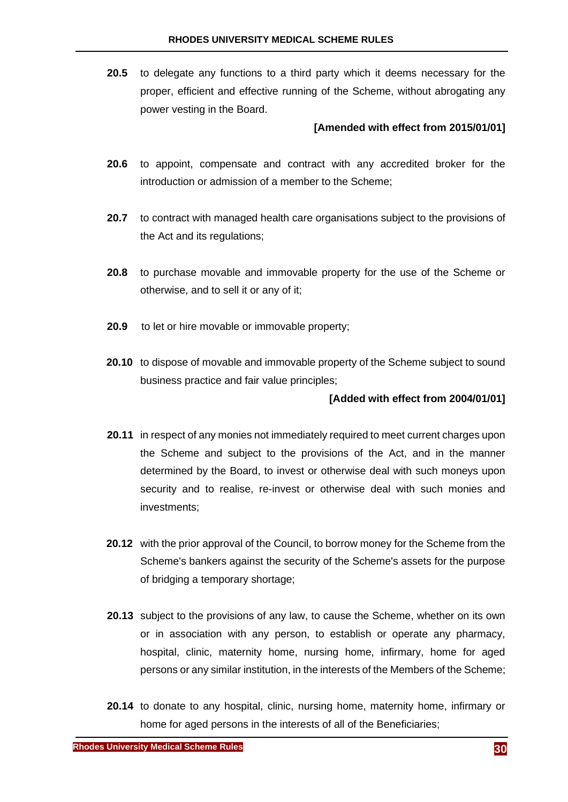<span id="page-31-0"></span>**20.5** to delegate any functions to a third party which it deems necessary for the proper, efficient and effective running of the Scheme, without abrogating any power vesting in the Board.

### **[Amended with effect from 2015/01/01]**

- **20.6** to appoint, compensate and contract with any accredited broker for the introduction or admission of a member to the Scheme;
- **20.7** to contract with managed health care organisations subject to the provisions of the Act and its regulations;
- **20.8** to purchase movable and immovable property for the use of the Scheme or otherwise, and to sell it or any of it;
- **20.9** to let or hire movable or immovable property;
- **20.10** to dispose of movable and immovable property of the Scheme subject to sound business practice and fair value principles;

#### **[Added with effect from 2004/01/01]**

- **20.11** in respect of any monies not immediately required to meet current charges upon the Scheme and subject to the provisions of the Act, and in the manner determined by the Board, to invest or otherwise deal with such moneys upon security and to realise, re-invest or otherwise deal with such monies and investments;
- **20.12** with the prior approval of the Council, to borrow money for the Scheme from the Scheme's bankers against the security of the Scheme's assets for the purpose of bridging a temporary shortage;
- **20.13** subject to the provisions of any law, to cause the Scheme, whether on its own or in association with any person, to establish or operate any pharmacy, hospital, clinic, maternity home, nursing home, infirmary, home for aged persons or any similar institution, in the interests of the Members of the Scheme;
- **20.14** to donate to any hospital, clinic, nursing home, maternity home, infirmary or home for aged persons in the interests of all of the Beneficiaries;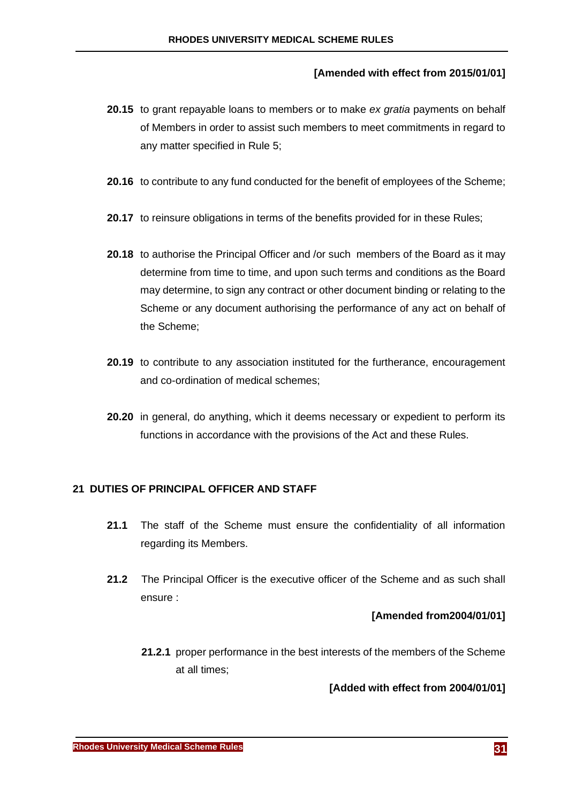# **[Amended with effect from 2015/01/01]**

- **20.15** to grant repayable loans to members or to make *ex gratia* payments on behalf of Members in order to assist such members to meet commitments in regard to any matter specified in Rule [5;](#page-9-0)
- **20.16** to contribute to any fund conducted for the benefit of employees of the Scheme;
- **20.17** to reinsure obligations in terms of the benefits provided for in these Rules;
- **20.18** to authorise the Principal Officer and /or such members of the Board as it may determine from time to time, and upon such terms and conditions as the Board may determine, to sign any contract or other document binding or relating to the Scheme or any document authorising the performance of any act on behalf of the Scheme;
- **20.19** to contribute to any association instituted for the furtherance, encouragement and co-ordination of medical schemes;
- **20.20** in general, do anything, which it deems necessary or expedient to perform its functions in accordance with the provisions of the Act and these Rules.

### <span id="page-32-0"></span>**21 DUTIES OF PRINCIPAL OFFICER AND STAFF**

- **21.1** The staff of the Scheme must ensure the confidentiality of all information regarding its Members.
- **21.2** The Principal Officer is the executive officer of the Scheme and as such shall ensure :

### **[Amended from2004/01/01]**

**21.2.1** proper performance in the best interests of the members of the Scheme at all times;

**[Added with effect from 2004/01/01]**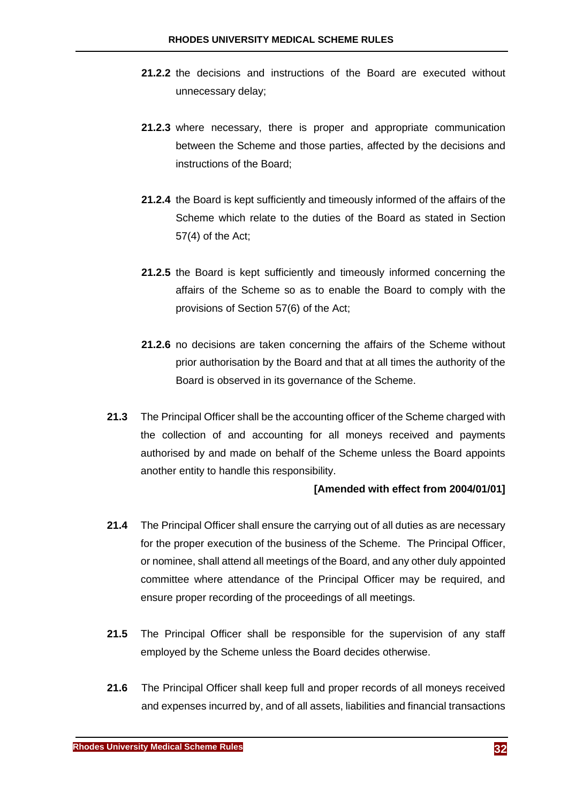- **21.2.2** the decisions and instructions of the Board are executed without unnecessary delay;
- **21.2.3** where necessary, there is proper and appropriate communication between the Scheme and those parties, affected by the decisions and instructions of the Board;
- **21.2.4** the Board is kept sufficiently and timeously informed of the affairs of the Scheme which relate to the duties of the Board as stated in Section 57(4) of the Act;
- **21.2.5** the Board is kept sufficiently and timeously informed concerning the affairs of the Scheme so as to enable the Board to comply with the provisions of Section 57(6) of the Act;
- **21.2.6** no decisions are taken concerning the affairs of the Scheme without prior authorisation by the Board and that at all times the authority of the Board is observed in its governance of the Scheme.
- **21.3** The Principal Officer shall be the accounting officer of the Scheme charged with the collection of and accounting for all moneys received and payments authorised by and made on behalf of the Scheme unless the Board appoints another entity to handle this responsibility.

- **21.4** The Principal Officer shall ensure the carrying out of all duties as are necessary for the proper execution of the business of the Scheme. The Principal Officer, or nominee, shall attend all meetings of the Board, and any other duly appointed committee where attendance of the Principal Officer may be required, and ensure proper recording of the proceedings of all meetings.
- **21.5** The Principal Officer shall be responsible for the supervision of any staff employed by the Scheme unless the Board decides otherwise.
- **21.6** The Principal Officer shall keep full and proper records of all moneys received and expenses incurred by, and of all assets, liabilities and financial transactions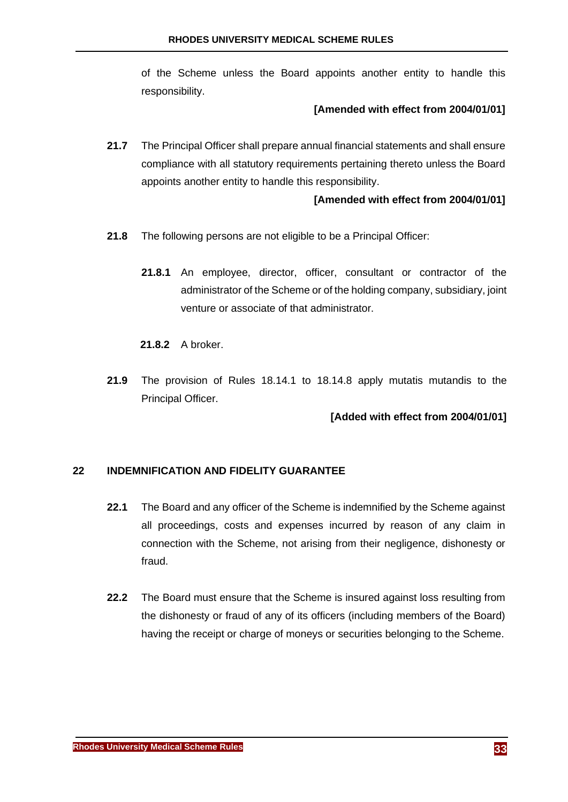of the Scheme unless the Board appoints another entity to handle this responsibility.

### **[Amended with effect from 2004/01/01]**

**21.7** The Principal Officer shall prepare annual financial statements and shall ensure compliance with all statutory requirements pertaining thereto unless the Board appoints another entity to handle this responsibility.

### **[Amended with effect from 2004/01/01]**

- **21.8** The following persons are not eligible to be a Principal Officer:
	- **21.8.1** An employee, director, officer, consultant or contractor of the administrator of the Scheme or of the holding company, subsidiary, joint venture or associate of that administrator.
	- **21.8.2** A broker.
- **21.9** The provision of Rules [18.14.1](#page-26-2) to [18.14.8](#page-27-0) apply mutatis mutandis to the Principal Officer.

### **[Added with effect from 2004/01/01]**

### <span id="page-34-0"></span>**22 INDEMNIFICATION AND FIDELITY GUARANTEE**

- **22.1** The Board and any officer of the Scheme is indemnified by the Scheme against all proceedings, costs and expenses incurred by reason of any claim in connection with the Scheme, not arising from their negligence, dishonesty or fraud.
- **22.2** The Board must ensure that the Scheme is insured against loss resulting from the dishonesty or fraud of any of its officers (including members of the Board) having the receipt or charge of moneys or securities belonging to the Scheme.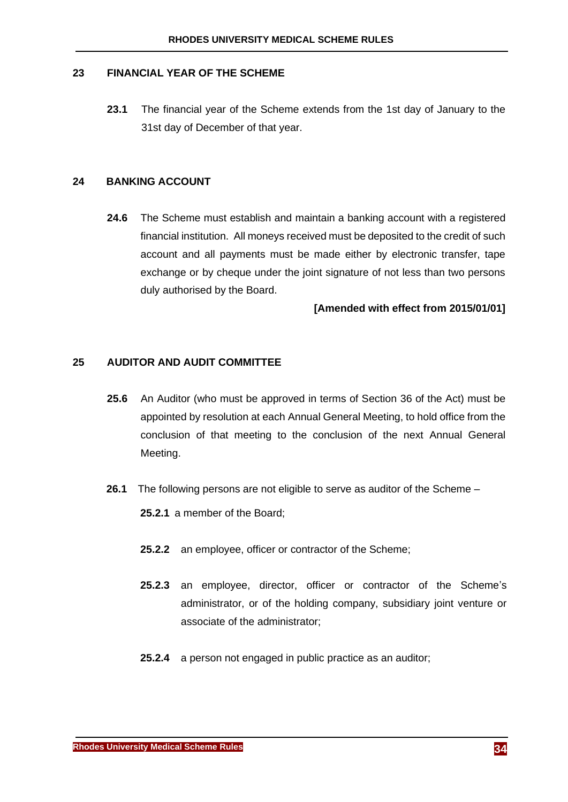### <span id="page-35-0"></span>**23 FINANCIAL YEAR OF THE SCHEME**

**23.1** The financial year of the Scheme extends from the 1st day of January to the 31st day of December of that year.

### <span id="page-35-1"></span>**24 BANKING ACCOUNT**

**24.6** The Scheme must establish and maintain a banking account with a registered financial institution. All moneys received must be deposited to the credit of such account and all payments must be made either by electronic transfer, tape exchange or by cheque under the joint signature of not less than two persons duly authorised by the Board.

### **[Amended with effect from 2015/01/01]**

### <span id="page-35-2"></span>**25 AUDITOR AND AUDIT COMMITTEE**

- **25.6** An Auditor (who must be approved in terms of Section 36 of the Act) must be appointed by resolution at each Annual General Meeting, to hold office from the conclusion of that meeting to the conclusion of the next Annual General Meeting.
- **26.1** The following persons are not eligible to serve as auditor of the Scheme
	- **25.2.1** a member of the Board;
	- **25.2.2** an employee, officer or contractor of the Scheme;
	- **25.2.3** an employee, director, officer or contractor of the Scheme's administrator, or of the holding company, subsidiary joint venture or associate of the administrator;
	- **25.2.4** a person not engaged in public practice as an auditor;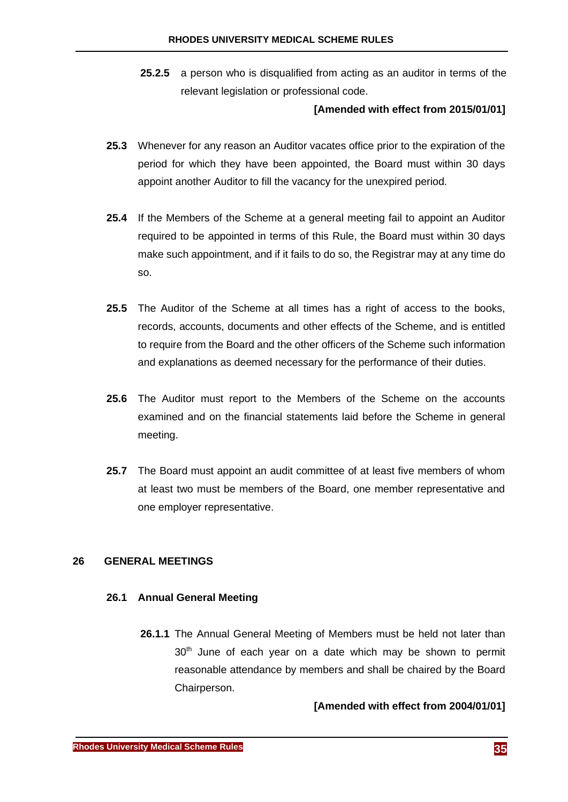**25.2.5** a person who is disqualified from acting as an auditor in terms of the relevant legislation or professional code.

#### **[Amended with effect from 2015/01/01]**

- **25.3** Whenever for any reason an Auditor vacates office prior to the expiration of the period for which they have been appointed, the Board must within 30 days appoint another Auditor to fill the vacancy for the unexpired period.
- **25.4** If the Members of the Scheme at a general meeting fail to appoint an Auditor required to be appointed in terms of this Rule, the Board must within 30 days make such appointment, and if it fails to do so, the Registrar may at any time do so.
- **25.5** The Auditor of the Scheme at all times has a right of access to the books, records, accounts, documents and other effects of the Scheme, and is entitled to require from the Board and the other officers of the Scheme such information and explanations as deemed necessary for the performance of their duties.
- **25.6** The Auditor must report to the Members of the Scheme on the accounts examined and on the financial statements laid before the Scheme in general meeting.
- **25.7** The Board must appoint an audit committee of at least five members of whom at least two must be members of the Board, one member representative and one employer representative.

#### **26 GENERAL MEETINGS**

#### **26.1 Annual General Meeting**

**26.1.1** The Annual General Meeting of Members must be held not later than 30<sup>th</sup> June of each year on a date which may be shown to permit reasonable attendance by members and shall be chaired by the Board Chairperson.

#### **[Amended with effect from 2004/01/01]**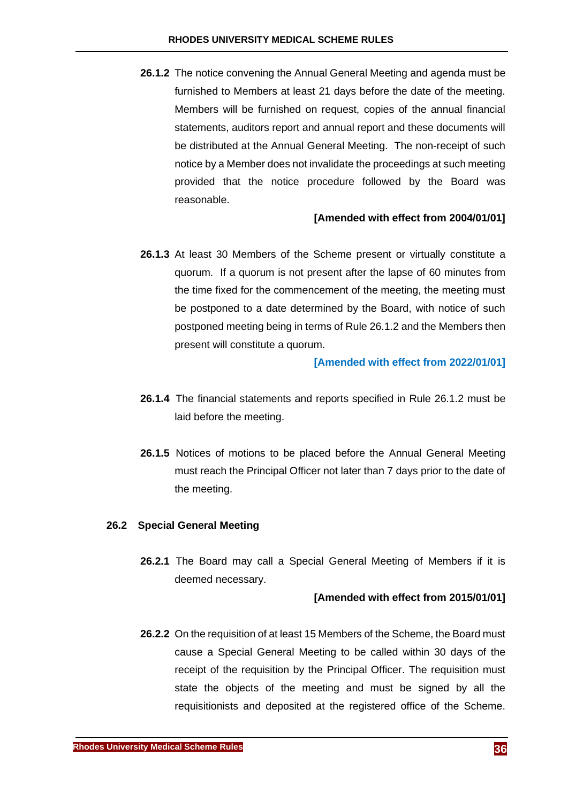<span id="page-37-0"></span>**26.1.2** The notice convening the Annual General Meeting and agenda must be furnished to Members at least 21 days before the date of the meeting. Members will be furnished on request, copies of the annual financial statements, auditors report and annual report and these documents will be distributed at the Annual General Meeting. The non-receipt of such notice by a Member does not invalidate the proceedings at such meeting provided that the notice procedure followed by the Board was reasonable.

#### **[Amended with effect from 2004/01/01]**

**26.1.3** At least 30 Members of the Scheme present or virtually constitute a quorum. If a quorum is not present after the lapse of 60 minutes from the time fixed for the commencement of the meeting, the meeting must be postponed to a date determined by the Board, with notice of such postponed meeting being in terms of Rule [26.1.2](#page-37-0) and the Members then present will constitute a quorum.

#### **[Amended with effect from 2022/01/01]**

- **26.1.4** The financial statements and reports specified in Rule [26.1.2](#page-37-0) must be laid before the meeting.
- **26.1.5** Notices of motions to be placed before the Annual General Meeting must reach the Principal Officer not later than 7 days prior to the date of the meeting.

#### **26.2 Special General Meeting**

**26.2.1** The Board may call a Special General Meeting of Members if it is deemed necessary.

#### **[Amended with effect from 2015/01/01]**

**26.2.2** On the requisition of at least 15 Members of the Scheme, the Board must cause a Special General Meeting to be called within 30 days of the receipt of the requisition by the Principal Officer. The requisition must state the objects of the meeting and must be signed by all the requisitionists and deposited at the registered office of the Scheme.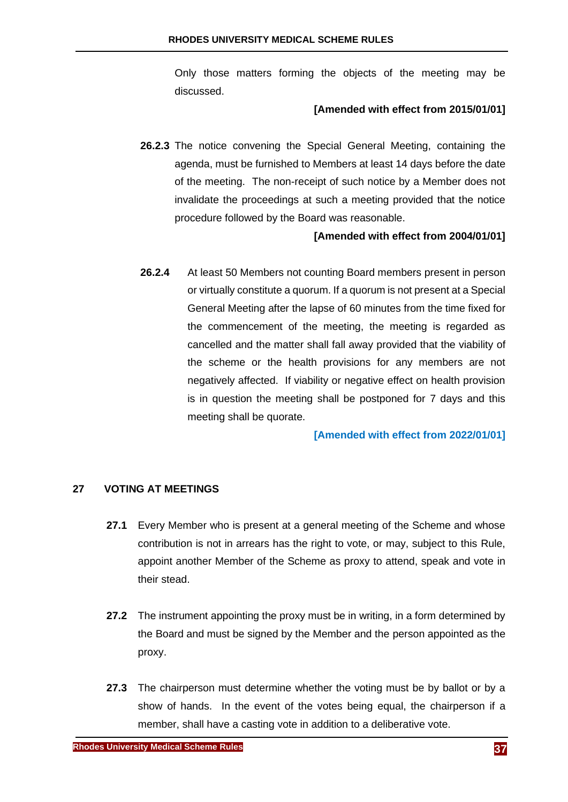Only those matters forming the objects of the meeting may be discussed.

#### **[Amended with effect from 2015/01/01]**

**26.2.3** The notice convening the Special General Meeting, containing the agenda, must be furnished to Members at least 14 days before the date of the meeting. The non-receipt of such notice by a Member does not invalidate the proceedings at such a meeting provided that the notice procedure followed by the Board was reasonable.

# **[Amended with effect from 2004/01/01]**

**26.2.4** At least 50 Members not counting Board members present in person or virtually constitute a quorum. If a quorum is not present at a Special General Meeting after the lapse of 60 minutes from the time fixed for the commencement of the meeting, the meeting is regarded as cancelled and the matter shall fall away provided that the viability of the scheme or the health provisions for any members are not negatively affected. If viability or negative effect on health provision is in question the meeting shall be postponed for 7 days and this meeting shall be quorate.

#### **[Amended with effect from 2022/01/01]**

#### **27 VOTING AT MEETINGS**

- **27.1** Every Member who is present at a general meeting of the Scheme and whose contribution is not in arrears has the right to vote, or may, subject to this Rule, appoint another Member of the Scheme as proxy to attend, speak and vote in their stead.
- **27.2** The instrument appointing the proxy must be in writing, in a form determined by the Board and must be signed by the Member and the person appointed as the proxy.
- **27.3** The chairperson must determine whether the voting must be by ballot or by a show of hands. In the event of the votes being equal, the chairperson if a member, shall have a casting vote in addition to a deliberative vote.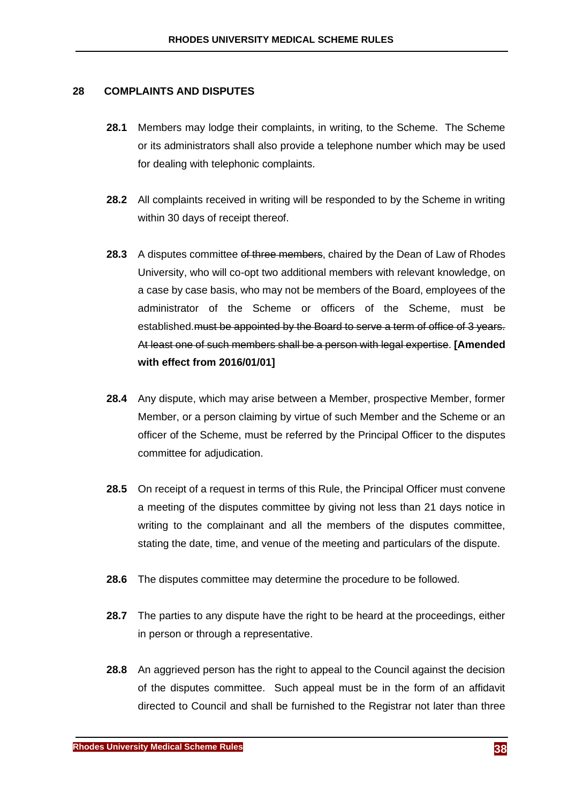#### **28 COMPLAINTS AND DISPUTES**

- **28.1** Members may lodge their complaints, in writing, to the Scheme. The Scheme or its administrators shall also provide a telephone number which may be used for dealing with telephonic complaints.
- **28.2** All complaints received in writing will be responded to by the Scheme in writing within 30 days of receipt thereof.
- **28.3** A disputes committee of three members, chaired by the Dean of Law of Rhodes University, who will co-opt two additional members with relevant knowledge, on a case by case basis, who may not be members of the Board, employees of the administrator of the Scheme or officers of the Scheme, must be established. must be appointed by the Board to serve a term of office of 3 years. At least one of such members shall be a person with legal expertise. **[Amended with effect from 2016/01/01]**
- **28.4** Any dispute, which may arise between a Member, prospective Member, former Member, or a person claiming by virtue of such Member and the Scheme or an officer of the Scheme, must be referred by the Principal Officer to the disputes committee for adjudication.
- **28.5** On receipt of a request in terms of this Rule, the Principal Officer must convene a meeting of the disputes committee by giving not less than 21 days notice in writing to the complainant and all the members of the disputes committee, stating the date, time, and venue of the meeting and particulars of the dispute.
- **28.6** The disputes committee may determine the procedure to be followed.
- **28.7** The parties to any dispute have the right to be heard at the proceedings, either in person or through a representative.
- <span id="page-39-0"></span>**28.8** An aggrieved person has the right to appeal to the Council against the decision of the disputes committee. Such appeal must be in the form of an affidavit directed to Council and shall be furnished to the Registrar not later than three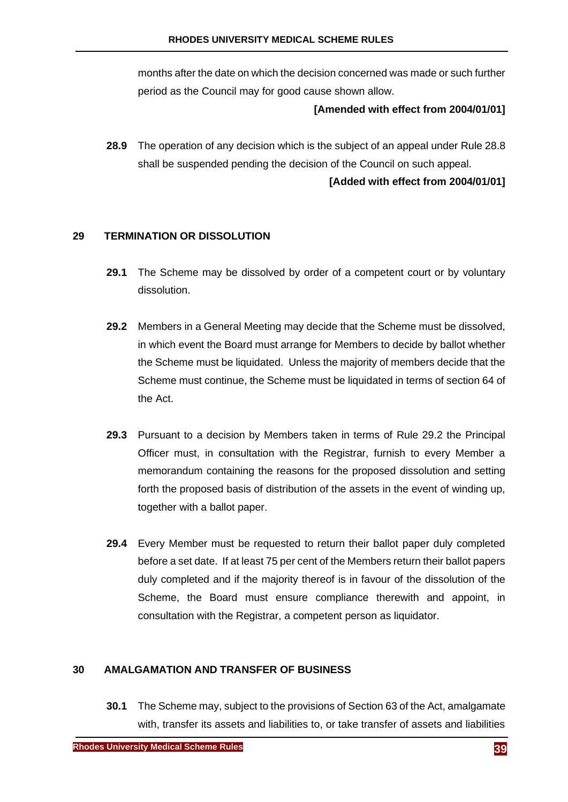months after the date on which the decision concerned was made or such further period as the Council may for good cause shown allow.

#### **[Amended with effect from 2004/01/01]**

**28.9** The operation of any decision which is the subject of an appeal under Rule [28.8](#page-39-0) shall be suspended pending the decision of the Council on such appeal.

# **[Added with effect from 2004/01/01]**

# **29 TERMINATION OR DISSOLUTION**

- **29.1** The Scheme may be dissolved by order of a competent court or by voluntary dissolution.
- <span id="page-40-0"></span>**29.2** Members in a General Meeting may decide that the Scheme must be dissolved, in which event the Board must arrange for Members to decide by ballot whether the Scheme must be liquidated. Unless the majority of members decide that the Scheme must continue, the Scheme must be liquidated in terms of section 64 of the Act.
- **29.3** Pursuant to a decision by Members taken in terms of Rule [29.2](#page-40-0) the Principal Officer must, in consultation with the Registrar, furnish to every Member a memorandum containing the reasons for the proposed dissolution and setting forth the proposed basis of distribution of the assets in the event of winding up, together with a ballot paper.
- **29.4** Every Member must be requested to return their ballot paper duly completed before a set date. If at least 75 per cent of the Members return their ballot papers duly completed and if the majority thereof is in favour of the dissolution of the Scheme, the Board must ensure compliance therewith and appoint, in consultation with the Registrar, a competent person as liquidator.

#### **30 AMALGAMATION AND TRANSFER OF BUSINESS**

**30.1** The Scheme may, subject to the provisions of Section 63 of the Act, amalgamate with, transfer its assets and liabilities to, or take transfer of assets and liabilities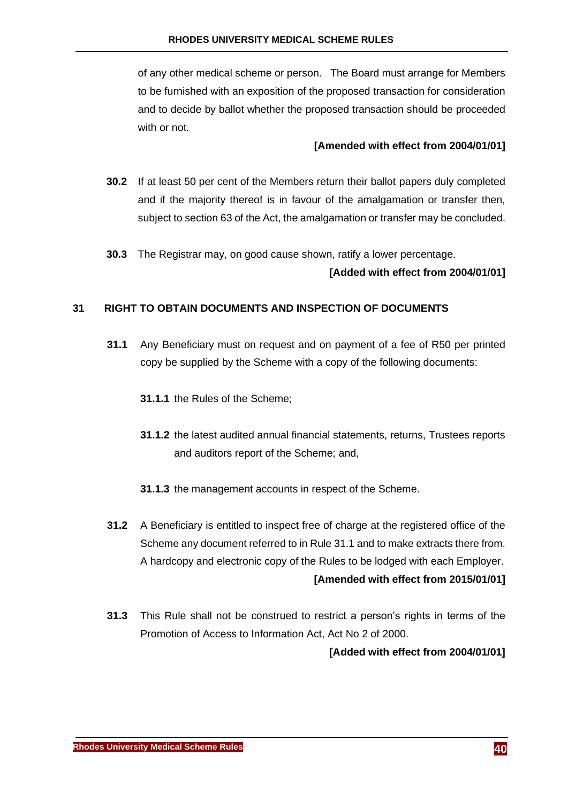of any other medical scheme or person. The Board must arrange for Members to be furnished with an exposition of the proposed transaction for consideration and to decide by ballot whether the proposed transaction should be proceeded with or not.

# **[Amended with effect from 2004/01/01]**

- **30.2** If at least 50 per cent of the Members return their ballot papers duly completed and if the majority thereof is in favour of the amalgamation or transfer then, subject to section 63 of the Act, the amalgamation or transfer may be concluded.
- **30.3** The Registrar may, on good cause shown, ratify a lower percentage.

# **[Added with effect from 2004/01/01]**

# <span id="page-41-0"></span>**31 RIGHT TO OBTAIN DOCUMENTS AND INSPECTION OF DOCUMENTS**

- **31.1** Any Beneficiary must on request and on payment of a fee of R50 per printed copy be supplied by the Scheme with a copy of the following documents:
	- **31.1.1** the Rules of the Scheme;
	- **31.1.2** the latest audited annual financial statements, returns, Trustees reports and auditors report of the Scheme; and,
	- **31.1.3** the management accounts in respect of the Scheme.
- **31.2** A Beneficiary is entitled to inspect free of charge at the registered office of the Scheme any document referred to in Rule [31.1](#page-41-0) and to make extracts there from. A hardcopy and electronic copy of the Rules to be lodged with each Employer. **[Amended with effect from 2015/01/01]**
- **31.3** This Rule shall not be construed to restrict a person's rights in terms of the Promotion of Access to Information Act, Act No 2 of 2000.

**[Added with effect from 2004/01/01]**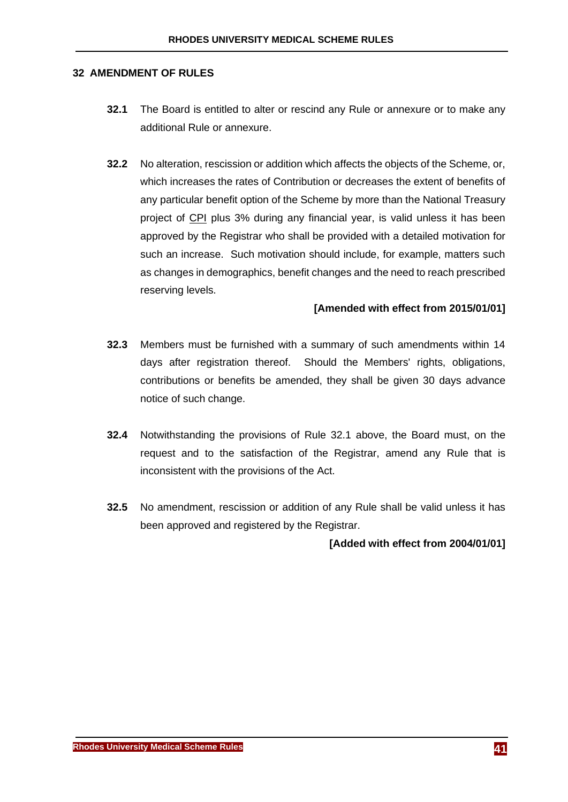#### <span id="page-42-0"></span>**32 AMENDMENT OF RULES**

- **32.1** The Board is entitled to alter or rescind any Rule or annexure or to make any additional Rule or annexure.
- **32.2** No alteration, rescission or addition which affects the objects of the Scheme, or, which increases the rates of Contribution or decreases the extent of benefits of any particular benefit option of the Scheme by more than the National Treasury project of CPI plus 3% during any financial year, is valid unless it has been approved by the Registrar who shall be provided with a detailed motivation for such an increase. Such motivation should include, for example, matters such as changes in demographics, benefit changes and the need to reach prescribed reserving levels.

## **[Amended with effect from 2015/01/01]**

- **32.3** Members must be furnished with a summary of such amendments within 14 days after registration thereof. Should the Members' rights, obligations, contributions or benefits be amended, they shall be given 30 days advance notice of such change.
- **32.4** Notwithstanding the provisions of Rule [32.1 above,](#page-42-0) the Board must, on the request and to the satisfaction of the Registrar, amend any Rule that is inconsistent with the provisions of the Act.
- **32.5** No amendment, rescission or addition of any Rule shall be valid unless it has been approved and registered by the Registrar.

#### **[Added with effect from 2004/01/01]**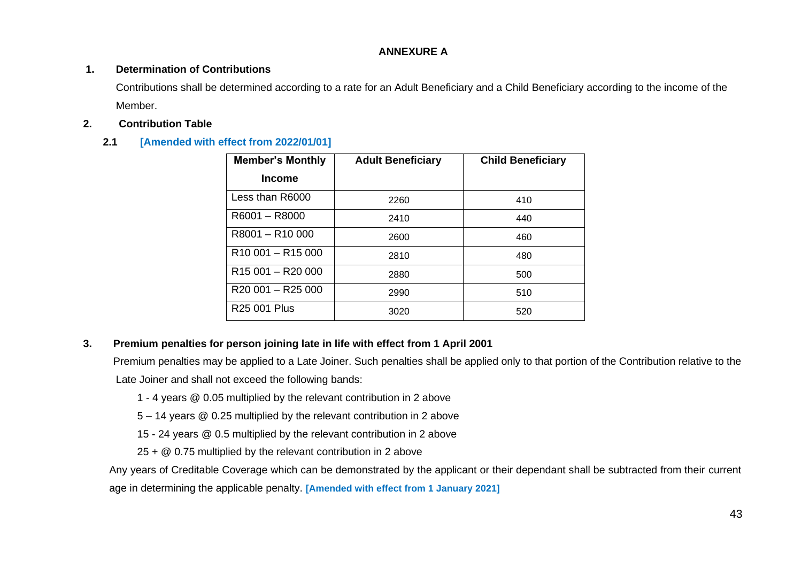### **ANNEXURE A**

#### **1. Determination of Contributions**

Contributions shall be determined according to a rate for an Adult Beneficiary and a Child Beneficiary according to the income of the Member.

### **2. Contribution Table**

# **2.1 [Amended with effect from 2022/01/01]**

| <b>Member's Monthly</b>                   | <b>Adult Beneficiary</b> | <b>Child Beneficiary</b> |
|-------------------------------------------|--------------------------|--------------------------|
| <b>Income</b>                             |                          |                          |
| Less than R6000                           | 2260                     | 410                      |
| R6001 - R8000                             | 2410                     | 440                      |
| R8001-R10000                              | 2600                     | 460                      |
| R <sub>10</sub> 001 - R <sub>15</sub> 000 | 2810                     | 480                      |
| R <sub>15</sub> 001 - R <sub>20</sub> 000 | 2880                     | 500                      |
| R20 001 - R25 000                         | 2990                     | 510                      |
| R25 001 Plus                              | 3020                     | 520                      |

## **3. Premium penalties for person joining late in life with effect from 1 April 2001**

Premium penalties may be applied to a Late Joiner. Such penalties shall be applied only to that portion of the Contribution relative to the Late Joiner and shall not exceed the following bands:

- 1 4 years @ 0.05 multiplied by the relevant contribution in 2 above
- 5 14 years @ 0.25 multiplied by the relevant contribution in 2 above
- 15 24 years @ 0.5 multiplied by the relevant contribution in 2 above

25 + @ 0.75 multiplied by the relevant contribution in 2 above

Any years of Creditable Coverage which can be demonstrated by the applicant or their dependant shall be subtracted from their current age in determining the applicable penalty. **[Amended with effect from 1 January 2021]**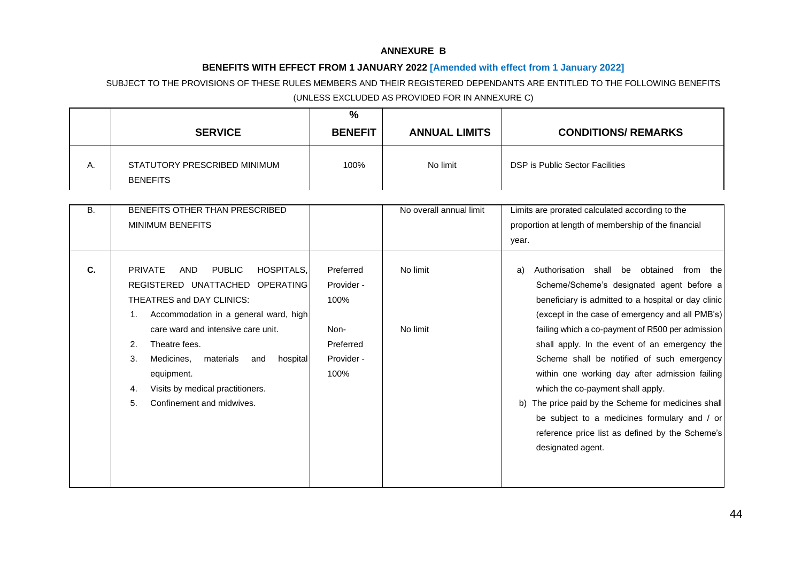#### **ANNEXURE B**

#### **BENEFITS WITH EFFECT FROM 1 JANUARY 2022 [Amended with effect from 1 January 2022]**

# SUBJECT TO THE PROVISIONS OF THESE RULES MEMBERS AND THEIR REGISTERED DEPENDANTS ARE ENTITLED TO THE FOLLOWING BENEFITS (UNLESS EXCLUDED AS PROVIDED FOR IN ANNEXURE C)

|           |                                                                                                                                                                                                                                                                                                                                                                                        | $\frac{0}{0}$                                                              |                         |                                                                                                                                                                                                                                                                                                                                                                                                                                                                                                                                                                                                                                |
|-----------|----------------------------------------------------------------------------------------------------------------------------------------------------------------------------------------------------------------------------------------------------------------------------------------------------------------------------------------------------------------------------------------|----------------------------------------------------------------------------|-------------------------|--------------------------------------------------------------------------------------------------------------------------------------------------------------------------------------------------------------------------------------------------------------------------------------------------------------------------------------------------------------------------------------------------------------------------------------------------------------------------------------------------------------------------------------------------------------------------------------------------------------------------------|
|           | <b>SERVICE</b>                                                                                                                                                                                                                                                                                                                                                                         | <b>BENEFIT</b>                                                             | <b>ANNUAL LIMITS</b>    | <b>CONDITIONS/ REMARKS</b>                                                                                                                                                                                                                                                                                                                                                                                                                                                                                                                                                                                                     |
| Α.        | STATUTORY PRESCRIBED MINIMUM<br><b>BENEFITS</b>                                                                                                                                                                                                                                                                                                                                        | 100%                                                                       | No limit                | DSP is Public Sector Facilities                                                                                                                                                                                                                                                                                                                                                                                                                                                                                                                                                                                                |
| <b>B.</b> | BENEFITS OTHER THAN PRESCRIBED<br><b>MINIMUM BENEFITS</b>                                                                                                                                                                                                                                                                                                                              |                                                                            | No overall annual limit | Limits are prorated calculated according to the<br>proportion at length of membership of the financial<br>year.                                                                                                                                                                                                                                                                                                                                                                                                                                                                                                                |
| C.        | <b>PRIVATE</b><br><b>PUBLIC</b><br><b>HOSPITALS.</b><br>AND<br>REGISTERED UNATTACHED OPERATING<br>THEATRES and DAY CLINICS:<br>Accommodation in a general ward, high<br>1.<br>care ward and intensive care unit.<br>Theatre fees.<br>2.<br>3.<br>Medicines,<br>materials<br>hospital<br>and<br>equipment.<br>Visits by medical practitioners.<br>4.<br>5.<br>Confinement and midwives. | Preferred<br>Provider -<br>100%<br>Non-<br>Preferred<br>Provider -<br>100% | No limit<br>No limit    | Authorisation shall be obtained from the<br>a)<br>Scheme/Scheme's designated agent before a<br>beneficiary is admitted to a hospital or day clinic<br>(except in the case of emergency and all PMB's)<br>failing which a co-payment of R500 per admission<br>shall apply. In the event of an emergency the<br>Scheme shall be notified of such emergency<br>within one working day after admission failing<br>which the co-payment shall apply.<br>b) The price paid by the Scheme for medicines shall<br>be subject to a medicines formulary and / or<br>reference price list as defined by the Scheme's<br>designated agent. |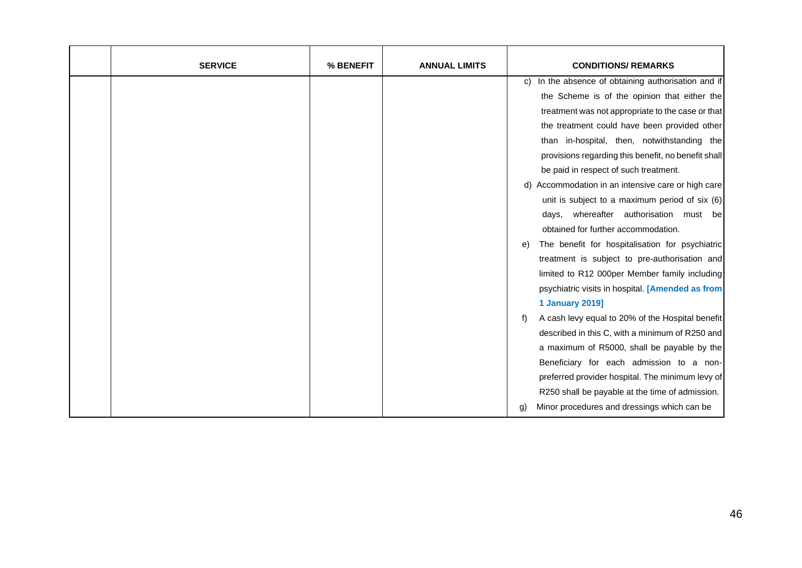| <b>SERVICE</b> | % BENEFIT | <b>ANNUAL LIMITS</b> | <b>CONDITIONS/ REMARKS</b>                             |
|----------------|-----------|----------------------|--------------------------------------------------------|
|                |           |                      | In the absence of obtaining authorisation and if<br>C) |
|                |           |                      | the Scheme is of the opinion that either the           |
|                |           |                      | treatment was not appropriate to the case or that      |
|                |           |                      | the treatment could have been provided other           |
|                |           |                      | than in-hospital, then, notwithstanding the            |
|                |           |                      | provisions regarding this benefit, no benefit shall    |
|                |           |                      | be paid in respect of such treatment.                  |
|                |           |                      | d) Accommodation in an intensive care or high care     |
|                |           |                      | unit is subject to a maximum period of six (6)         |
|                |           |                      | days, whereafter authorisation must be                 |
|                |           |                      | obtained for further accommodation.                    |
|                |           |                      | The benefit for hospitalisation for psychiatric<br>e)  |
|                |           |                      | treatment is subject to pre-authorisation and          |
|                |           |                      | limited to R12 000per Member family including          |
|                |           |                      | psychiatric visits in hospital. [Amended as from       |
|                |           |                      | <b>1 January 2019]</b>                                 |
|                |           |                      | A cash levy equal to 20% of the Hospital benefit<br>t) |
|                |           |                      | described in this C, with a minimum of R250 and        |
|                |           |                      | a maximum of R5000, shall be payable by the            |
|                |           |                      | Beneficiary for each admission to a non-               |
|                |           |                      | preferred provider hospital. The minimum levy of       |
|                |           |                      | R250 shall be payable at the time of admission.        |
|                |           |                      | Minor procedures and dressings which can be<br>g)      |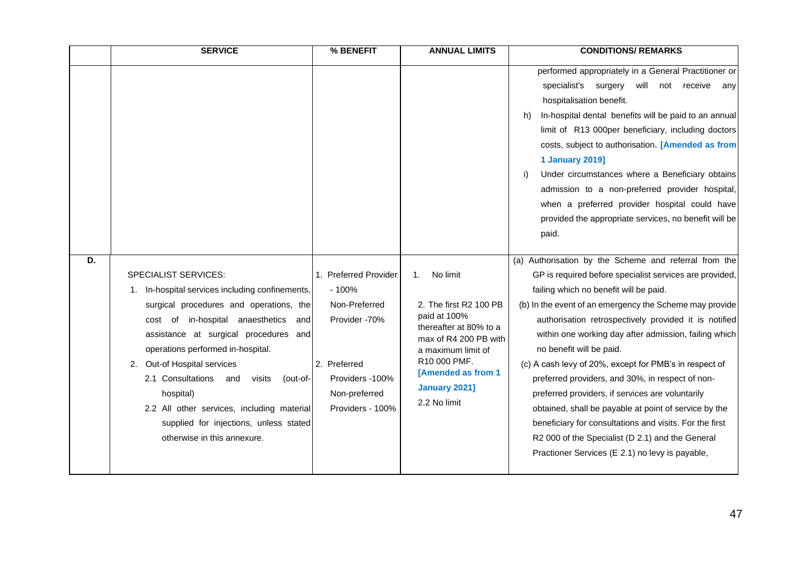|    | <b>SERVICE</b>                                                                                                                                                                                                                                                                                                                                                                                                                        | % BENEFIT                                                                                                         | <b>ANNUAL LIMITS</b>                                                                                                                                                                   | <b>CONDITIONS/ REMARKS</b>                                                                                                                                                                                                                                                                                                                                                                                                                                                                                                                                                                                                                                                              |
|----|---------------------------------------------------------------------------------------------------------------------------------------------------------------------------------------------------------------------------------------------------------------------------------------------------------------------------------------------------------------------------------------------------------------------------------------|-------------------------------------------------------------------------------------------------------------------|----------------------------------------------------------------------------------------------------------------------------------------------------------------------------------------|-----------------------------------------------------------------------------------------------------------------------------------------------------------------------------------------------------------------------------------------------------------------------------------------------------------------------------------------------------------------------------------------------------------------------------------------------------------------------------------------------------------------------------------------------------------------------------------------------------------------------------------------------------------------------------------------|
| D. | <b>SPECIALIST SERVICES:</b>                                                                                                                                                                                                                                                                                                                                                                                                           | 1. Preferred Provider                                                                                             | No limit<br>1 <sub>1</sub>                                                                                                                                                             | performed appropriately in a General Practitioner or<br>specialist's surgery will not receive<br>any<br>hospitalisation benefit.<br>In-hospital dental benefits will be paid to an annual<br>h)<br>limit of R13 000per beneficiary, including doctors<br>costs, subject to authorisation. [Amended as from<br><b>1 January 2019]</b><br>Under circumstances where a Beneficiary obtains<br>i)<br>admission to a non-preferred provider hospital,<br>when a preferred provider hospital could have<br>provided the appropriate services, no benefit will be<br>paid.<br>(a) Authorisation by the Scheme and referral from the<br>GP is required before specialist services are provided, |
|    | 1. In-hospital services including confinements,<br>surgical procedures and operations, the<br>cost of in-hospital anaesthetics<br>and<br>assistance at surgical procedures and<br>operations performed in-hospital.<br>2. Out-of Hospital services<br>2.1 Consultations and<br>visits<br>(out-of-<br>hospital)<br>2.2 All other services, including material<br>supplied for injections, unless stated<br>otherwise in this annexure. | $-100%$<br>Non-Preferred<br>Provider -70%<br>2. Preferred<br>Providers -100%<br>Non-preferred<br>Providers - 100% | 2. The first R2 100 PB<br>paid at 100%<br>thereafter at 80% to a<br>max of R4 200 PB with<br>a maximum limit of<br>R10 000 PMF.<br>[Amended as from 1<br>January 2021]<br>2.2 No limit | failing which no benefit will be paid.<br>(b) In the event of an emergency the Scheme may provide<br>authorisation retrospectively provided it is notified<br>within one working day after admission, failing which<br>no benefit will be paid.<br>(c) A cash levy of 20%, except for PMB's in respect of<br>preferred providers, and 30%, in respect of non-<br>preferred providers, if services are voluntarily<br>obtained, shall be payable at point of service by the<br>beneficiary for consultations and visits. For the first<br>R2 000 of the Specialist (D 2.1) and the General<br>Practioner Services (E 2.1) no levy is payable,                                            |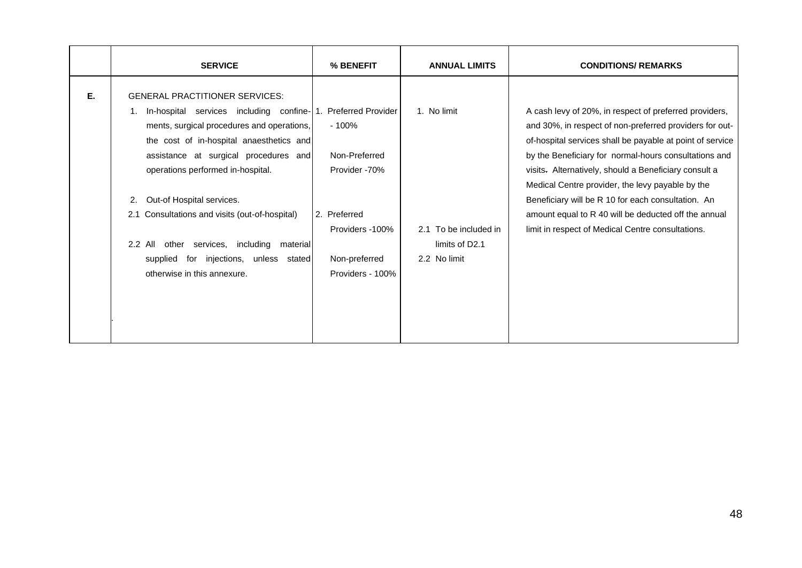|    | <b>SERVICE</b>                                                                                                                                                                                                                                                                                                                                                                                                                                                                        | % BENEFIT                                                                                                                                      | <b>ANNUAL LIMITS</b>                                                   | <b>CONDITIONS/ REMARKS</b>                                                                                                                                                                                                                                                                                                                                                                                                                                                                                              |
|----|---------------------------------------------------------------------------------------------------------------------------------------------------------------------------------------------------------------------------------------------------------------------------------------------------------------------------------------------------------------------------------------------------------------------------------------------------------------------------------------|------------------------------------------------------------------------------------------------------------------------------------------------|------------------------------------------------------------------------|-------------------------------------------------------------------------------------------------------------------------------------------------------------------------------------------------------------------------------------------------------------------------------------------------------------------------------------------------------------------------------------------------------------------------------------------------------------------------------------------------------------------------|
| Е. | <b>GENERAL PRACTITIONER SERVICES:</b><br>In-hospital services including confine-1.<br>1.<br>ments, surgical procedures and operations,<br>the cost of in-hospital anaesthetics and<br>assistance at surgical procedures and<br>operations performed in-hospital.<br>Out-of Hospital services.<br>2.<br>2.1 Consultations and visits (out-of-hospital)<br>2.2 All<br>other services, including<br>material<br>for injections, unless stated<br>supplied<br>otherwise in this annexure. | <b>Preferred Provider</b><br>$-100%$<br>Non-Preferred<br>Provider -70%<br>2. Preferred<br>Providers -100%<br>Non-preferred<br>Providers - 100% | 1. No limit<br>2.1 To be included in<br>limits of D2.1<br>2.2 No limit | A cash levy of 20%, in respect of preferred providers,<br>and 30%, in respect of non-preferred providers for out-<br>of-hospital services shall be payable at point of service<br>by the Beneficiary for normal-hours consultations and<br>visits. Alternatively, should a Beneficiary consult a<br>Medical Centre provider, the levy payable by the<br>Beneficiary will be R 10 for each consultation. An<br>amount equal to R 40 will be deducted off the annual<br>limit in respect of Medical Centre consultations. |
|    |                                                                                                                                                                                                                                                                                                                                                                                                                                                                                       |                                                                                                                                                |                                                                        |                                                                                                                                                                                                                                                                                                                                                                                                                                                                                                                         |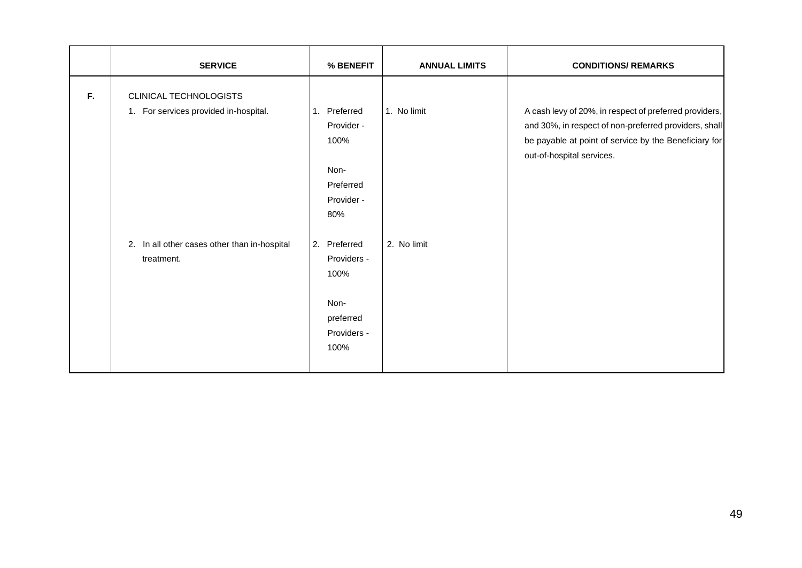|    | <b>SERVICE</b>                                                  | % BENEFIT                                                                          | <b>ANNUAL LIMITS</b> | <b>CONDITIONS/ REMARKS</b>                                                                                                                                                                            |
|----|-----------------------------------------------------------------|------------------------------------------------------------------------------------|----------------------|-------------------------------------------------------------------------------------------------------------------------------------------------------------------------------------------------------|
| F. | CLINICAL TECHNOLOGISTS<br>1. For services provided in-hospital. | Preferred<br>1.<br>Provider -<br>100%<br>Non-<br>Preferred<br>Provider -<br>80%    | 1. No limit          | A cash levy of 20%, in respect of preferred providers,<br>and 30%, in respect of non-preferred providers, shall<br>be payable at point of service by the Beneficiary for<br>out-of-hospital services. |
|    | In all other cases other than in-hospital<br>2.<br>treatment.   | Preferred<br>2.<br>Providers -<br>100%<br>Non-<br>preferred<br>Providers -<br>100% | 2. No limit          |                                                                                                                                                                                                       |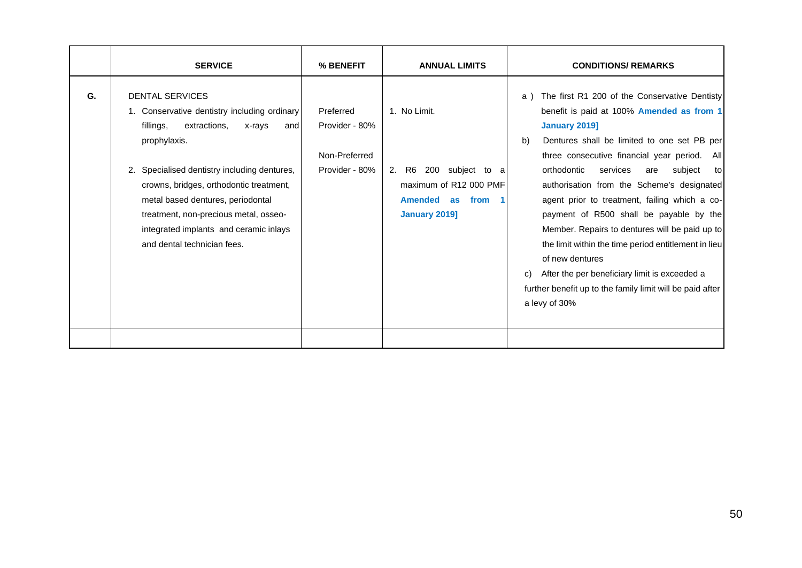|    | <b>SERVICE</b>                                                                                                                                                                                                                                                                                                                                                                         | % BENEFIT                                                      | <b>ANNUAL LIMITS</b>                                                                                                          | <b>CONDITIONS/ REMARKS</b>                                                                                                                                                                                                                                                                                                                                                                                                                                                                                                                                                                                                                                                       |
|----|----------------------------------------------------------------------------------------------------------------------------------------------------------------------------------------------------------------------------------------------------------------------------------------------------------------------------------------------------------------------------------------|----------------------------------------------------------------|-------------------------------------------------------------------------------------------------------------------------------|----------------------------------------------------------------------------------------------------------------------------------------------------------------------------------------------------------------------------------------------------------------------------------------------------------------------------------------------------------------------------------------------------------------------------------------------------------------------------------------------------------------------------------------------------------------------------------------------------------------------------------------------------------------------------------|
| G. | <b>DENTAL SERVICES</b><br>1. Conservative dentistry including ordinary<br>fillings,<br>extractions,<br>x-rays<br>and<br>prophylaxis.<br>2. Specialised dentistry including dentures,<br>crowns, bridges, orthodontic treatment,<br>metal based dentures, periodontal<br>treatment, non-precious metal, osseo-<br>integrated implants and ceramic inlays<br>and dental technician fees. | Preferred<br>Provider - 80%<br>Non-Preferred<br>Provider - 80% | 1. No Limit.<br>2. R6 200 subject to a<br>maximum of R12 000 PMF<br>Amended as from<br>$\blacksquare$<br><b>January 2019]</b> | The first R1 200 of the Conservative Dentisty<br>a)<br>benefit is paid at 100% Amended as from 1<br>January 2019]<br>Dentures shall be limited to one set PB per<br>b)<br>three consecutive financial year period. All<br>orthodontic<br>services<br>subject<br>are<br>tol<br>authorisation from the Scheme's designated<br>agent prior to treatment, failing which a co-<br>payment of R500 shall be payable by the<br>Member. Repairs to dentures will be paid up to<br>the limit within the time period entitlement in lieu<br>of new dentures<br>After the per beneficiary limit is exceeded a<br>further benefit up to the family limit will be paid after<br>a levy of 30% |
|    |                                                                                                                                                                                                                                                                                                                                                                                        |                                                                |                                                                                                                               |                                                                                                                                                                                                                                                                                                                                                                                                                                                                                                                                                                                                                                                                                  |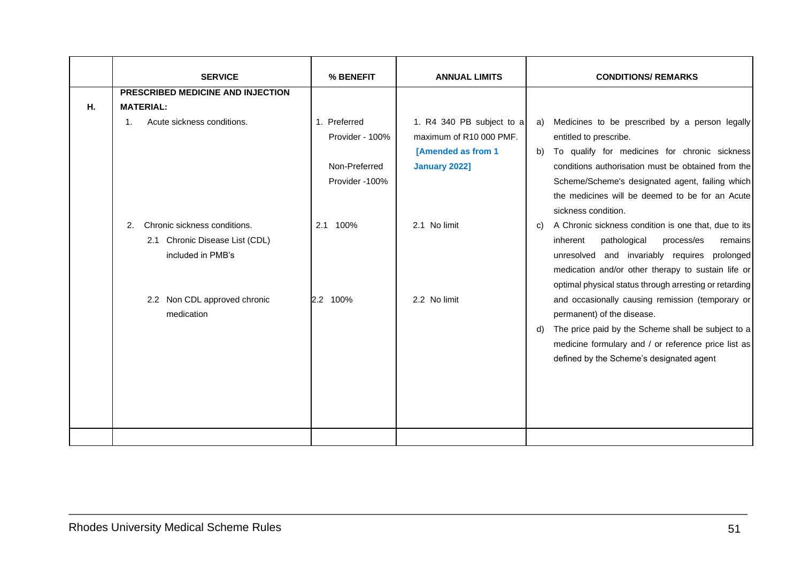|    | <b>SERVICE</b>                                                                            | % BENEFIT                                                          | <b>ANNUAL LIMITS</b>                                                                                      | <b>CONDITIONS/ REMARKS</b>                                                                                                                                                                                                                                                                        |
|----|-------------------------------------------------------------------------------------------|--------------------------------------------------------------------|-----------------------------------------------------------------------------------------------------------|---------------------------------------------------------------------------------------------------------------------------------------------------------------------------------------------------------------------------------------------------------------------------------------------------|
|    | PRESCRIBED MEDICINE AND INJECTION                                                         |                                                                    |                                                                                                           |                                                                                                                                                                                                                                                                                                   |
| Η. | <b>MATERIAL:</b>                                                                          |                                                                    |                                                                                                           |                                                                                                                                                                                                                                                                                                   |
|    | Acute sickness conditions.<br>$\mathbf{1}$ .                                              | 1. Preferred<br>Provider - 100%<br>Non-Preferred<br>Provider -100% | 1. R4 340 PB subject to a<br>maximum of R10 000 PMF.<br><b>[Amended as from 1</b><br><b>January 2022]</b> | Medicines to be prescribed by a person legally<br>a)<br>entitled to prescribe.<br>To qualify for medicines for chronic sickness<br>b)<br>conditions authorisation must be obtained from the<br>Scheme/Scheme's designated agent, failing which<br>the medicines will be deemed to be for an Acute |
|    |                                                                                           |                                                                    |                                                                                                           | sickness condition.                                                                                                                                                                                                                                                                               |
|    | Chronic sickness conditions.<br>2.<br>2.1 Chronic Disease List (CDL)<br>included in PMB's | 2.1 100%                                                           | 2.1 No limit                                                                                              | A Chronic sickness condition is one that, due to its<br>C)<br>pathological<br>process/es<br>inherent<br>remains<br>unresolved and invariably requires prolonged<br>medication and/or other therapy to sustain life or<br>optimal physical status through arresting or retarding                   |
|    | 2.2 Non CDL approved chronic<br>medication                                                | 2.2 100%                                                           | 2.2 No limit                                                                                              | and occasionally causing remission (temporary or<br>permanent) of the disease.<br>The price paid by the Scheme shall be subject to a<br>d)<br>medicine formulary and / or reference price list as<br>defined by the Scheme's designated agent                                                     |
|    |                                                                                           |                                                                    |                                                                                                           |                                                                                                                                                                                                                                                                                                   |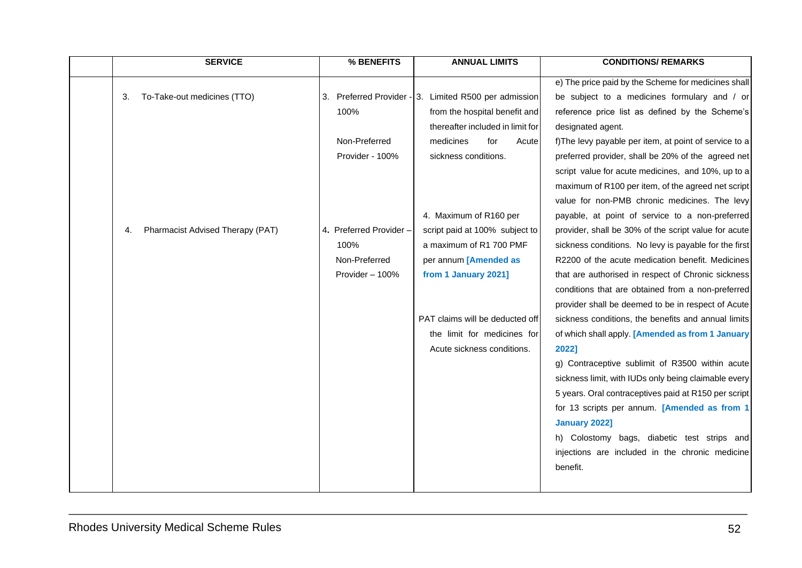| <b>SERVICE</b>                                                              | % BENEFITS                                                                                                      | <b>ANNUAL LIMITS</b>                                                                                                                                                                                                                                                                                                                                                                                                    | <b>CONDITIONS/ REMARKS</b>                                                                                                                                                                                                                                                                                                                                                                                                                                                                                                                                                                                                                                                                                                                                                                                                                                                                                                                                                                                                                                                                                                                                                                                       |
|-----------------------------------------------------------------------------|-----------------------------------------------------------------------------------------------------------------|-------------------------------------------------------------------------------------------------------------------------------------------------------------------------------------------------------------------------------------------------------------------------------------------------------------------------------------------------------------------------------------------------------------------------|------------------------------------------------------------------------------------------------------------------------------------------------------------------------------------------------------------------------------------------------------------------------------------------------------------------------------------------------------------------------------------------------------------------------------------------------------------------------------------------------------------------------------------------------------------------------------------------------------------------------------------------------------------------------------------------------------------------------------------------------------------------------------------------------------------------------------------------------------------------------------------------------------------------------------------------------------------------------------------------------------------------------------------------------------------------------------------------------------------------------------------------------------------------------------------------------------------------|
| To-Take-out medicines (TTO)<br>3.<br>Pharmacist Advised Therapy (PAT)<br>4. | 100%<br>Non-Preferred<br>Provider - 100%<br>4. Preferred Provider -<br>100%<br>Non-Preferred<br>Provider - 100% | 3. Preferred Provider - 3. Limited R500 per admission<br>from the hospital benefit and<br>thereafter included in limit for<br>medicines<br>for<br>Acute<br>sickness conditions.<br>4. Maximum of R160 per<br>script paid at 100% subject to<br>a maximum of R1 700 PMF<br>per annum [Amended as<br>from 1 January 2021]<br>PAT claims will be deducted off<br>the limit for medicines for<br>Acute sickness conditions. | e) The price paid by the Scheme for medicines shall<br>be subject to a medicines formulary and / or<br>reference price list as defined by the Scheme's<br>designated agent.<br>f) The levy payable per item, at point of service to a<br>preferred provider, shall be 20% of the agreed net<br>script value for acute medicines, and 10%, up to a<br>maximum of R100 per item, of the agreed net script<br>value for non-PMB chronic medicines. The levy<br>payable, at point of service to a non-preferred<br>provider, shall be 30% of the script value for acute<br>sickness conditions. No levy is payable for the first<br>R2200 of the acute medication benefit. Medicines<br>that are authorised in respect of Chronic sickness<br>conditions that are obtained from a non-preferred<br>provider shall be deemed to be in respect of Acute<br>sickness conditions, the benefits and annual limits<br>of which shall apply. [Amended as from 1 January<br>20221<br>g) Contraceptive sublimit of R3500 within acute<br>sickness limit, with IUDs only being claimable every<br>5 years. Oral contraceptives paid at R150 per script<br>for 13 scripts per annum. [Amended as from 1<br><b>January 2022]</b> |
|                                                                             |                                                                                                                 |                                                                                                                                                                                                                                                                                                                                                                                                                         | h) Colostomy bags, diabetic test strips and<br>injections are included in the chronic medicine<br>benefit.                                                                                                                                                                                                                                                                                                                                                                                                                                                                                                                                                                                                                                                                                                                                                                                                                                                                                                                                                                                                                                                                                                       |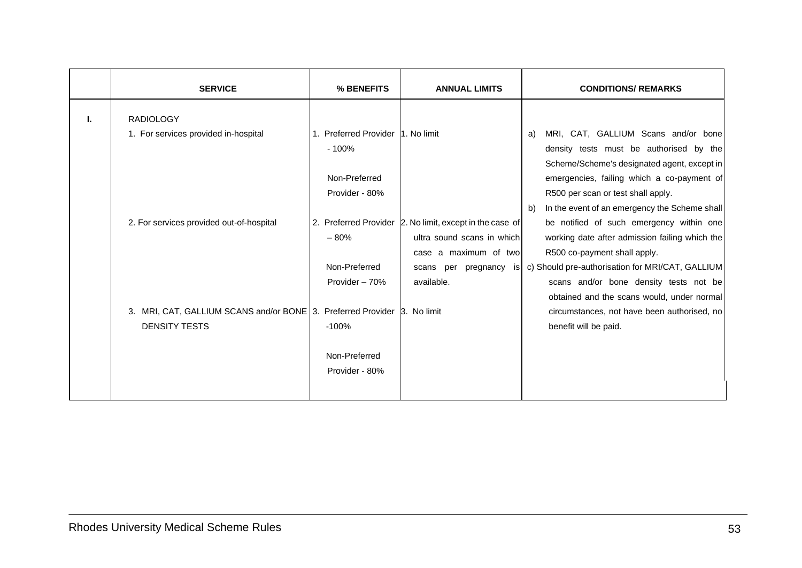|    | <b>SERVICE</b>                                                                                                                                                                                           | % BENEFITS                                                                                                                                                                 | <b>ANNUAL LIMITS</b>                                                                                                                                         | <b>CONDITIONS/ REMARKS</b>                                                                                                                                                                                                                                                                                                                                                                                                                                                                                                                                                                                                       |
|----|----------------------------------------------------------------------------------------------------------------------------------------------------------------------------------------------------------|----------------------------------------------------------------------------------------------------------------------------------------------------------------------------|--------------------------------------------------------------------------------------------------------------------------------------------------------------|----------------------------------------------------------------------------------------------------------------------------------------------------------------------------------------------------------------------------------------------------------------------------------------------------------------------------------------------------------------------------------------------------------------------------------------------------------------------------------------------------------------------------------------------------------------------------------------------------------------------------------|
| ı. | <b>RADIOLOGY</b><br>1. For services provided in-hospital<br>2. For services provided out-of-hospital<br>3. MRI, CAT, GALLIUM SCANS and/or BONE 3. Preferred Provider 3. No limit<br><b>DENSITY TESTS</b> | 1. Preferred Provider 1. No limit<br>$-100%$<br>Non-Preferred<br>Provider - 80%<br>$-80%$<br>Non-Preferred<br>Provider - 70%<br>$-100%$<br>Non-Preferred<br>Provider - 80% | 2. Preferred Provider 2. No limit, except in the case of<br>ultra sound scans in which<br>case a maximum of two<br>scans per pregnancy<br>is l<br>available. | MRI, CAT, GALLIUM Scans and/or bone<br>a)<br>density tests must be authorised by the<br>Scheme/Scheme's designated agent, except in<br>emergencies, failing which a co-payment of<br>R500 per scan or test shall apply.<br>In the event of an emergency the Scheme shall<br>b)<br>be notified of such emergency within one<br>working date after admission failing which the<br>R500 co-payment shall apply.<br>c) Should pre-authorisation for MRI/CAT, GALLIUM<br>scans and/or bone density tests not be<br>obtained and the scans would, under normal<br>circumstances, not have been authorised, no<br>benefit will be paid. |
|    |                                                                                                                                                                                                          |                                                                                                                                                                            |                                                                                                                                                              |                                                                                                                                                                                                                                                                                                                                                                                                                                                                                                                                                                                                                                  |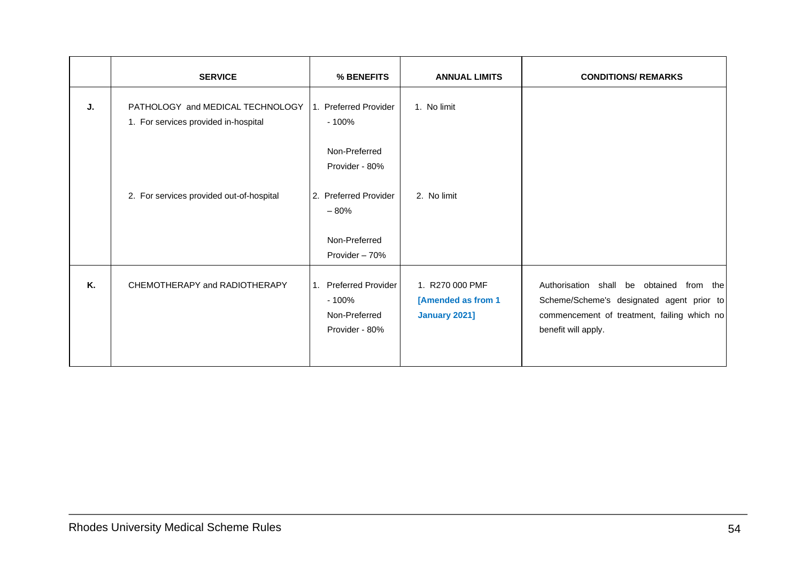|    | <b>SERVICE</b>                                                           | % BENEFITS                                                          | <b>ANNUAL LIMITS</b>                                   | <b>CONDITIONS/ REMARKS</b>                                                                                                                                  |
|----|--------------------------------------------------------------------------|---------------------------------------------------------------------|--------------------------------------------------------|-------------------------------------------------------------------------------------------------------------------------------------------------------------|
| J. | PATHOLOGY and MEDICAL TECHNOLOGY<br>1. For services provided in-hospital | 1. Preferred Provider<br>$-100%$                                    | 1. No limit                                            |                                                                                                                                                             |
|    |                                                                          | Non-Preferred<br>Provider - 80%                                     |                                                        |                                                                                                                                                             |
|    | 2. For services provided out-of-hospital                                 | 2. Preferred Provider<br>$-80%$                                     | 2. No limit                                            |                                                                                                                                                             |
|    |                                                                          | Non-Preferred<br>Provider - 70%                                     |                                                        |                                                                                                                                                             |
| Κ. | CHEMOTHERAPY and RADIOTHERAPY                                            | 1. Preferred Provider<br>$-100%$<br>Non-Preferred<br>Provider - 80% | 1. R270 000 PMF<br>[Amended as from 1<br>January 2021] | Authorisation shall be obtained from the<br>Scheme/Scheme's designated agent prior to<br>commencement of treatment, failing which no<br>benefit will apply. |
|    |                                                                          |                                                                     |                                                        |                                                                                                                                                             |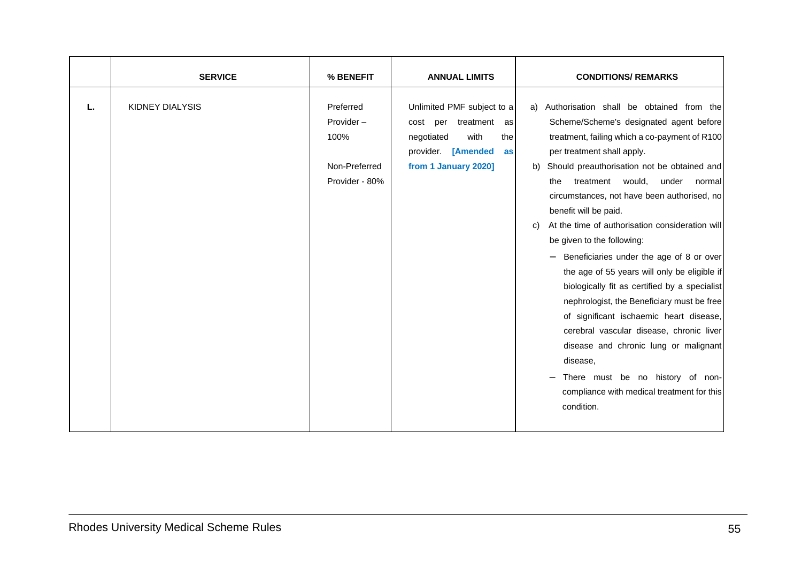|    | <b>SERVICE</b>  | % BENEFIT                                                         | <b>ANNUAL LIMITS</b>                                                                                                                    | <b>CONDITIONS/ REMARKS</b>                                                                                                                                                                                                                                                                                                                                                                                                                                                                                                                                                                                                                                                                                                                                                                                                                                                      |
|----|-----------------|-------------------------------------------------------------------|-----------------------------------------------------------------------------------------------------------------------------------------|---------------------------------------------------------------------------------------------------------------------------------------------------------------------------------------------------------------------------------------------------------------------------------------------------------------------------------------------------------------------------------------------------------------------------------------------------------------------------------------------------------------------------------------------------------------------------------------------------------------------------------------------------------------------------------------------------------------------------------------------------------------------------------------------------------------------------------------------------------------------------------|
| L. | KIDNEY DIALYSIS | Preferred<br>Provider-<br>100%<br>Non-Preferred<br>Provider - 80% | Unlimited PMF subject to a<br>cost per treatment<br>as<br>with<br>negotiated<br>the<br>provider. [Amended<br>as<br>from 1 January 2020] | a) Authorisation shall be obtained from the<br>Scheme/Scheme's designated agent before<br>treatment, failing which a co-payment of R100<br>per treatment shall apply.<br>Should preauthorisation not be obtained and<br>b)<br>treatment would,<br>under normal<br>the<br>circumstances, not have been authorised, no<br>benefit will be paid.<br>At the time of authorisation consideration will<br>C)<br>be given to the following:<br>$-$ Beneficiaries under the age of 8 or over<br>the age of 55 years will only be eligible if<br>biologically fit as certified by a specialist<br>nephrologist, the Beneficiary must be free<br>of significant ischaemic heart disease,<br>cerebral vascular disease, chronic liver<br>disease and chronic lung or malignant<br>disease,<br>There must be no history of non-<br>compliance with medical treatment for this<br>condition. |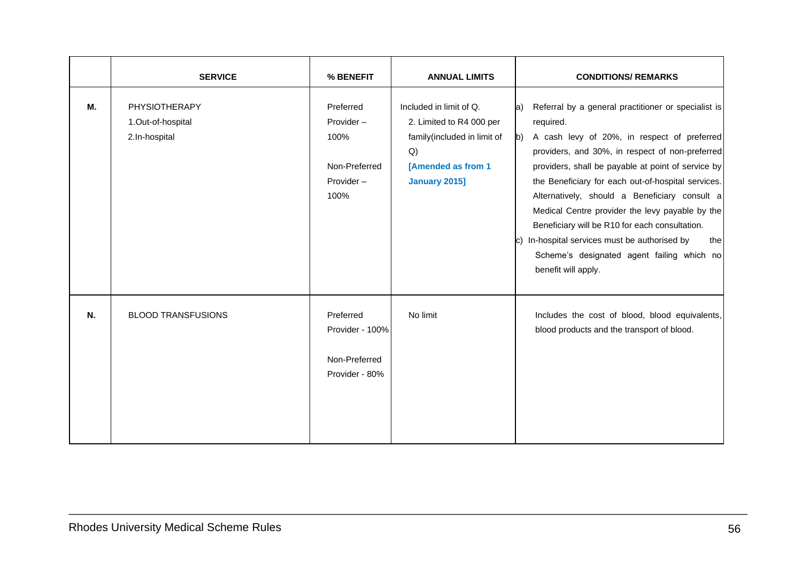|    | <b>SERVICE</b>                                             | % BENEFIT                                                            | <b>ANNUAL LIMITS</b>                                                                                                                          | <b>CONDITIONS/ REMARKS</b>                                                                                                                                                                                                                                                                                                                                                                                                                                                                                                                                                                |
|----|------------------------------------------------------------|----------------------------------------------------------------------|-----------------------------------------------------------------------------------------------------------------------------------------------|-------------------------------------------------------------------------------------------------------------------------------------------------------------------------------------------------------------------------------------------------------------------------------------------------------------------------------------------------------------------------------------------------------------------------------------------------------------------------------------------------------------------------------------------------------------------------------------------|
| М. | <b>PHYSIOTHERAPY</b><br>1.Out-of-hospital<br>2.In-hospital | Preferred<br>Provider-<br>100%<br>Non-Preferred<br>Provider-<br>100% | Included in limit of Q.<br>2. Limited to R4 000 per<br>family(included in limit of<br>Q)<br><b>[Amended as from 1</b><br><b>January 2015]</b> | Referral by a general practitioner or specialist is<br>la)<br>required.<br>A cash levy of 20%, in respect of preferred<br>$\mathbf{b}$<br>providers, and 30%, in respect of non-preferred<br>providers, shall be payable at point of service by<br>the Beneficiary for each out-of-hospital services.<br>Alternatively, should a Beneficiary consult a<br>Medical Centre provider the levy payable by the<br>Beneficiary will be R10 for each consultation.<br>c) In-hospital services must be authorised by<br>thel<br>Scheme's designated agent failing which no<br>benefit will apply. |
| N. | <b>BLOOD TRANSFUSIONS</b>                                  | Preferred<br>Provider - 100%<br>Non-Preferred<br>Provider - 80%      | No limit                                                                                                                                      | Includes the cost of blood, blood equivalents,<br>blood products and the transport of blood.                                                                                                                                                                                                                                                                                                                                                                                                                                                                                              |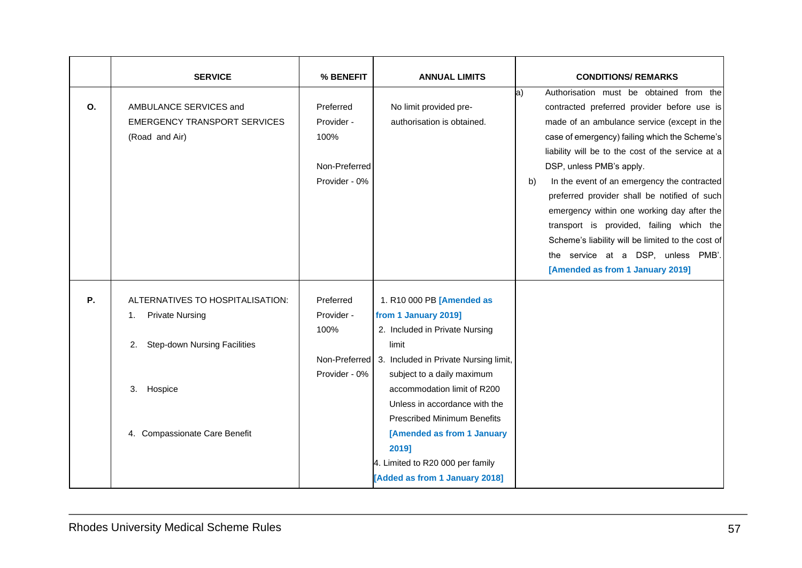|           | <b>SERVICE</b>                            | % BENEFIT     | <b>ANNUAL LIMITS</b>                  | <b>CONDITIONS/ REMARKS</b>                                                                            |
|-----------|-------------------------------------------|---------------|---------------------------------------|-------------------------------------------------------------------------------------------------------|
| O.        | AMBULANCE SERVICES and                    | Preferred     | No limit provided pre-                | Authorisation must be obtained from the<br>$ a\rangle$<br>contracted preferred provider before use is |
|           | <b>EMERGENCY TRANSPORT SERVICES</b>       | Provider -    | authorisation is obtained.            | made of an ambulance service (except in the                                                           |
|           | (Road and Air)                            | 100%          |                                       | case of emergency) failing which the Scheme's                                                         |
|           |                                           |               |                                       | liability will be to the cost of the service at a                                                     |
|           |                                           | Non-Preferred |                                       | DSP, unless PMB's apply.                                                                              |
|           |                                           | Provider - 0% |                                       | In the event of an emergency the contracted<br>b)                                                     |
|           |                                           |               |                                       | preferred provider shall be notified of such                                                          |
|           |                                           |               |                                       | emergency within one working day after the                                                            |
|           |                                           |               |                                       | transport is provided, failing which the                                                              |
|           |                                           |               |                                       | Scheme's liability will be limited to the cost of                                                     |
|           |                                           |               |                                       | the service at a DSP, unless PMB'.<br>[Amended as from 1 January 2019]                                |
|           |                                           |               |                                       |                                                                                                       |
| <b>P.</b> | ALTERNATIVES TO HOSPITALISATION:          | Preferred     | 1. R10 000 PB [Amended as             |                                                                                                       |
|           | <b>Private Nursing</b><br>1.              | Provider -    | from 1 January 2019]                  |                                                                                                       |
|           |                                           | 100%          | 2. Included in Private Nursing        |                                                                                                       |
|           | <b>Step-down Nursing Facilities</b><br>2. |               | limit                                 |                                                                                                       |
|           |                                           | Non-Preferred | 3. Included in Private Nursing limit, |                                                                                                       |
|           |                                           | Provider - 0% | subject to a daily maximum            |                                                                                                       |
|           | 3. Hospice                                |               | accommodation limit of R200           |                                                                                                       |
|           |                                           |               | Unless in accordance with the         |                                                                                                       |
|           |                                           |               | <b>Prescribed Minimum Benefits</b>    |                                                                                                       |
|           | 4. Compassionate Care Benefit             |               | [Amended as from 1 January            |                                                                                                       |
|           |                                           |               | 2019]                                 |                                                                                                       |
|           |                                           |               | 4. Limited to R20 000 per family      |                                                                                                       |
|           |                                           |               | [Added as from 1 January 2018]        |                                                                                                       |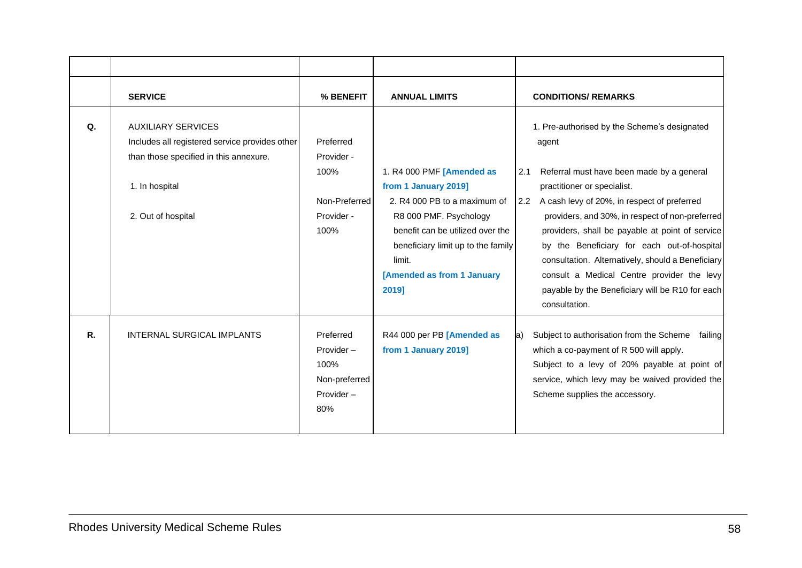|             | <b>SERVICE</b>                                                                                                                                                | % BENEFIT                                                              | <b>ANNUAL LIMITS</b>                                                                                                                                                                                                                   | <b>CONDITIONS/ REMARKS</b>                                                                                                                                                                                                                                                                                                                                                                                                                                                                                                 |
|-------------|---------------------------------------------------------------------------------------------------------------------------------------------------------------|------------------------------------------------------------------------|----------------------------------------------------------------------------------------------------------------------------------------------------------------------------------------------------------------------------------------|----------------------------------------------------------------------------------------------------------------------------------------------------------------------------------------------------------------------------------------------------------------------------------------------------------------------------------------------------------------------------------------------------------------------------------------------------------------------------------------------------------------------------|
| Q.          | <b>AUXILIARY SERVICES</b><br>Includes all registered service provides other<br>than those specified in this annexure.<br>1. In hospital<br>2. Out of hospital | Preferred<br>Provider -<br>100%<br>Non-Preferred<br>Provider -<br>100% | 1. R4 000 PMF [Amended as<br>from 1 January 2019]<br>2. R4 000 PB to a maximum of<br>R8 000 PMF. Psychology<br>benefit can be utilized over the<br>beneficiary limit up to the family<br>limit.<br>[Amended as from 1 January<br>2019] | 1. Pre-authorised by the Scheme's designated<br>agent<br>Referral must have been made by a general<br>2.1<br>practitioner or specialist.<br>A cash levy of 20%, in respect of preferred<br>2.2<br>providers, and 30%, in respect of non-preferred<br>providers, shall be payable at point of service<br>by the Beneficiary for each out-of-hospital<br>consultation. Alternatively, should a Beneficiary<br>consult a Medical Centre provider the levy<br>payable by the Beneficiary will be R10 for each<br>consultation. |
| $R_{\cdot}$ | <b>INTERNAL SURGICAL IMPLANTS</b>                                                                                                                             | Preferred<br>Provider-<br>100%<br>Non-preferred<br>Provider-<br>80%    | R44 000 per PB [Amended as<br>from 1 January 2019]                                                                                                                                                                                     | Subject to authorisation from the Scheme<br>failing<br>la)<br>which a co-payment of R 500 will apply.<br>Subject to a levy of 20% payable at point of<br>service, which levy may be waived provided the<br>Scheme supplies the accessory.                                                                                                                                                                                                                                                                                  |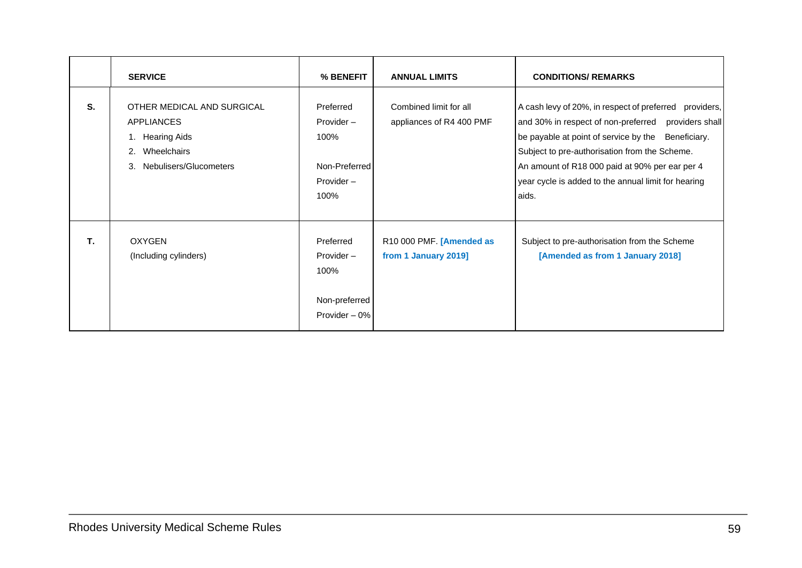|    | <b>SERVICE</b>                                                                                                          | % BENEFIT                                                            | <b>ANNUAL LIMITS</b>                               | <b>CONDITIONS/ REMARKS</b>                                                                                                                                                                                                                                                                                                                   |
|----|-------------------------------------------------------------------------------------------------------------------------|----------------------------------------------------------------------|----------------------------------------------------|----------------------------------------------------------------------------------------------------------------------------------------------------------------------------------------------------------------------------------------------------------------------------------------------------------------------------------------------|
| S. | OTHER MEDICAL AND SURGICAL<br><b>APPLIANCES</b><br>1. Hearing Aids<br>Wheelchairs<br>2.<br>Nebulisers/Glucometers<br>3. | Preferred<br>Provider-<br>100%<br>Non-Preferred<br>Provider-<br>100% | Combined limit for all<br>appliances of R4 400 PMF | A cash levy of 20%, in respect of preferred<br>providers,<br>and 30% in respect of non-preferred providers shall<br>be payable at point of service by the<br>Beneficiary.<br>Subject to pre-authorisation from the Scheme.<br>An amount of R18 000 paid at 90% per ear per 4<br>year cycle is added to the annual limit for hearing<br>aids. |
| T. | <b>OXYGEN</b><br>(Including cylinders)                                                                                  | Preferred<br>$Provider -$<br>100%<br>Non-preferred<br>Provider - 0%  | R10 000 PMF. [Amended as<br>from 1 January 2019]   | Subject to pre-authorisation from the Scheme<br>[Amended as from 1 January 2018]                                                                                                                                                                                                                                                             |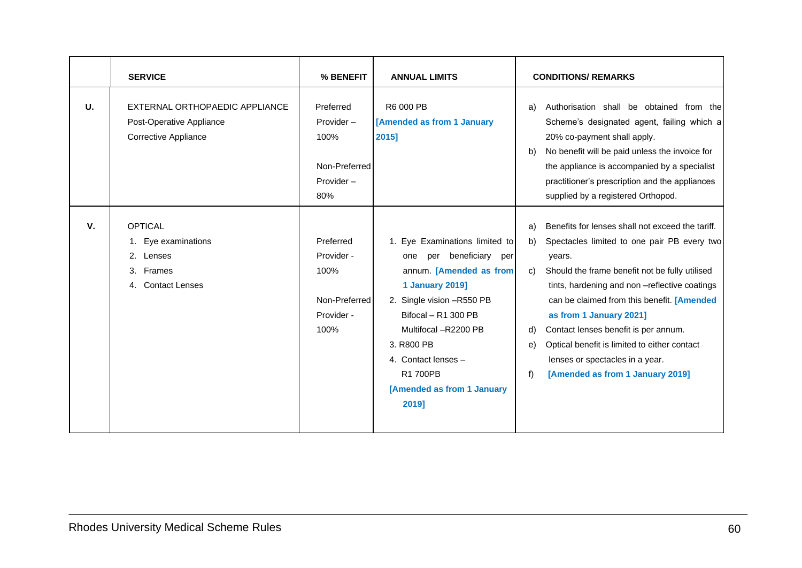|             | <b>SERVICE</b>                                                                            | % BENEFIT                                                                 | <b>ANNUAL LIMITS</b>                                                                                                                                                                                                                                                                     | <b>CONDITIONS/ REMARKS</b>                                                                                                                                                                                                                                                                                                                                                                                                                                                              |
|-------------|-------------------------------------------------------------------------------------------|---------------------------------------------------------------------------|------------------------------------------------------------------------------------------------------------------------------------------------------------------------------------------------------------------------------------------------------------------------------------------|-----------------------------------------------------------------------------------------------------------------------------------------------------------------------------------------------------------------------------------------------------------------------------------------------------------------------------------------------------------------------------------------------------------------------------------------------------------------------------------------|
| U.          | EXTERNAL ORTHOPAEDIC APPLIANCE<br>Post-Operative Appliance<br><b>Corrective Appliance</b> | Preferred<br>Provider $-$<br>100%<br>Non-Preferred<br>Provider $-$<br>80% | R6 000 PB<br>[Amended as from 1 January<br>2015]                                                                                                                                                                                                                                         | Authorisation shall be obtained from the<br>a)<br>Scheme's designated agent, failing which a<br>20% co-payment shall apply.<br>No benefit will be paid unless the invoice for<br>b)<br>the appliance is accompanied by a specialist<br>practitioner's prescription and the appliances<br>supplied by a registered Orthopod.                                                                                                                                                             |
| $V_{\cdot}$ | <b>OPTICAL</b><br>1. Eye examinations<br>2. Lenses<br>3. Frames<br>4. Contact Lenses      | Preferred<br>Provider -<br>100%<br>Non-Preferred<br>Provider -<br>100%    | 1. Eye Examinations limited to<br>per beneficiary<br>one<br>per<br>annum. [Amended as from<br><b>1 January 2019]</b><br>2. Single vision -R550 PB<br>Bifocal - R1 300 PB<br>Multifocal -R2200 PB<br>3. R800 PB<br>4. Contact lenses -<br>R1 700PB<br>[Amended as from 1 January<br>2019] | Benefits for lenses shall not exceed the tariff.<br>a)<br>Spectacles limited to one pair PB every two<br>b)<br>years.<br>Should the frame benefit not be fully utilised<br>C)<br>tints, hardening and non -reflective coatings<br>can be claimed from this benefit. [Amended<br>as from 1 January 2021]<br>Contact lenses benefit is per annum.<br>d)<br>Optical benefit is limited to either contact<br>e)<br>lenses or spectacles in a year.<br>f<br>[Amended as from 1 January 2019] |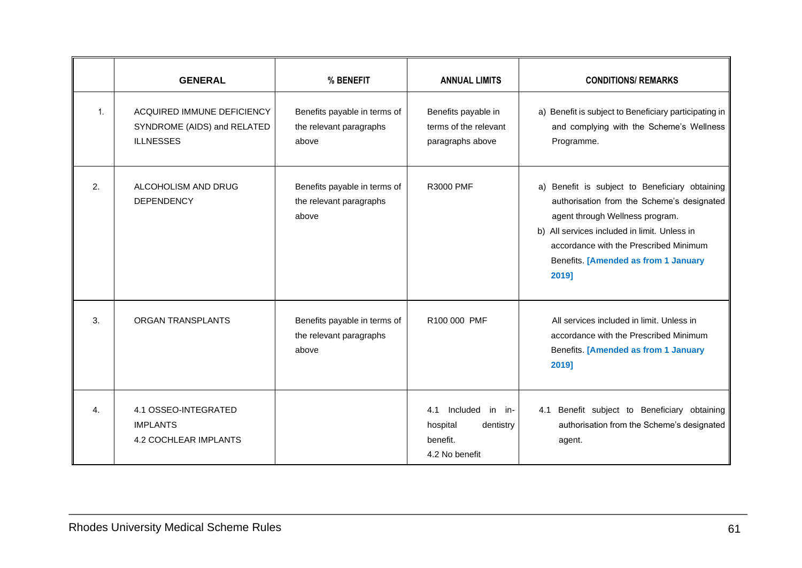|                | <b>GENERAL</b>                                                                | % BENEFIT                                                        | <b>ANNUAL LIMITS</b>                                                          | <b>CONDITIONS/ REMARKS</b>                                                                                                                                                                                                                                                 |
|----------------|-------------------------------------------------------------------------------|------------------------------------------------------------------|-------------------------------------------------------------------------------|----------------------------------------------------------------------------------------------------------------------------------------------------------------------------------------------------------------------------------------------------------------------------|
| $\mathbf{1}$ . | ACQUIRED IMMUNE DEFICIENCY<br>SYNDROME (AIDS) and RELATED<br><b>ILLNESSES</b> | Benefits payable in terms of<br>the relevant paragraphs<br>above | Benefits payable in<br>terms of the relevant<br>paragraphs above              | a) Benefit is subject to Beneficiary participating in<br>and complying with the Scheme's Wellness<br>Programme.                                                                                                                                                            |
| 2.             | ALCOHOLISM AND DRUG<br><b>DEPENDENCY</b>                                      | Benefits payable in terms of<br>the relevant paragraphs<br>above | R3000 PMF                                                                     | a) Benefit is subject to Beneficiary obtaining<br>authorisation from the Scheme's designated<br>agent through Wellness program.<br>b) All services included in limit. Unless in<br>accordance with the Prescribed Minimum<br>Benefits. [Amended as from 1 January<br>2019] |
| 3.             | <b>ORGAN TRANSPLANTS</b>                                                      | Benefits payable in terms of<br>the relevant paragraphs<br>above | R100 000 PMF                                                                  | All services included in limit. Unless in<br>accordance with the Prescribed Minimum<br>Benefits. [Amended as from 1 January<br>2019]                                                                                                                                       |
| 4.             | 4.1 OSSEO-INTEGRATED<br><b>IMPLANTS</b><br><b>4.2 COCHLEAR IMPLANTS</b>       |                                                                  | Included in in-<br>4.1<br>hospital<br>dentistry<br>benefit.<br>4.2 No benefit | 4.1 Benefit subject to Beneficiary obtaining<br>authorisation from the Scheme's designated<br>agent.                                                                                                                                                                       |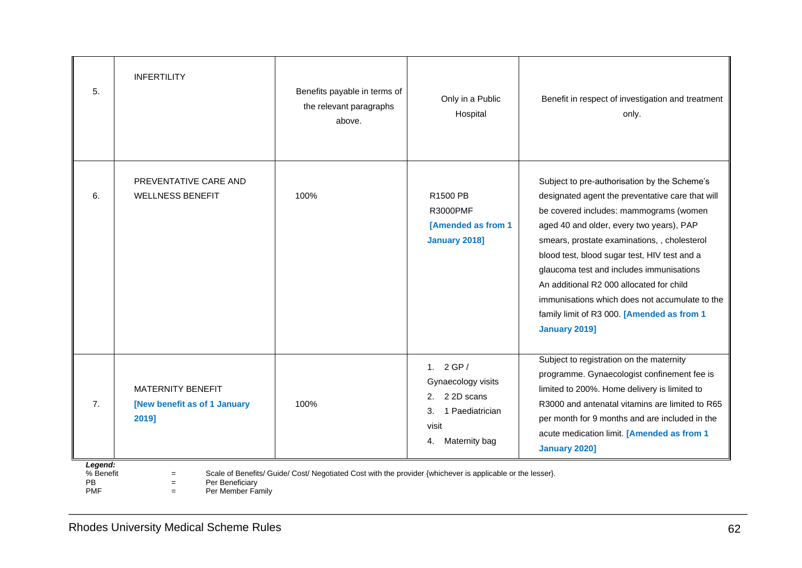| 5.                                | <b>INFERTILITY</b>                                                | Benefits payable in terms of<br>the relevant paragraphs<br>above.                                          | Only in a Public<br>Hospital                                                                                 | Benefit in respect of investigation and treatment<br>only.                                                                                                                                                                                                                                                                                                                                                                                                                                      |
|-----------------------------------|-------------------------------------------------------------------|------------------------------------------------------------------------------------------------------------|--------------------------------------------------------------------------------------------------------------|-------------------------------------------------------------------------------------------------------------------------------------------------------------------------------------------------------------------------------------------------------------------------------------------------------------------------------------------------------------------------------------------------------------------------------------------------------------------------------------------------|
| 6.                                | PREVENTATIVE CARE AND<br><b>WELLNESS BENEFIT</b>                  | 100%                                                                                                       | R1500 PB<br><b>R3000PMF</b><br>[Amended as from 1<br><b>January 2018]</b>                                    | Subject to pre-authorisation by the Scheme's<br>designated agent the preventative care that will<br>be covered includes: mammograms (women<br>aged 40 and older, every two years), PAP<br>smears, prostate examinations, , cholesterol<br>blood test, blood sugar test, HIV test and a<br>glaucoma test and includes immunisations<br>An additional R2 000 allocated for child<br>immunisations which does not accumulate to the<br>family limit of R3 000. [Amended as from 1<br>January 2019] |
| 7.                                | <b>MATERNITY BENEFIT</b><br>[New benefit as of 1 January<br>2019] | 100%                                                                                                       | 1. $2GP/$<br>Gynaecology visits<br>2 2D scans<br>2.<br>1 Paediatrician<br>3.<br>visit<br>Maternity bag<br>4. | Subject to registration on the maternity<br>programme. Gynaecologist confinement fee is<br>limited to 200%. Home delivery is limited to<br>R3000 and antenatal vitamins are limited to R65<br>per month for 9 months and are included in the<br>acute medication limit. [Amended as from 1<br><b>January 2020]</b>                                                                                                                                                                              |
| Legend:<br>% Benefit<br><b>PB</b> | $=$<br>Per Beneficiary<br>$=$                                     | Scale of Benefits/ Guide/ Cost/ Negotiated Cost with the provider {whichever is applicable or the lesser}. |                                                                                                              |                                                                                                                                                                                                                                                                                                                                                                                                                                                                                                 |

PMF  $=$  Per Member Family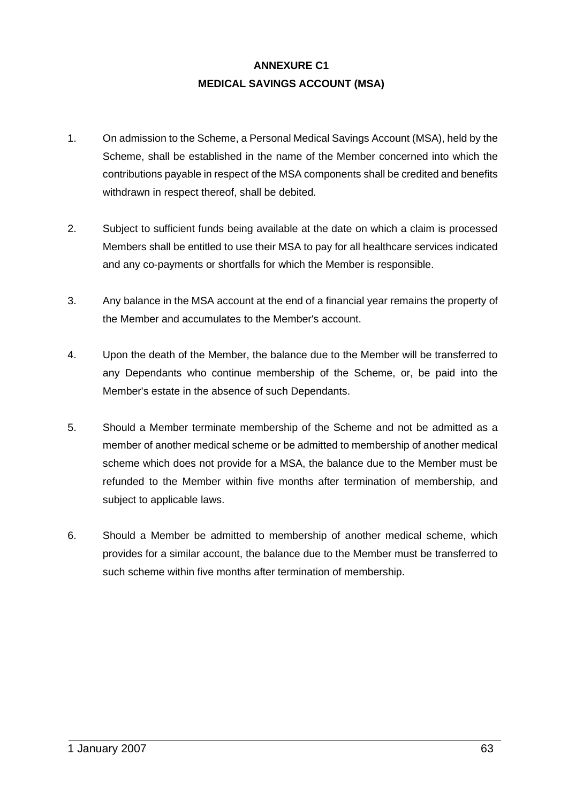# **ANNEXURE C1 MEDICAL SAVINGS ACCOUNT (MSA)**

- 1. On admission to the Scheme, a Personal Medical Savings Account (MSA), held by the Scheme, shall be established in the name of the Member concerned into which the contributions payable in respect of the MSA components shall be credited and benefits withdrawn in respect thereof, shall be debited.
- 2. Subject to sufficient funds being available at the date on which a claim is processed Members shall be entitled to use their MSA to pay for all healthcare services indicated and any co-payments or shortfalls for which the Member is responsible.
- 3. Any balance in the MSA account at the end of a financial year remains the property of the Member and accumulates to the Member's account.
- 4. Upon the death of the Member, the balance due to the Member will be transferred to any Dependants who continue membership of the Scheme, or, be paid into the Member's estate in the absence of such Dependants.
- 5. Should a Member terminate membership of the Scheme and not be admitted as a member of another medical scheme or be admitted to membership of another medical scheme which does not provide for a MSA, the balance due to the Member must be refunded to the Member within five months after termination of membership, and subject to applicable laws.
- 6. Should a Member be admitted to membership of another medical scheme, which provides for a similar account, the balance due to the Member must be transferred to such scheme within five months after termination of membership.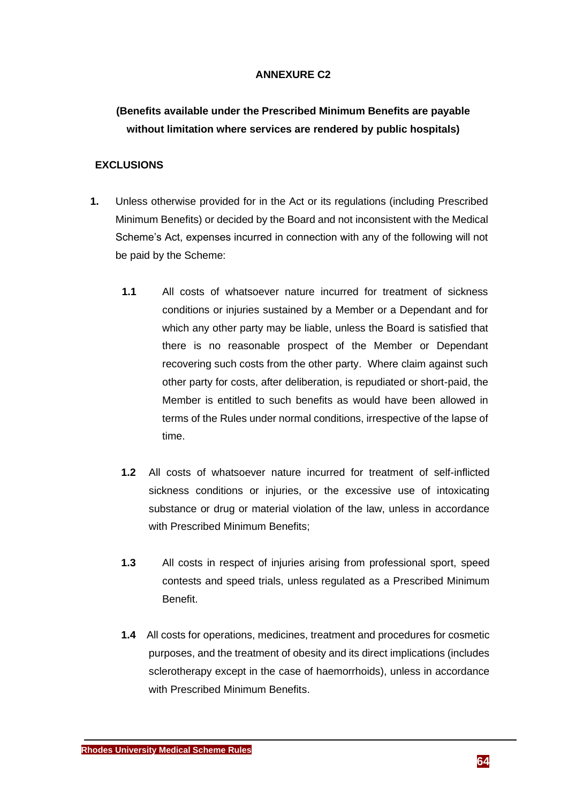# **ANNEXURE C2**

# **(Benefits available under the Prescribed Minimum Benefits are payable without limitation where services are rendered by public hospitals)**

# **EXCLUSIONS**

- **1.** Unless otherwise provided for in the Act or its regulations (including Prescribed Minimum Benefits) or decided by the Board and not inconsistent with the Medical Scheme's Act, expenses incurred in connection with any of the following will not be paid by the Scheme:
	- **1.1** All costs of whatsoever nature incurred for treatment of sickness conditions or injuries sustained by a Member or a Dependant and for which any other party may be liable, unless the Board is satisfied that there is no reasonable prospect of the Member or Dependant recovering such costs from the other party. Where claim against such other party for costs, after deliberation, is repudiated or short-paid, the Member is entitled to such benefits as would have been allowed in terms of the Rules under normal conditions, irrespective of the lapse of time.
	- **1.2** All costs of whatsoever nature incurred for treatment of self-inflicted sickness conditions or injuries, or the excessive use of intoxicating substance or drug or material violation of the law, unless in accordance with Prescribed Minimum Benefits;
	- **1.3** All costs in respect of injuries arising from professional sport, speed contests and speed trials, unless regulated as a Prescribed Minimum Benefit.
	- **1.4** All costs for operations, medicines, treatment and procedures for cosmetic purposes, and the treatment of obesity and its direct implications (includes sclerotherapy except in the case of haemorrhoids), unless in accordance with Prescribed Minimum Benefits.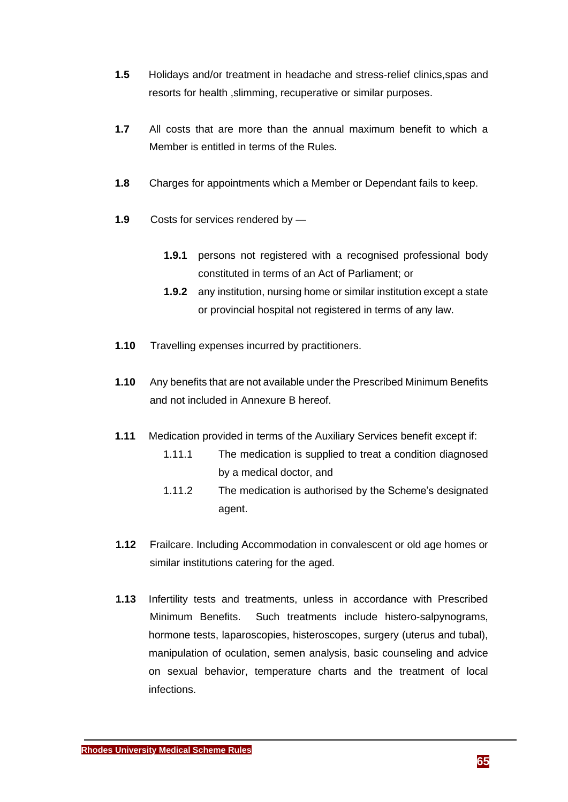- **1.5** Holidays and/or treatment in headache and stress-relief clinics,spas and resorts for health ,slimming, recuperative or similar purposes.
- **1.7** All costs that are more than the annual maximum benefit to which a Member is entitled in terms of the Rules.
- **1.8** Charges for appointments which a Member or Dependant fails to keep.
- **1.9** Costs for services rendered by
	- **1.9.1** persons not registered with a recognised professional body constituted in terms of an Act of Parliament; or
	- **1.9.2** any institution, nursing home or similar institution except a state or provincial hospital not registered in terms of any law.
- **1.10** Travelling expenses incurred by practitioners.
- **1.10** Any benefits that are not available under the Prescribed Minimum Benefits and not included in Annexure B hereof.
- **1.11** Medication provided in terms of the Auxiliary Services benefit except if:
	- 1.11.1 The medication is supplied to treat a condition diagnosed by a medical doctor, and
	- 1.11.2 The medication is authorised by the Scheme's designated agent.
- **1.12** Frailcare. Including Accommodation in convalescent or old age homes or similar institutions catering for the aged.
- **1.13** Infertility tests and treatments, unless in accordance with Prescribed Minimum Benefits. Such treatments include histero-salpynograms, hormone tests, laparoscopies, histeroscopes, surgery (uterus and tubal), manipulation of oculation, semen analysis, basic counseling and advice on sexual behavior, temperature charts and the treatment of local infections.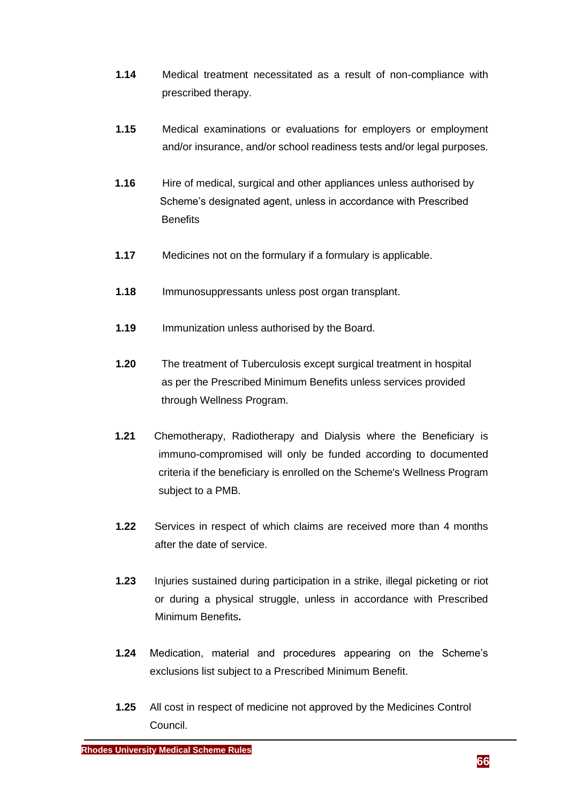- **1.14** Medical treatment necessitated as a result of non-compliance with prescribed therapy.
- **1.15** Medical examinations or evaluations for employers or employment and/or insurance, and/or school readiness tests and/or legal purposes.
- **1.16** Hire of medical, surgical and other appliances unless authorised by Scheme's designated agent, unless in accordance with Prescribed **Benefits**
- **1.17** Medicines not on the formulary if a formulary is applicable.
- **1.18** Immunosuppressants unless post organ transplant.
- **1.19** Immunization unless authorised by the Board.
- **1.20** The treatment of Tuberculosis except surgical treatment in hospital as per the Prescribed Minimum Benefits unless services provided through Wellness Program.
- **1.21** Chemotherapy, Radiotherapy and Dialysis where the Beneficiary is immuno-compromised will only be funded according to documented criteria if the beneficiary is enrolled on the Scheme's Wellness Program subject to a PMB.
- **1.22** Services in respect of which claims are received more than 4 months after the date of service.
- **1.23** Injuries sustained during participation in a strike, illegal picketing or riot or during a physical struggle, unless in accordance with Prescribed Minimum Benefits**.**
- **1.24** Medication, material and procedures appearing on the Scheme's exclusions list subject to a Prescribed Minimum Benefit.
- **1.25** All cost in respect of medicine not approved by the Medicines Control Council.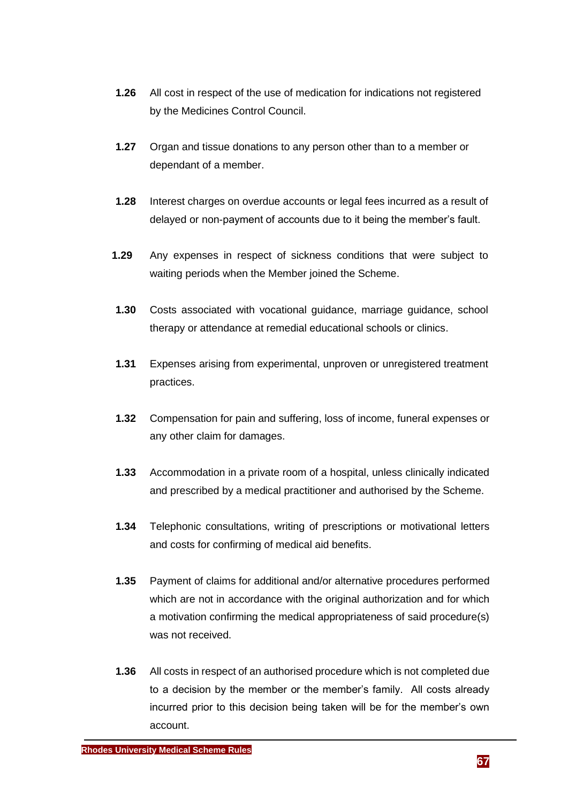- **1.26** All cost in respect of the use of medication for indications not registered by the Medicines Control Council.
- **1.27** Organ and tissue donations to any person other than to a member or dependant of a member.
- **1.28** Interest charges on overdue accounts or legal fees incurred as a result of delayed or non-payment of accounts due to it being the member's fault.
- **1.29** Any expenses in respect of sickness conditions that were subject to waiting periods when the Member joined the Scheme.
- **1.30** Costs associated with vocational guidance, marriage guidance, school therapy or attendance at remedial educational schools or clinics.
- **1.31** Expenses arising from experimental, unproven or unregistered treatment practices.
- **1.32** Compensation for pain and suffering, loss of income, funeral expenses or any other claim for damages.
- **1.33** Accommodation in a private room of a hospital, unless clinically indicated and prescribed by a medical practitioner and authorised by the Scheme.
- **1.34** Telephonic consultations, writing of prescriptions or motivational letters and costs for confirming of medical aid benefits.
- **1.35** Payment of claims for additional and/or alternative procedures performed which are not in accordance with the original authorization and for which a motivation confirming the medical appropriateness of said procedure(s) was not received.
- **1.36** All costs in respect of an authorised procedure which is not completed due to a decision by the member or the member's family. All costs already incurred prior to this decision being taken will be for the member's own account.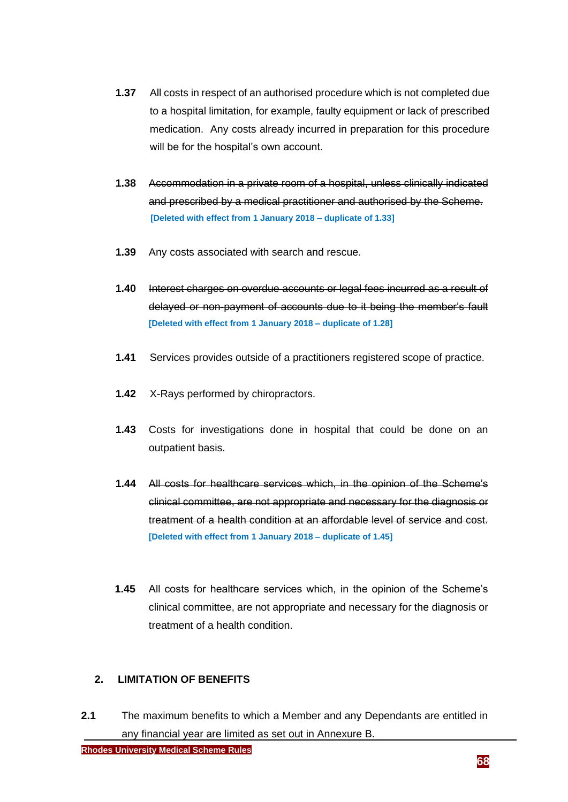- **1.37** All costs in respect of an authorised procedure which is not completed due to a hospital limitation, for example, faulty equipment or lack of prescribed medication. Any costs already incurred in preparation for this procedure will be for the hospital's own account.
- **1.38** Accommodation in a private room of a hospital, unless clinically indicated and prescribed by a medical practitioner and authorised by the Scheme.  **[Deleted with effect from 1 January 2018 – duplicate of 1.33]**
- **1.39** Any costs associated with search and rescue.
- **1.40** Interest charges on overdue accounts or legal fees incurred as a result of delayed or non-payment of accounts due to it being the member's fault **[Deleted with effect from 1 January 2018 – duplicate of 1.28]**
- **1.41** Services provides outside of a practitioners registered scope of practice.
- **1.42** X-Rays performed by chiropractors.
- **1.43** Costs for investigations done in hospital that could be done on an outpatient basis.
- **1.44** All costs for healthcare services which, in the opinion of the Scheme's clinical committee, are not appropriate and necessary for the diagnosis or treatment of a health condition at an affordable level of service and cost. **[Deleted with effect from 1 January 2018 – duplicate of 1.45]**
- **1.45** All costs for healthcare services which, in the opinion of the Scheme's clinical committee, are not appropriate and necessary for the diagnosis or treatment of a health condition.

#### **2. LIMITATION OF BENEFITS**

**2.1** The maximum benefits to which a Member and any Dependants are entitled in any financial year are limited as set out in Annexure B.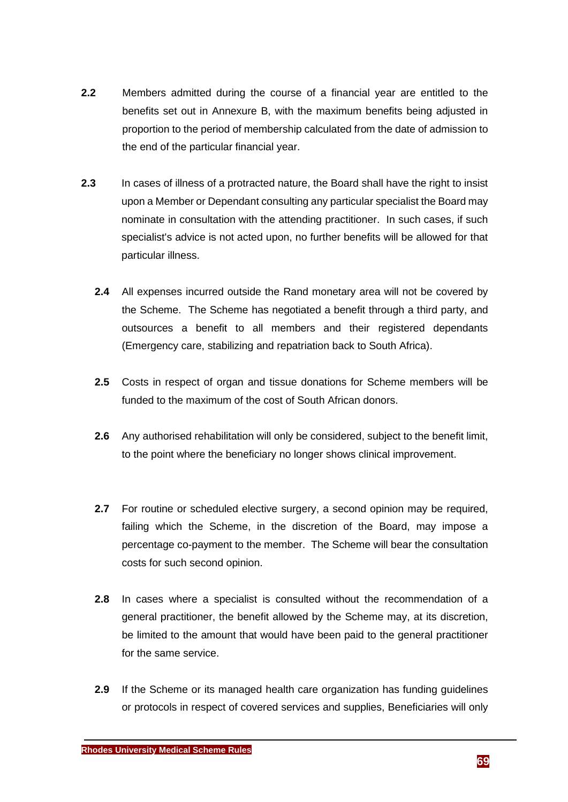- **2.2** Members admitted during the course of a financial year are entitled to the benefits set out in Annexure B, with the maximum benefits being adjusted in proportion to the period of membership calculated from the date of admission to the end of the particular financial year.
- **2.3** In cases of illness of a protracted nature, the Board shall have the right to insist upon a Member or Dependant consulting any particular specialist the Board may nominate in consultation with the attending practitioner. In such cases, if such specialist's advice is not acted upon, no further benefits will be allowed for that particular illness.
	- **2.4** All expenses incurred outside the Rand monetary area will not be covered by the Scheme. The Scheme has negotiated a benefit through a third party, and outsources a benefit to all members and their registered dependants (Emergency care, stabilizing and repatriation back to South Africa).
	- **2.5** Costs in respect of organ and tissue donations for Scheme members will be funded to the maximum of the cost of South African donors.
	- **2.6** Any authorised rehabilitation will only be considered, subject to the benefit limit, to the point where the beneficiary no longer shows clinical improvement.
	- **2.7** For routine or scheduled elective surgery, a second opinion may be required, failing which the Scheme, in the discretion of the Board, may impose a percentage co-payment to the member. The Scheme will bear the consultation costs for such second opinion.
	- **2.8** In cases where a specialist is consulted without the recommendation of a general practitioner, the benefit allowed by the Scheme may, at its discretion, be limited to the amount that would have been paid to the general practitioner for the same service.
	- **2.9** If the Scheme or its managed health care organization has funding guidelines or protocols in respect of covered services and supplies, Beneficiaries will only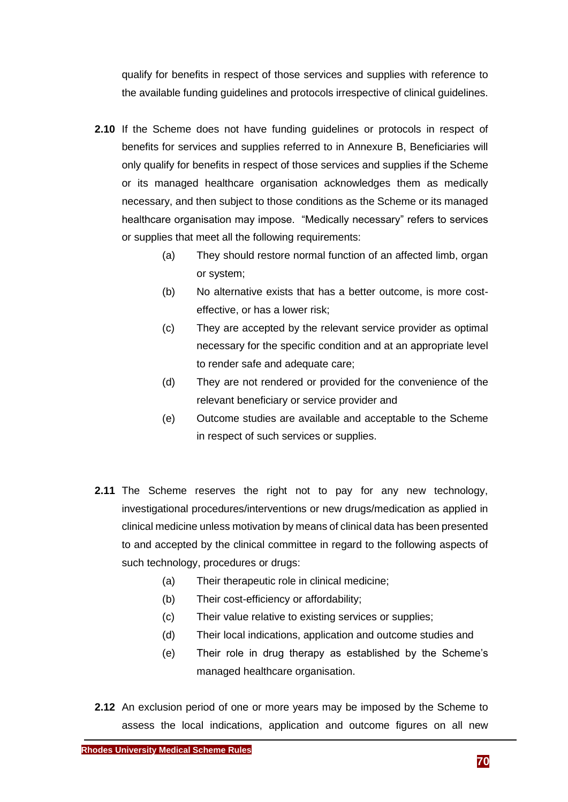qualify for benefits in respect of those services and supplies with reference to the available funding guidelines and protocols irrespective of clinical guidelines.

- **2.10** If the Scheme does not have funding guidelines or protocols in respect of benefits for services and supplies referred to in Annexure B, Beneficiaries will only qualify for benefits in respect of those services and supplies if the Scheme or its managed healthcare organisation acknowledges them as medically necessary, and then subject to those conditions as the Scheme or its managed healthcare organisation may impose. "Medically necessary" refers to services or supplies that meet all the following requirements:
	- (a) They should restore normal function of an affected limb, organ or system;
	- (b) No alternative exists that has a better outcome, is more costeffective, or has a lower risk;
	- (c) They are accepted by the relevant service provider as optimal necessary for the specific condition and at an appropriate level to render safe and adequate care;
	- (d) They are not rendered or provided for the convenience of the relevant beneficiary or service provider and
	- (e) Outcome studies are available and acceptable to the Scheme in respect of such services or supplies.
- **2.11** The Scheme reserves the right not to pay for any new technology, investigational procedures/interventions or new drugs/medication as applied in clinical medicine unless motivation by means of clinical data has been presented to and accepted by the clinical committee in regard to the following aspects of such technology, procedures or drugs:
	- (a) Their therapeutic role in clinical medicine;
	- (b) Their cost-efficiency or affordability;
	- (c) Their value relative to existing services or supplies;
	- (d) Their local indications, application and outcome studies and
	- (e) Their role in drug therapy as established by the Scheme's managed healthcare organisation.
- **2.12** An exclusion period of one or more years may be imposed by the Scheme to assess the local indications, application and outcome figures on all new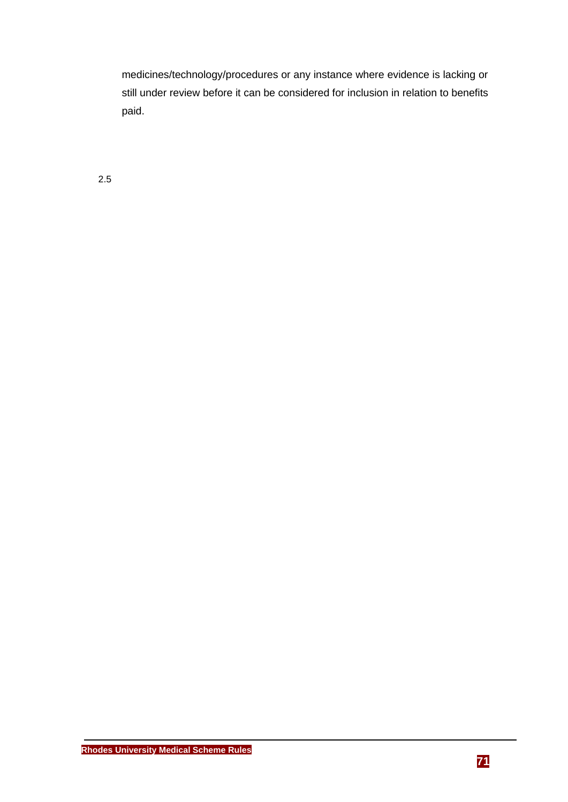medicines/technology/procedures or any instance where evidence is lacking or still under review before it can be considered for inclusion in relation to benefits paid.

2.5

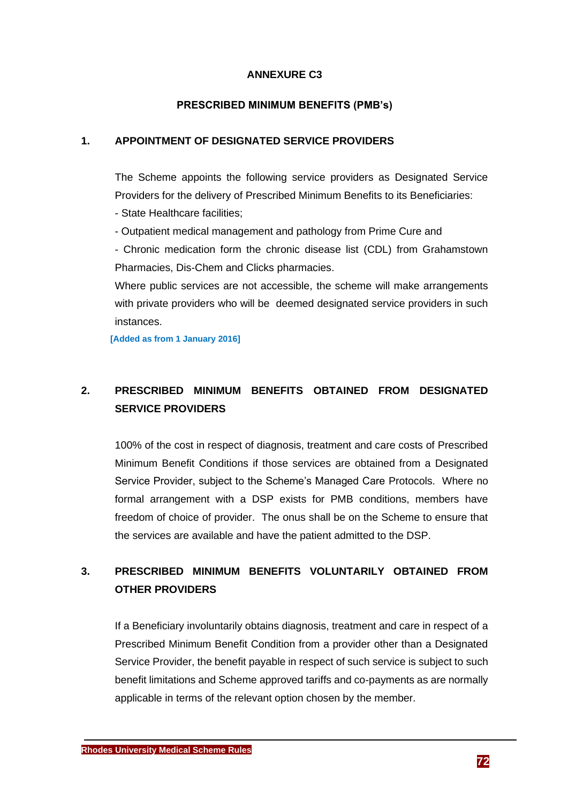#### **ANNEXURE C3**

#### **PRESCRIBED MINIMUM BENEFITS (PMB's)**

# **1. APPOINTMENT OF DESIGNATED SERVICE PROVIDERS**

The Scheme appoints the following service providers as Designated Service Providers for the delivery of Prescribed Minimum Benefits to its Beneficiaries: - State Healthcare facilities;

- Outpatient medical management and pathology from Prime Cure and

- Chronic medication form the chronic disease list (CDL) from Grahamstown Pharmacies, Dis-Chem and Clicks pharmacies.

Where public services are not accessible, the scheme will make arrangements with private providers who will be deemed designated service providers in such instances.

**[Added as from 1 January 2016]**

# **2. PRESCRIBED MINIMUM BENEFITS OBTAINED FROM DESIGNATED SERVICE PROVIDERS**

100% of the cost in respect of diagnosis, treatment and care costs of Prescribed Minimum Benefit Conditions if those services are obtained from a Designated Service Provider, subject to the Scheme's Managed Care Protocols. Where no formal arrangement with a DSP exists for PMB conditions, members have freedom of choice of provider. The onus shall be on the Scheme to ensure that the services are available and have the patient admitted to the DSP.

# **3. PRESCRIBED MINIMUM BENEFITS VOLUNTARILY OBTAINED FROM OTHER PROVIDERS**

If a Beneficiary involuntarily obtains diagnosis, treatment and care in respect of a Prescribed Minimum Benefit Condition from a provider other than a Designated Service Provider, the benefit payable in respect of such service is subject to such benefit limitations and Scheme approved tariffs and co-payments as are normally applicable in terms of the relevant option chosen by the member.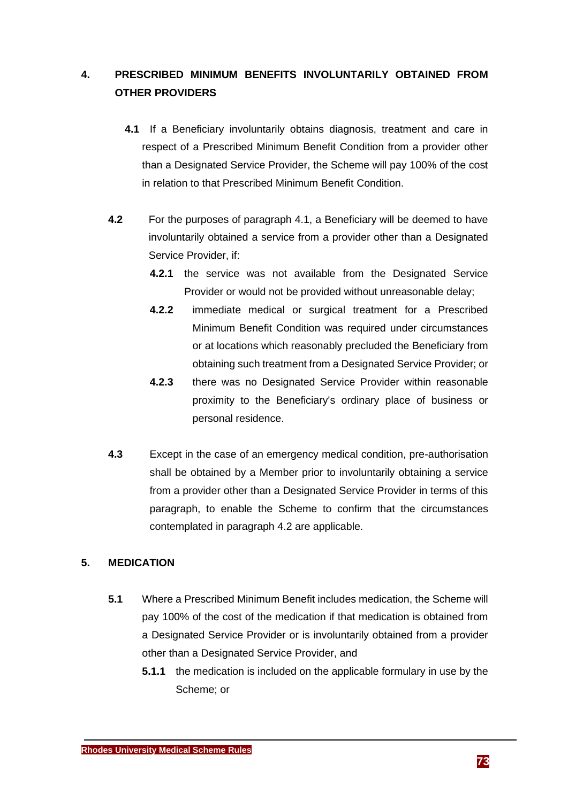# **4. PRESCRIBED MINIMUM BENEFITS INVOLUNTARILY OBTAINED FROM OTHER PROVIDERS**

- **4.1** If a Beneficiary involuntarily obtains diagnosis, treatment and care in respect of a Prescribed Minimum Benefit Condition from a provider other than a Designated Service Provider, the Scheme will pay 100% of the cost in relation to that Prescribed Minimum Benefit Condition.
- **4.2** For the purposes of paragraph 4.1, a Beneficiary will be deemed to have involuntarily obtained a service from a provider other than a Designated Service Provider, if:
	- **4.2.1** the service was not available from the Designated Service Provider or would not be provided without unreasonable delay;
	- **4.2.2** immediate medical or surgical treatment for a Prescribed Minimum Benefit Condition was required under circumstances or at locations which reasonably precluded the Beneficiary from obtaining such treatment from a Designated Service Provider; or
	- **4.2.3** there was no Designated Service Provider within reasonable proximity to the Beneficiary's ordinary place of business or personal residence.
- **4.3** Except in the case of an emergency medical condition, pre-authorisation shall be obtained by a Member prior to involuntarily obtaining a service from a provider other than a Designated Service Provider in terms of this paragraph, to enable the Scheme to confirm that the circumstances contemplated in paragraph 4.2 are applicable.

#### **5. MEDICATION**

- **5.1** Where a Prescribed Minimum Benefit includes medication, the Scheme will pay 100% of the cost of the medication if that medication is obtained from a Designated Service Provider or is involuntarily obtained from a provider other than a Designated Service Provider, and
	- **5.1.1** the medication is included on the applicable formulary in use by the Scheme; or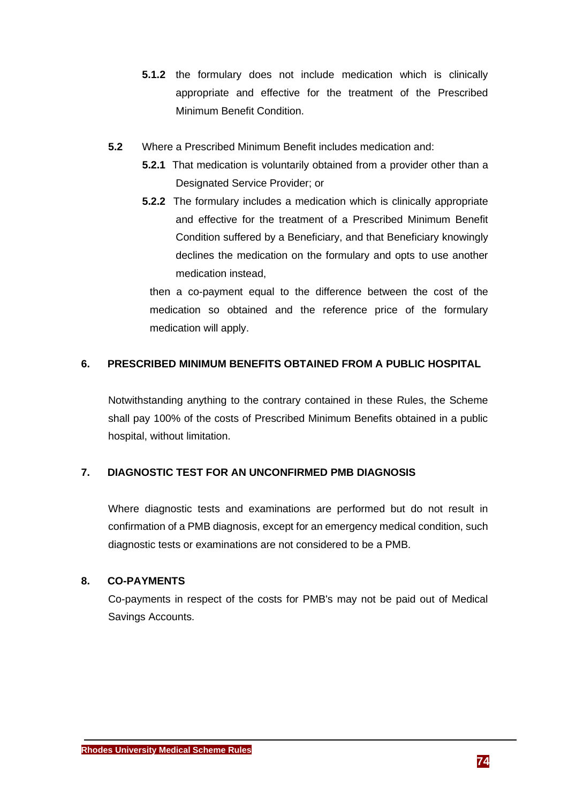- **5.1.2** the formulary does not include medication which is clinically appropriate and effective for the treatment of the Prescribed Minimum Benefit Condition.
- **5.2** Where a Prescribed Minimum Benefit includes medication and:
	- **5.2.1** That medication is voluntarily obtained from a provider other than a Designated Service Provider; or
	- **5.2.2** The formulary includes a medication which is clinically appropriate and effective for the treatment of a Prescribed Minimum Benefit Condition suffered by a Beneficiary, and that Beneficiary knowingly declines the medication on the formulary and opts to use another medication instead,

then a co-payment equal to the difference between the cost of the medication so obtained and the reference price of the formulary medication will apply.

## **6. PRESCRIBED MINIMUM BENEFITS OBTAINED FROM A PUBLIC HOSPITAL**

Notwithstanding anything to the contrary contained in these Rules, the Scheme shall pay 100% of the costs of Prescribed Minimum Benefits obtained in a public hospital, without limitation.

## **7. DIAGNOSTIC TEST FOR AN UNCONFIRMED PMB DIAGNOSIS**

Where diagnostic tests and examinations are performed but do not result in confirmation of a PMB diagnosis, except for an emergency medical condition, such diagnostic tests or examinations are not considered to be a PMB.

#### **8. CO-PAYMENTS**

Co-payments in respect of the costs for PMB's may not be paid out of Medical Savings Accounts.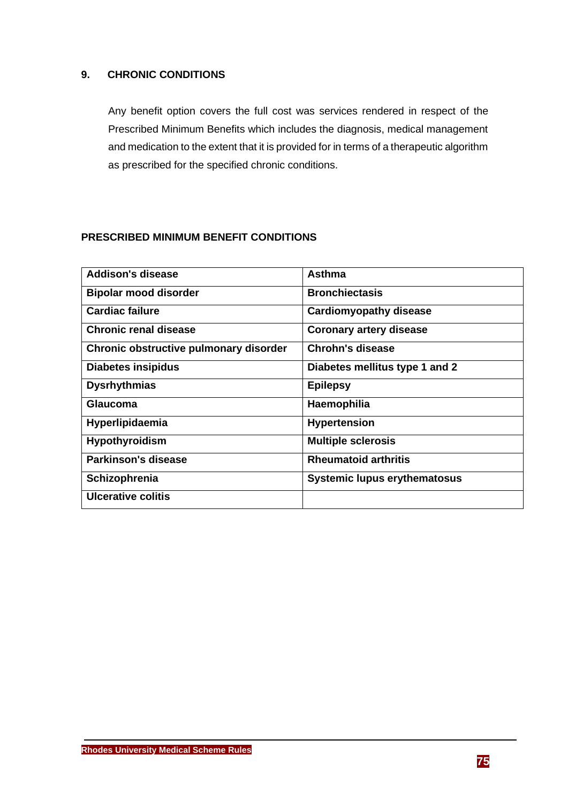#### **9. CHRONIC CONDITIONS**

Any benefit option covers the full cost was services rendered in respect of the Prescribed Minimum Benefits which includes the diagnosis, medical management and medication to the extent that it is provided for in terms of a therapeutic algorithm as prescribed for the specified chronic conditions.

#### **PRESCRIBED MINIMUM BENEFIT CONDITIONS**

| <b>Addison's disease</b>               | <b>Asthma</b>                       |
|----------------------------------------|-------------------------------------|
| <b>Bipolar mood disorder</b>           | <b>Bronchiectasis</b>               |
| Cardiac failure                        | <b>Cardiomyopathy disease</b>       |
| Chronic renal disease                  | <b>Coronary artery disease</b>      |
| Chronic obstructive pulmonary disorder | Chrohn's disease                    |
| Diabetes insipidus                     | Diabetes mellitus type 1 and 2      |
| <b>Dysrhythmias</b>                    | <b>Epilepsy</b>                     |
| <b>Glaucoma</b>                        | Haemophilia                         |
| Hyperlipidaemia                        | <b>Hypertension</b>                 |
| <b>Hypothyroidism</b>                  | <b>Multiple sclerosis</b>           |
| Parkinson's disease                    | <b>Rheumatoid arthritis</b>         |
| Schizophrenia                          | <b>Systemic lupus erythematosus</b> |
| <b>Ulcerative colitis</b>              |                                     |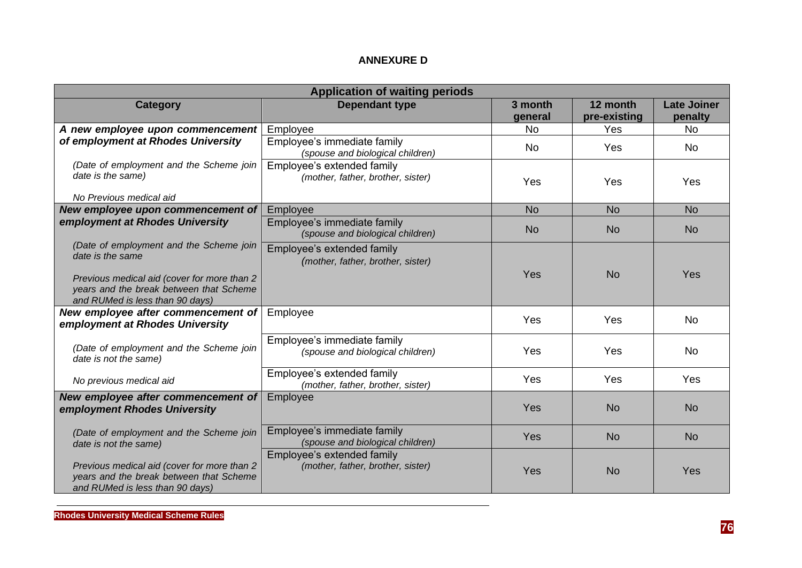### **ANNEXURE D**

| <b>Application of waiting periods</b>                                                                                     |                                                                 |                    |                          |                               |  |  |
|---------------------------------------------------------------------------------------------------------------------------|-----------------------------------------------------------------|--------------------|--------------------------|-------------------------------|--|--|
| <b>Category</b>                                                                                                           | <b>Dependant type</b>                                           | 3 month<br>general | 12 month<br>pre-existing | <b>Late Joiner</b><br>penalty |  |  |
| A new employee upon commencement<br>of employment at Rhodes University                                                    | Employee                                                        | <b>No</b>          | Yes                      | <b>No</b>                     |  |  |
|                                                                                                                           | Employee's immediate family<br>(spouse and biological children) | <b>No</b>          | Yes                      | <b>No</b>                     |  |  |
| (Date of employment and the Scheme join<br>date is the same)                                                              | Employee's extended family<br>(mother, father, brother, sister) | Yes                | Yes                      | Yes                           |  |  |
| No Previous medical aid                                                                                                   |                                                                 |                    |                          |                               |  |  |
| New employee upon commencement of                                                                                         | Employee                                                        | <b>No</b>          | <b>No</b>                | <b>No</b>                     |  |  |
| employment at Rhodes University                                                                                           | Employee's immediate family<br>(spouse and biological children) | <b>No</b>          | <b>No</b>                | <b>No</b>                     |  |  |
| (Date of employment and the Scheme join<br>date is the same                                                               | Employee's extended family<br>(mother, father, brother, sister) | Yes                | <b>No</b>                | Yes                           |  |  |
| Previous medical aid (cover for more than 2<br>years and the break between that Scheme<br>and RUMed is less than 90 days) |                                                                 |                    |                          |                               |  |  |
| New employee after commencement of<br>employment at Rhodes University                                                     | Employee                                                        | Yes                | Yes                      | <b>No</b>                     |  |  |
| (Date of employment and the Scheme join<br>date is not the same)                                                          | Employee's immediate family<br>(spouse and biological children) | Yes                | Yes                      | <b>No</b>                     |  |  |
| No previous medical aid                                                                                                   | Employee's extended family<br>(mother, father, brother, sister) | Yes                | Yes                      | Yes                           |  |  |
| New employee after commencement of<br>employment Rhodes University                                                        | Employee                                                        | Yes                | <b>No</b>                | <b>No</b>                     |  |  |
| (Date of employment and the Scheme join<br>date is not the same)                                                          | Employee's immediate family<br>(spouse and biological children) | Yes                | <b>No</b>                | <b>No</b>                     |  |  |
| Previous medical aid (cover for more than 2<br>years and the break between that Scheme<br>and RUMed is less than 90 days) | Employee's extended family<br>(mother, father, brother, sister) | Yes                | <b>No</b>                | Yes                           |  |  |